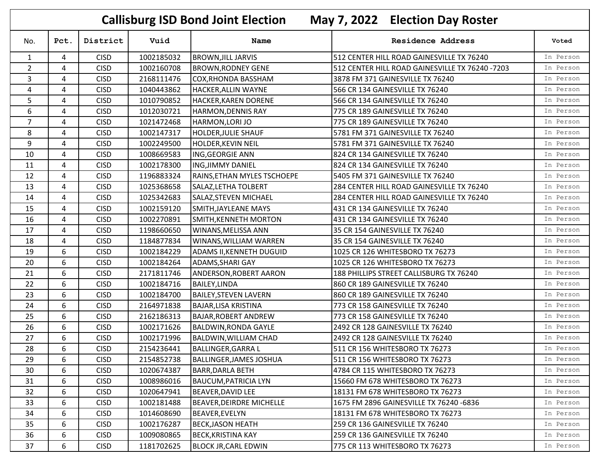|                | <b>Callisburg ISD Bond Joint Election</b><br>May 7, 2022 Election Day Roster |             |            |                                 |                                                 |           |  |  |
|----------------|------------------------------------------------------------------------------|-------------|------------|---------------------------------|-------------------------------------------------|-----------|--|--|
| No.            | Pct.                                                                         | District    | Vuid       | <b>Name</b>                     | <b>Residence Address</b>                        | Voted     |  |  |
| $\mathbf{1}$   | 4                                                                            | <b>CISD</b> | 1002185032 | <b>BROWN, JILL JARVIS</b>       | 512 CENTER HILL ROAD GAINESVILLE TX 76240       | In Person |  |  |
| $\overline{2}$ | 4                                                                            | <b>CISD</b> | 1002160708 | <b>BROWN, RODNEY GENE</b>       | 512 CENTER HILL ROAD GAINESVILLE TX 76240 -7203 | In Person |  |  |
| $\overline{3}$ | 4                                                                            | <b>CISD</b> | 2168111476 | <b>COX, RHONDA BASSHAM</b>      | 3878 FM 371 GAINESVILLE TX 76240                | In Person |  |  |
| $\overline{4}$ | 4                                                                            | <b>CISD</b> | 1040443862 | <b>HACKER, ALLIN WAYNE</b>      | 566 CR 134 GAINESVILLE TX 76240                 | In Person |  |  |
| 5              | 4                                                                            | <b>CISD</b> | 1010790852 | <b>HACKER, KAREN DORENE</b>     | 566 CR 134 GAINESVILLE TX 76240                 | In Person |  |  |
| 6              | 4                                                                            | <b>CISD</b> | 1012030721 | <b>HARMON, DENNIS RAY</b>       | 775 CR 189 GAINESVILLE TX 76240                 | In Person |  |  |
| 7              | 4                                                                            | <b>CISD</b> | 1021472468 | HARMON, LORI JO                 | 775 CR 189 GAINESVILLE TX 76240                 | In Person |  |  |
| 8              | 4                                                                            | <b>CISD</b> | 1002147317 | <b>HOLDER, JULIE SHAUF</b>      | 5781 FM 371 GAINESVILLE TX 76240                | In Person |  |  |
| 9              | 4                                                                            | <b>CISD</b> | 1002249500 | HOLDER, KEVIN NEIL              | 5781 FM 371 GAINESVILLE TX 76240                | In Person |  |  |
| 10             | 4                                                                            | <b>CISD</b> | 1008669583 | ING, GEORGIE ANN                | 824 CR 134 GAINESVILLE TX 76240                 | In Person |  |  |
| 11             | 4                                                                            | <b>CISD</b> | 1002178300 | <b>ING, JIMMY DANIEL</b>        | 824 CR 134 GAINESVILLE TX 76240                 | In Person |  |  |
| 12             | 4                                                                            | <b>CISD</b> | 1196883324 | RAINS, ETHAN MYLES TSCHOEPE     | 5405 FM 371 GAINESVILLE TX 76240                | In Person |  |  |
| 13             | 4                                                                            | <b>CISD</b> | 1025368658 | SALAZ, LETHA TOLBERT            | 284 CENTER HILL ROAD GAINESVILLE TX 76240       | In Person |  |  |
| 14             | 4                                                                            | <b>CISD</b> | 1025342683 | SALAZ, STEVEN MICHAEL           | 284 CENTER HILL ROAD GAINESVILLE TX 76240       | In Person |  |  |
| 15             | 4                                                                            | <b>CISD</b> | 1002159120 | SMITH, JAYLEANE MAYS            | 431 CR 134 GAINESVILLE TX 76240                 | In Person |  |  |
| 16             | 4                                                                            | <b>CISD</b> | 1002270891 | SMITH, KENNETH MORTON           | 431 CR 134 GAINESVILLE TX 76240                 | In Person |  |  |
| 17             | 4                                                                            | <b>CISD</b> | 1198660650 | WINANS, MELISSA ANN             | 35 CR 154 GAINESVILLE TX 76240                  | In Person |  |  |
| 18             | 4                                                                            | <b>CISD</b> | 1184877834 | WINANS, WILLIAM WARREN          | 35 CR 154 GAINESVILLE TX 76240                  | In Person |  |  |
| 19             | 6                                                                            | <b>CISD</b> | 1002184229 | <b>ADAMS II, KENNETH DUGUID</b> | 1025 CR 126 WHITESBORO TX 76273                 | In Person |  |  |
| 20             | 6                                                                            | <b>CISD</b> | 1002184264 | <b>ADAMS, SHARI GAY</b>         | 1025 CR 126 WHITESBORO TX 76273                 | In Person |  |  |
| 21             | 6                                                                            | <b>CISD</b> | 2171811746 | ANDERSON, ROBERT AARON          | 188 PHILLIPS STREET CALLISBURG TX 76240         | In Person |  |  |
| 22             | 6                                                                            | <b>CISD</b> | 1002184716 | <b>BAILEY, LINDA</b>            | 860 CR 189 GAINESVILLE TX 76240                 | In Person |  |  |
| 23             | 6                                                                            | <b>CISD</b> | 1002184700 | <b>BAILEY, STEVEN LAVERN</b>    | 860 CR 189 GAINESVILLE TX 76240                 | In Person |  |  |
| 24             | 6                                                                            | <b>CISD</b> | 2164971838 | <b>BAJAR, LISA KRISTINA</b>     | 773 CR 158 GAINESVILLE TX 76240                 | In Person |  |  |
| 25             | 6                                                                            | <b>CISD</b> | 2162186313 | <b>BAJAR, ROBERT ANDREW</b>     | 773 CR 158 GAINESVILLE TX 76240                 | In Person |  |  |
| 26             | 6                                                                            | <b>CISD</b> | 1002171626 | <b>BALDWIN, RONDA GAYLE</b>     | 2492 CR 128 GAINESVILLE TX 76240                | In Person |  |  |
| 27             | 6                                                                            | <b>CISD</b> | 1002171996 | <b>BALDWIN, WILLIAM CHAD</b>    | 2492 CR 128 GAINESVILLE TX 76240                | In Person |  |  |
| 28             | 6                                                                            | <b>CISD</b> | 2154236441 | <b>BALLINGER, GARRA L</b>       | 511 CR 156 WHITESBORO TX 76273                  | In Person |  |  |
| 29             | 6                                                                            | <b>CISD</b> | 2154852738 | <b>BALLINGER, JAMES JOSHUA</b>  | 511 CR 156 WHITESBORO TX 76273                  | In Person |  |  |
| 30             | 6                                                                            | <b>CISD</b> | 1020674387 | <b>BARR, DARLA BETH</b>         | 4784 CR 115 WHITESBORO TX 76273                 | In Person |  |  |
| 31             | 6                                                                            | <b>CISD</b> | 1008986016 | <b>BAUCUM, PATRICIA LYN</b>     | 15660 FM 678 WHITESBORO TX 76273                | In Person |  |  |
| 32             | 6                                                                            | <b>CISD</b> | 1020647941 | <b>BEAVER, DAVID LEE</b>        | 18131 FM 678 WHITESBORO TX 76273                | In Person |  |  |
| 33             | 6                                                                            | <b>CISD</b> | 1002181488 | <b>BEAVER, DEIRDRE MICHELLE</b> | 1675 FM 2896 GAINESVILLE TX 76240 -6836         | In Person |  |  |
| 34             | 6                                                                            | <b>CISD</b> | 1014608690 | <b>BEAVER, EVELYN</b>           | 18131 FM 678 WHITESBORO TX 76273                | In Person |  |  |
| 35             | 6                                                                            | <b>CISD</b> | 1002176287 | <b>BECK, JASON HEATH</b>        | 259 CR 136 GAINESVILLE TX 76240                 | In Person |  |  |
| 36             | 6                                                                            | <b>CISD</b> | 1009080865 | <b>BECK, KRISTINA KAY</b>       | 259 CR 136 GAINESVILLE TX 76240                 | In Person |  |  |
| 37             | 6                                                                            | <b>CISD</b> | 1181702625 | <b>BLOCK JR, CARL EDWIN</b>     | 775 CR 113 WHITESBORO TX 76273                  | In Person |  |  |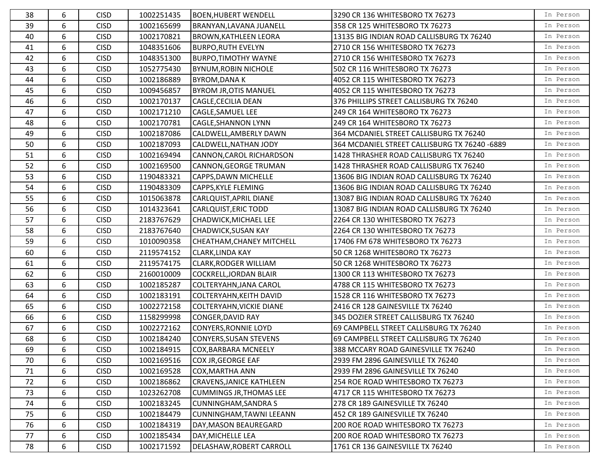| 38 | 6 | <b>CISD</b> | 1002251435 | <b>BOEN, HUBERT WENDELL</b>      | 3290 CR 136 WHITESBORO TX 76273               | In Person |
|----|---|-------------|------------|----------------------------------|-----------------------------------------------|-----------|
| 39 | 6 | <b>CISD</b> | 1002165699 | BRANYAN, LAVANA JUANELL          | 358 CR 125 WHITESBORO TX 76273                | In Person |
| 40 | 6 | <b>CISD</b> | 1002170821 | <b>BROWN, KATHLEEN LEORA</b>     | 13135 BIG INDIAN ROAD CALLISBURG TX 76240     | In Person |
| 41 | 6 | <b>CISD</b> | 1048351606 | <b>BURPO, RUTH EVELYN</b>        | 2710 CR 156 WHITESBORO TX 76273               | In Person |
| 42 | 6 | <b>CISD</b> | 1048351300 | <b>BURPO, TIMOTHY WAYNE</b>      | 2710 CR 156 WHITESBORO TX 76273               | In Person |
| 43 | 6 | <b>CISD</b> | 1052775430 | <b>BYNUM, ROBIN NICHOLE</b>      | 502 CR 116 WHITESBORO TX 76273                | In Person |
| 44 | 6 | <b>CISD</b> | 1002186889 | <b>BYROM, DANAK</b>              | 4052 CR 115 WHITESBORO TX 76273               | In Person |
| 45 | 6 | <b>CISD</b> | 1009456857 | <b>BYROM JR, OTIS MANUEL</b>     | 4052 CR 115 WHITESBORO TX 76273               | In Person |
| 46 | 6 | <b>CISD</b> | 1002170137 | CAGLE, CECILIA DEAN              | 376 PHILLIPS STREET CALLISBURG TX 76240       | In Person |
| 47 | 6 | <b>CISD</b> | 1002171210 | CAGLE, SAMUEL LEE                | 249 CR 164 WHITESBORO TX 76273                | In Person |
| 48 | 6 | <b>CISD</b> | 1002170781 | <b>CAGLE, SHANNON LYNN</b>       | 249 CR 164 WHITESBORO TX 76273                | In Person |
| 49 | 6 | <b>CISD</b> | 1002187086 | CALDWELL, AMBERLY DAWN           | 364 MCDANIEL STREET CALLISBURG TX 76240       | In Person |
| 50 | 6 | <b>CISD</b> | 1002187093 | CALDWELL, NATHAN JODY            | 364 MCDANIEL STREET CALLISBURG TX 76240 -6889 | In Person |
| 51 | 6 | <b>CISD</b> | 1002169494 | CANNON, CAROL RICHARDSON         | 1428 THRASHER ROAD CALLISBURG TX 76240        | In Person |
| 52 | 6 | <b>CISD</b> | 1002169500 | CANNON, GEORGE TRUMAN            | 1428 THRASHER ROAD CALLISBURG TX 76240        | In Person |
| 53 | 6 | <b>CISD</b> | 1190483321 | <b>CAPPS, DAWN MICHELLE</b>      | 13606 BIG INDIAN ROAD CALLISBURG TX 76240     | In Person |
| 54 | 6 | <b>CISD</b> | 1190483309 | <b>CAPPS, KYLE FLEMING</b>       | 13606 BIG INDIAN ROAD CALLISBURG TX 76240     | In Person |
| 55 | 6 | <b>CISD</b> | 1015063878 | CARLQUIST, APRIL DIANE           | 13087 BIG INDIAN ROAD CALLISBURG TX 76240     | In Person |
| 56 | 6 | <b>CISD</b> | 1014323641 | <b>CARLQUIST, ERIC TODD</b>      | 13087 BIG INDIAN ROAD CALLISBURG TX 76240     | In Person |
| 57 | 6 | <b>CISD</b> | 2183767629 | CHADWICK, MICHAEL LEE            | 2264 CR 130 WHITESBORO TX 76273               | In Person |
| 58 | 6 | <b>CISD</b> | 2183767640 | <b>CHADWICK, SUSAN KAY</b>       | 2264 CR 130 WHITESBORO TX 76273               | In Person |
| 59 | 6 | <b>CISD</b> | 1010090358 | <b>CHEATHAM, CHANEY MITCHELL</b> | 17406 FM 678 WHITESBORO TX 76273              | In Person |
| 60 | 6 | <b>CISD</b> | 2119574152 | <b>CLARK, LINDA KAY</b>          | 50 CR 1268 WHITESBORO TX 76273                | In Person |
| 61 | 6 | <b>CISD</b> | 2119574175 | <b>CLARK, RODGER WILLIAM</b>     | 50 CR 1268 WHITESBORO TX 76273                | In Person |
| 62 | 6 | <b>CISD</b> | 2160010009 | <b>COCKRELL, JORDAN BLAIR</b>    | 1300 CR 113 WHITESBORO TX 76273               | In Person |
| 63 | 6 | <b>CISD</b> | 1002185287 | COLTERYAHN, JANA CAROL           | 4788 CR 115 WHITESBORO TX 76273               | In Person |
| 64 | 6 | <b>CISD</b> | 1002183191 | <b>COLTERYAHN, KEITH DAVID</b>   | 1528 CR 116 WHITESBORO TX 76273               | In Person |
| 65 | 6 | <b>CISD</b> | 1002272158 | COLTERYAHN, VICKIE DIANE         | 2416 CR 128 GAINESVILLE TX 76240              | In Person |
| 66 | 6 | <b>CISD</b> | 1158299998 | CONGER, DAVID RAY                | 345 DOZIER STREET CALLISBURG TX 76240         | In Person |
| 67 | 6 | <b>CISD</b> | 1002272162 | <b>CONYERS, RONNIE LOYD</b>      | 69 CAMPBELL STREET CALLISBURG TX 76240        | In Person |
| 68 | 6 | <b>CISD</b> | 1002184240 | <b>CONYERS, SUSAN STEVENS</b>    | 69 CAMPBELL STREET CALLISBURG TX 76240        | In Person |
| 69 | 6 | <b>CISD</b> | 1002184915 | COX, BARBARA MCNEELY             | 388 MCCARY ROAD GAINESVILLE TX 76240          | In Person |
| 70 | 6 | <b>CISD</b> | 1002169516 | COX JR, GEORGE EAF               | 2939 FM 2896 GAINESVILLE TX 76240             | In Person |
| 71 | 6 | <b>CISD</b> | 1002169528 | COX, MARTHA ANN                  | 2939 FM 2896 GAINESVILLE TX 76240             | In Person |
| 72 | 6 | <b>CISD</b> | 1002186862 | <b>CRAVENS, JANICE KATHLEEN</b>  | 254 ROE ROAD WHITESBORO TX 76273              | In Person |
| 73 | 6 | <b>CISD</b> | 1023262708 | <b>CUMMINGS JR, THOMAS LEE</b>   | 4717 CR 115 WHITESBORO TX 76273               | In Person |
| 74 | 6 | <b>CISD</b> | 1002183245 | <b>CUNNINGHAM, SANDRA S</b>      | 278 CR 189 GAINESVILLE TX 76240               | In Person |
| 75 | 6 | <b>CISD</b> | 1002184479 | CUNNINGHAM, TAWNI LEEANN         | 452 CR 189 GAINESVILLE TX 76240               | In Person |
| 76 | 6 | <b>CISD</b> | 1002184319 | DAY, MASON BEAUREGARD            | 200 ROE ROAD WHITESBORO TX 76273              | In Person |
| 77 | 6 | <b>CISD</b> | 1002185434 | DAY, MICHELLE LEA                | 200 ROE ROAD WHITESBORO TX 76273              | In Person |
| 78 | 6 | <b>CISD</b> | 1002171592 | DELASHAW, ROBERT CARROLL         | 1761 CR 136 GAINESVILLE TX 76240              | In Person |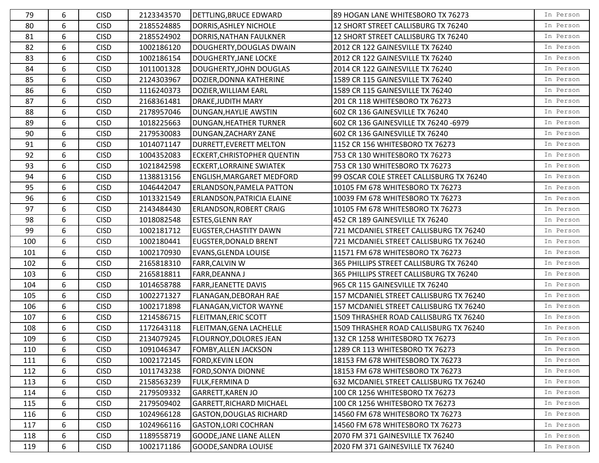| 79  | 6               | <b>CISD</b> | 2123343570 | DETTLING, BRUCE EDWARD          | 89 HOGAN LANE WHITESBORO TX 76273        | In Person |
|-----|-----------------|-------------|------------|---------------------------------|------------------------------------------|-----------|
| 80  | 6               | <b>CISD</b> | 2185524885 | DORRIS, ASHLEY NICHOLE          | 12 SHORT STREET CALLISBURG TX 76240      | In Person |
| 81  | 6               | <b>CISD</b> | 2185524902 | DORRIS, NATHAN FAULKNER         | 12 SHORT STREET CALLISBURG TX 76240      | In Person |
| 82  | 6               | <b>CISD</b> | 1002186120 | DOUGHERTY, DOUGLAS DWAIN        | 2012 CR 122 GAINESVILLE TX 76240         | In Person |
| 83  | 6               | <b>CISD</b> | 1002186154 | DOUGHERTY, JANE LOCKE           | 2012 CR 122 GAINESVILLE TX 76240         | In Person |
| 84  | 6               | <b>CISD</b> | 1011001328 | DOUGHERTY, JOHN DOUGLAS         | 2014 CR 122 GAINESVILLE TX 76240         | In Person |
| 85  | 6               | <b>CISD</b> | 2124303967 | DOZIER, DONNA KATHERINE         | 1589 CR 115 GAINESVILLE TX 76240         | In Person |
| 86  | 6               | <b>CISD</b> | 1116240373 | DOZIER, WILLIAM EARL            | 1589 CR 115 GAINESVILLE TX 76240         | In Person |
| 87  | 6               | <b>CISD</b> | 2168361481 | DRAKE, JUDITH MARY              | 201 CR 118 WHITESBORO TX 76273           | In Person |
| 88  | 6               | <b>CISD</b> | 2178957046 | DUNGAN, HAYLIE AWSTIN           | 602 CR 136 GAINESVILLE TX 76240          | In Person |
| 89  | 6               | <b>CISD</b> | 1018225663 | DUNGAN, HEATHER TURNER          | 602 CR 136 GAINESVILLE TX 76240 -6979    | In Person |
| 90  | 6               | <b>CISD</b> | 2179530083 | DUNGAN, ZACHARY ZANE            | 602 CR 136 GAINESVILLE TX 76240          | In Person |
| 91  | 6               | <b>CISD</b> | 1014071147 | DURRETT, EVERETT MELTON         | 1152 CR 156 WHITESBORO TX 76273          | In Person |
| 92  | 6               | <b>CISD</b> | 1004352083 | ECKERT, CHRISTOPHER QUENTIN     | 753 CR 130 WHITESBORO TX 76273           | In Person |
| 93  | 6               | <b>CISD</b> | 1021842598 | <b>ECKERT, LORRAINE SWIATEK</b> | 753 CR 130 WHITESBORO TX 76273           | In Person |
| 94  | 6               | <b>CISD</b> | 1138813156 | ENGLISH, MARGARET MEDFORD       | 99 OSCAR COLE STREET CALLISBURG TX 76240 | In Person |
| 95  | 6               | <b>CISD</b> | 1046442047 | ERLANDSON, PAMELA PATTON        | 10105 FM 678 WHITESBORO TX 76273         | In Person |
| 96  | 6               | <b>CISD</b> | 1013321549 | ERLANDSON, PATRICIA ELAINE      | 10039 FM 678 WHITESBORO TX 76273         | In Person |
| 97  | 6               | <b>CISD</b> | 2143484430 | ERLANDSON, ROBERT CRAIG         | 10105 FM 678 WHITESBORO TX 76273         | In Person |
| 98  | 6               | <b>CISD</b> | 1018082548 | <b>ESTES, GLENN RAY</b>         | 452 CR 189 GAINESVILLE TX 76240          | In Person |
| 99  | 6               | <b>CISD</b> | 1002181712 | EUGSTER, CHASTITY DAWN          | 721 MCDANIEL STREET CALLISBURG TX 76240  | In Person |
| 100 | 6               | <b>CISD</b> | 1002180441 | EUGSTER, DONALD BRENT           | 721 MCDANIEL STREET CALLISBURG TX 76240  | In Person |
| 101 | 6               | <b>CISD</b> | 1002170930 | <b>EVANS, GLENDA LOUISE</b>     | 11571 FM 678 WHITESBORO TX 76273         | In Person |
| 102 | 6               | <b>CISD</b> | 2165818310 | FARR, CALVIN W                  | 365 PHILLIPS STREET CALLISBURG TX 76240  | In Person |
| 103 | 6               | <b>CISD</b> | 2165818811 | FARR, DEANNA J                  | 365 PHILLIPS STREET CALLISBURG TX 76240  | In Person |
| 104 | 6               | <b>CISD</b> | 1014658788 | <b>FARR, JEANETTE DAVIS</b>     | 965 CR 115 GAINESVILLE TX 76240          | In Person |
| 105 | 6               | <b>CISD</b> | 1002271327 | FLANAGAN, DEBORAH RAE           | 157 MCDANIEL STREET CALLISBURG TX 76240  | In Person |
| 106 | 6               | <b>CISD</b> | 1002171898 | FLANAGAN, VICTOR WAYNE          | 157 MCDANIEL STREET CALLISBURG TX 76240  | In Person |
| 107 | 6               | <b>CISD</b> | 1214586715 | <b>FLEITMAN, ERIC SCOTT</b>     | 1509 THRASHER ROAD CALLISBURG TX 76240   | In Person |
| 108 | 6               | <b>CISD</b> | 1172643118 | FLEITMAN, GENA LACHELLE         | 1509 THRASHER ROAD CALLISBURG TX 76240   | In Person |
| 109 | 6               | <b>CISD</b> | 2134079245 | FLOURNOY, DOLORES JEAN          | 132 CR 1258 WHITESBORO TX 76273          | In Person |
| 110 | $6\overline{6}$ | <b>CISD</b> | 1091046347 | <b>FOMBY, ALLEN JACKSON</b>     | 1289 CR 113 WHITESBORO TX 76273          | In Person |
| 111 | 6               | <b>CISD</b> | 1002172145 | FORD, KEVIN LEON                | 18153 FM 678 WHITESBORO TX 76273         | In Person |
| 112 | 6               | <b>CISD</b> | 1011743238 | FORD, SONYA DIONNE              | 18153 FM 678 WHITESBORO TX 76273         | In Person |
| 113 | 6               | <b>CISD</b> | 2158563239 | FULK, FERMINA D                 | 632 MCDANIEL STREET CALLISBURG TX 76240  | In Person |
| 114 | 6               | <b>CISD</b> | 2179509332 | <b>GARRETT, KAREN JO</b>        | 100 CR 1256 WHITESBORO TX 76273          | In Person |
| 115 | 6               | <b>CISD</b> | 2179509402 | GARRETT, RICHARD MICHAEL        | 100 CR 1256 WHITESBORO TX 76273          | In Person |
| 116 | 6               | <b>CISD</b> | 1024966128 | <b>GASTON, DOUGLAS RICHARD</b>  | 14560 FM 678 WHITESBORO TX 76273         | In Person |
| 117 | 6               | <b>CISD</b> | 1024966116 | <b>GASTON, LORI COCHRAN</b>     | 14560 FM 678 WHITESBORO TX 76273         | In Person |
| 118 | 6               | <b>CISD</b> | 1189558719 | <b>GOODE, JANE LIANE ALLEN</b>  | 2070 FM 371 GAINESVILLE TX 76240         | In Person |
| 119 | 6               | <b>CISD</b> | 1002171186 | GOODE, SANDRA LOUISE            | 2020 FM 371 GAINESVILLE TX 76240         | In Person |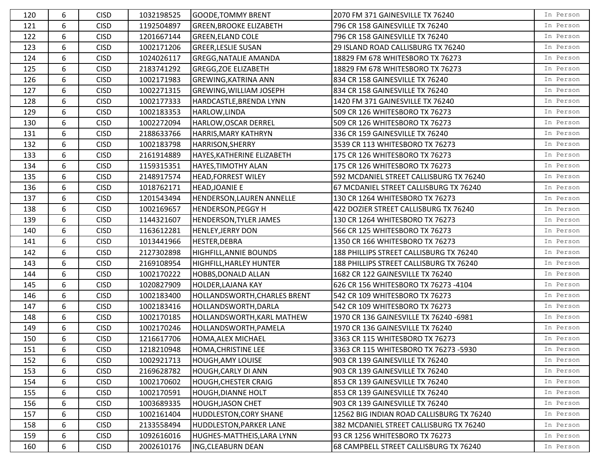| 120 | 6 | <b>CISD</b> | 1032198525 | <b>GOODE, TOMMY BRENT</b>           | 2070 FM 371 GAINESVILLE TX 76240          | In Person |
|-----|---|-------------|------------|-------------------------------------|-------------------------------------------|-----------|
| 121 | 6 | <b>CISD</b> | 1192504897 | <b>GREEN, BROOKE ELIZABETH</b>      | 796 CR 158 GAINESVILLE TX 76240           | In Person |
| 122 | 6 | <b>CISD</b> | 1201667144 | <b>GREEN, ELAND COLE</b>            | 796 CR 158 GAINESVILLE TX 76240           | In Person |
| 123 | 6 | <b>CISD</b> | 1002171206 | <b>GREER, LESLIE SUSAN</b>          | 29 ISLAND ROAD CALLISBURG TX 76240        | In Person |
| 124 | 6 | <b>CISD</b> | 1024026117 | <b>GREGG, NATALIE AMANDA</b>        | 18829 FM 678 WHITESBORO TX 76273          | In Person |
| 125 | 6 | <b>CISD</b> | 2183741292 | <b>GREGG, ZOE ELIZABETH</b>         | 18829 FM 678 WHITESBORO TX 76273          | In Person |
| 126 | 6 | <b>CISD</b> | 1002171983 | <b>GREWING, KATRINA ANN</b>         | 834 CR 158 GAINESVILLE TX 76240           | In Person |
| 127 | 6 | <b>CISD</b> | 1002271315 | <b>GREWING, WILLIAM JOSEPH</b>      | 834 CR 158 GAINESVILLE TX 76240           | In Person |
| 128 | 6 | <b>CISD</b> | 1002177333 | HARDCASTLE, BRENDA LYNN             | 1420 FM 371 GAINESVILLE TX 76240          | In Person |
| 129 | 6 | <b>CISD</b> | 1002183353 | HARLOW, LINDA                       | 509 CR 126 WHITESBORO TX 76273            | In Person |
| 130 | 6 | <b>CISD</b> | 1002272094 | HARLOW, OSCAR DERREL                | 509 CR 126 WHITESBORO TX 76273            | In Person |
| 131 | 6 | <b>CISD</b> | 2188633766 | HARRIS, MARY KATHRYN                | 336 CR 159 GAINESVILLE TX 76240           | In Person |
| 132 | 6 | <b>CISD</b> | 1002183798 | HARRISON, SHERRY                    | 3539 CR 113 WHITESBORO TX 76273           | In Person |
| 133 | 6 | <b>CISD</b> | 2161914889 | HAYES, KATHERINE ELIZABETH          | 175 CR 126 WHITESBORO TX 76273            | In Person |
| 134 | 6 | <b>CISD</b> | 1159315351 | HAYES, TIMOTHY ALAN                 | 175 CR 126 WHITESBORO TX 76273            | In Person |
| 135 | 6 | <b>CISD</b> | 2148917574 | <b>HEAD, FORREST WILEY</b>          | 592 MCDANIEL STREET CALLISBURG TX 76240   | In Person |
| 136 | 6 | <b>CISD</b> | 1018762171 | <b>HEAD, JOANIE E</b>               | 67 MCDANIEL STREET CALLISBURG TX 76240    | In Person |
| 137 | 6 | <b>CISD</b> | 1201543494 | <b>HENDERSON, LAUREN ANNELLE</b>    | 130 CR 1264 WHITESBORO TX 76273           | In Person |
| 138 | 6 | <b>CISD</b> | 1002169657 | <b>HENDERSON, PEGGY H</b>           | 422 DOZIER STREET CALLISBURG TX 76240     | In Person |
| 139 | 6 | <b>CISD</b> | 1144321607 | HENDERSON, TYLER JAMES              | 130 CR 1264 WHITESBORO TX 76273           | In Person |
| 140 | 6 | <b>CISD</b> | 1163612281 | <b>HENLEY, JERRY DON</b>            | 566 CR 125 WHITESBORO TX 76273            | In Person |
| 141 | 6 | <b>CISD</b> | 1013441966 | HESTER, DEBRA                       | 1350 CR 166 WHITESBORO TX 76273           | In Person |
| 142 | 6 | <b>CISD</b> | 2127302898 | <b>HIGHFILL, ANNIE BOUNDS</b>       | 188 PHILLIPS STREET CALLISBURG TX 76240   | In Person |
| 143 | 6 | <b>CISD</b> | 2169108954 | HIGHFILL, HARLEY HUNTER             | 188 PHILLIPS STREET CALLISBURG TX 76240   | In Person |
| 144 | 6 | <b>CISD</b> | 1002170222 | <b>HOBBS, DONALD ALLAN</b>          | 1682 CR 122 GAINESVILLE TX 76240          | In Person |
| 145 | 6 | <b>CISD</b> | 1020827909 | <b>HOLDER, LAJANA KAY</b>           | 626 CR 156 WHITESBORO TX 76273 -4104      | In Person |
| 146 | 6 | <b>CISD</b> | 1002183400 | <b>HOLLANDSWORTH, CHARLES BRENT</b> | 542 CR 109 WHITESBORO TX 76273            | In Person |
| 147 | 6 | <b>CISD</b> | 1002183416 | HOLLANDSWORTH, DARLA                | 542 CR 109 WHITESBORO TX 76273            | In Person |
| 148 | 6 | <b>CISD</b> | 1002170185 | <b>HOLLANDSWORTH, KARL MATHEW</b>   | 1970 CR 136 GAINESVILLE TX 76240 -6981    | In Person |
| 149 | 6 | <b>CISD</b> | 1002170246 | HOLLANDSWORTH, PAMELA               | 1970 CR 136 GAINESVILLE TX 76240          | In Person |
| 150 | 6 | <b>CISD</b> | 1216617706 | <b>HOMA, ALEX MICHAEL</b>           | 3363 CR 115 WHITESBORO TX 76273           | In Person |
| 151 | 6 | <b>CISD</b> | 1218210948 | HOMA, CHRISTINE LEE                 | 3363 CR 115 WHITESBORO TX 76273 -5930     | In Person |
| 152 | 6 | <b>CISD</b> | 1002921713 | <b>HOUGH, AMY LOUISE</b>            | 903 CR 139 GAINESVILLE TX 76240           | In Person |
| 153 | 6 | <b>CISD</b> | 2169628782 | HOUGH, CARLY DI ANN                 | 903 CR 139 GAINESVILLE TX 76240           | In Person |
| 154 | 6 | <b>CISD</b> | 1002170602 | <b>HOUGH, CHESTER CRAIG</b>         | 853 CR 139 GAINESVILLE TX 76240           | In Person |
| 155 | 6 | <b>CISD</b> | 1002170591 | <b>HOUGH, DIANNE HOLT</b>           | 853 CR 139 GAINESVILLE TX 76240           | In Person |
| 156 | 6 | <b>CISD</b> | 1003689335 | <b>HOUGH, JASON CHET</b>            | 903 CR 139 GAINESVILLE TX 76240           | In Person |
| 157 | 6 | <b>CISD</b> | 1002161404 | <b>HUDDLESTON, CORY SHANE</b>       | 12562 BIG INDIAN ROAD CALLISBURG TX 76240 | In Person |
| 158 | 6 | <b>CISD</b> | 2133558494 | <b>HUDDLESTON, PARKER LANE</b>      | 382 MCDANIEL STREET CALLISBURG TX 76240   | In Person |
| 159 | 6 | <b>CISD</b> | 1092616016 | HUGHES-MATTHEIS, LARA LYNN          | 93 CR 1256 WHITESBORO TX 76273            | In Person |
| 160 | 6 | <b>CISD</b> | 2002610176 | <b>ING, CLEABURN DEAN</b>           | 68 CAMPBELL STREET CALLISBURG TX 76240    | In Person |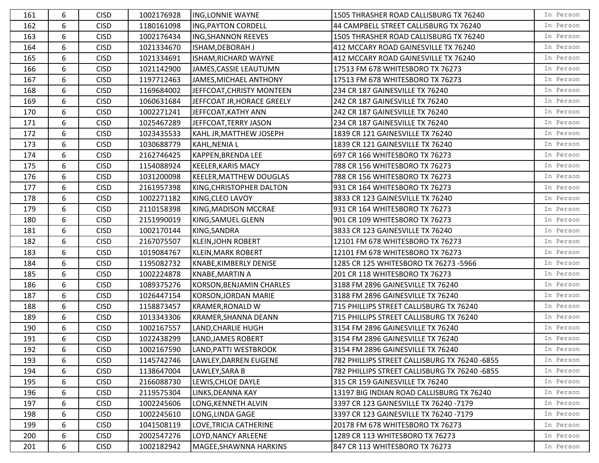| 161 | 6 | <b>CISD</b> | 1002176928 | ING, LONNIE WAYNE              | 1505 THRASHER ROAD CALLISBURG TX 76240        | In Person |
|-----|---|-------------|------------|--------------------------------|-----------------------------------------------|-----------|
| 162 | 6 | <b>CISD</b> | 1180161098 | <b>ING, PAYTON CORDELL</b>     | 44 CAMPBELL STREET CALLISBURG TX 76240        | In Person |
| 163 | 6 | <b>CISD</b> | 1002176434 | <b>ING, SHANNON REEVES</b>     | 1505 THRASHER ROAD CALLISBURG TX 76240        | In Person |
| 164 | 6 | <b>CISD</b> | 1021334670 | ISHAM, DEBORAH J               | 412 MCCARY ROAD GAINESVILLE TX 76240          | In Person |
| 165 | 6 | <b>CISD</b> | 1021334691 | ISHAM, RICHARD WAYNE           | 412 MCCARY ROAD GAINESVILLE TX 76240          | In Person |
| 166 | 6 | <b>CISD</b> | 1021142900 | JAMES, CASSIE LEAUTUMN         | 17513 FM 678 WHITESBORO TX 76273              | In Person |
| 167 | 6 | <b>CISD</b> | 1197712463 | JAMES, MICHAEL ANTHONY         | 17513 FM 678 WHITESBORO TX 76273              | In Person |
| 168 | 6 | <b>CISD</b> | 1169684002 | JEFFCOAT, CHRISTY MONTEEN      | 234 CR 187 GAINESVILLE TX 76240               | In Person |
| 169 | 6 | <b>CISD</b> | 1060631684 | JEFFCOAT JR, HORACE GREELY     | 242 CR 187 GAINESVILLE TX 76240               | In Person |
| 170 | 6 | <b>CISD</b> | 1002271241 | JEFFCOAT, KATHY ANN            | 242 CR 187 GAINESVILLE TX 76240               | In Person |
| 171 | 6 | <b>CISD</b> | 1025467289 | JEFFCOAT, TERRY JASON          | 234 CR 187 GAINESVILLE TX 76240               | In Person |
| 172 | 6 | <b>CISD</b> | 1023435533 | KAHL JR, MATTHEW JOSEPH        | 1839 CR 121 GAINESVILLE TX 76240              | In Person |
| 173 | 6 | <b>CISD</b> | 1030688779 | KAHL, NENIA L                  | 1839 CR 121 GAINESVILLE TX 76240              | In Person |
| 174 | 6 | <b>CISD</b> | 2162746425 | <b>KAPPEN, BRENDA LEE</b>      | 697 CR 166 WHITESBORO TX 76273                | In Person |
| 175 | 6 | <b>CISD</b> | 1154088924 | <b>KEELER, KARIS MACY</b>      | 788 CR 156 WHITESBORO TX 76273                | In Person |
| 176 | 6 | <b>CISD</b> | 1031200098 | <b>KEELER, MATTHEW DOUGLAS</b> | 788 CR 156 WHITESBORO TX 76273                | In Person |
| 177 | 6 | <b>CISD</b> | 2161957398 | KING, CHRISTOPHER DALTON       | 931 CR 164 WHITESBORO TX 76273                | In Person |
| 178 | 6 | <b>CISD</b> | 1002271182 | KING, CLEO LAVOY               | 3833 CR 123 GAINESVILLE TX 76240              | In Person |
| 179 | 6 | <b>CISD</b> | 2110158398 | KING, MADISON MCCRAE           | 931 CR 164 WHITESBORO TX 76273                | In Person |
| 180 | 6 | <b>CISD</b> | 2151990019 | KING, SAMUEL GLENN             | 901 CR 109 WHITESBORO TX 76273                | In Person |
| 181 | 6 | <b>CISD</b> | 1002170144 | KING, SANDRA                   | 3833 CR 123 GAINESVILLE TX 76240              | In Person |
| 182 | 6 | <b>CISD</b> | 2167075507 | KLEIN, JOHN ROBERT             | 12101 FM 678 WHITESBORO TX 76273              | In Person |
| 183 | 6 | <b>CISD</b> | 1019084767 | <b>KLEIN, MARK ROBERT</b>      | 12101 FM 678 WHITESBORO TX 76273              | In Person |
| 184 | 6 | <b>CISD</b> | 1195082732 | KNABE, KIMBERLY DENISE         | 1285 CR 125 WHITESBORO TX 76273 -5966         | In Person |
| 185 | 6 | <b>CISD</b> | 1002224878 | <b>KNABE, MARTIN A</b>         | 201 CR 118 WHITESBORO TX 76273                | In Person |
| 186 | 6 | <b>CISD</b> | 1089375276 | KORSON, BENJAMIN CHARLES       | 3188 FM 2896 GAINESVILLE TX 76240             | In Person |
| 187 | 6 | <b>CISD</b> | 1026447154 | KORSON, JORDAN MARIE           | 3188 FM 2896 GAINESVILLE TX 76240             | In Person |
| 188 | 6 | <b>CISD</b> | 1158873457 | <b>KRAMER, RONALD W</b>        | 715 PHILLIPS STREET CALLISBURG TX 76240       | In Person |
| 189 | 6 | <b>CISD</b> | 1013343306 | <b>KRAMER, SHANNA DEANN</b>    | 715 PHILLIPS STREET CALLISBURG TX 76240       | In Person |
| 190 | 6 | <b>CISD</b> | 1002167557 | LAND, CHARLIE HUGH             | 3154 FM 2896 GAINESVILLE TX 76240             | In Person |
| 191 | 6 | <b>CISD</b> | 1022438299 | LAND, JAMES ROBERT             | 3154 FM 2896 GAINESVILLE TX 76240             | In Person |
| 192 | 6 | <b>CISD</b> | 1002167590 | LAND, PATTI WESTBROOK          | 3154 FM 2896 GAINESVILLE TX 76240             | In Person |
| 193 | 6 | <b>CISD</b> | 1145742746 | LAWLEY, DARREN EUGENE          | 782 PHILLIPS STREET CALLISBURG TX 76240 -6855 | In Person |
| 194 | 6 | <b>CISD</b> | 1138647004 | LAWLEY, SARA B                 | 782 PHILLIPS STREET CALLISBURG TX 76240 -6855 | In Person |
| 195 | 6 | <b>CISD</b> | 2166088730 | LEWIS, CHLOE DAYLE             | 315 CR 159 GAINESVILLE TX 76240               | In Person |
| 196 | 6 | <b>CISD</b> | 2119575304 | LINKS, DEANNA KAY              | 13197 BIG INDIAN ROAD CALLISBURG TX 76240     | In Person |
| 197 | 6 | <b>CISD</b> | 1002245606 | LONG, KENNETH ALVIN            | 3397 CR 123 GAINESVILLE TX 76240 -7179        | In Person |
| 198 | 6 | <b>CISD</b> | 1002245610 | LONG, LINDA GAGE               | 3397 CR 123 GAINESVILLE TX 76240 -7179        | In Person |
| 199 | 6 | <b>CISD</b> | 1041508119 | LOVE, TRICIA CATHERINE         | 20178 FM 678 WHITESBORO TX 76273              | In Person |
| 200 | 6 | <b>CISD</b> | 2002547276 | LOYD, NANCY ARLEENE            | 1289 CR 113 WHITESBORO TX 76273               | In Person |
| 201 | 6 | <b>CISD</b> | 1002182942 | MAGEE, SHAWNNA HARKINS         | 847 CR 113 WHITESBORO TX 76273                | In Person |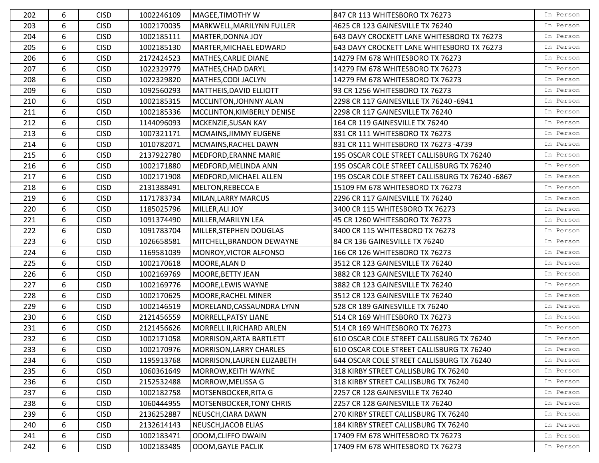| 202 | 6 | <b>CISD</b> | 1002246109 | MAGEE, TIMOTHY W                | 847 CR 113 WHITESBORO TX 76273                  | In Person |
|-----|---|-------------|------------|---------------------------------|-------------------------------------------------|-----------|
| 203 | 6 | <b>CISD</b> | 1002170035 | MARKWELL, MARILYNN FULLER       | 4625 CR 123 GAINESVILLE TX 76240                | In Person |
| 204 | 6 | <b>CISD</b> | 1002185111 | <b>MARTER, DONNA JOY</b>        | 643 DAVY CROCKETT LANE WHITESBORO TX 76273      | In Person |
| 205 | 6 | <b>CISD</b> | 1002185130 | MARTER, MICHAEL EDWARD          | 643 DAVY CROCKETT LANE WHITESBORO TX 76273      | In Person |
| 206 | 6 | <b>CISD</b> | 2172424523 | MATHES, CARLIE DIANE            | 14279 FM 678 WHITESBORO TX 76273                | In Person |
| 207 | 6 | <b>CISD</b> | 1022329779 | MATHES, CHAD DARYL              | 14279 FM 678 WHITESBORO TX 76273                | In Person |
| 208 | 6 | <b>CISD</b> | 1022329820 | MATHES, CODI JACLYN             | 14279 FM 678 WHITESBORO TX 76273                | In Person |
| 209 | 6 | <b>CISD</b> | 1092560293 | MATTHEIS, DAVID ELLIOTT         | 93 CR 1256 WHITESBORO TX 76273                  | In Person |
| 210 | 6 | <b>CISD</b> | 1002185315 | MCCLINTON, JOHNNY ALAN          | 2298 CR 117 GAINESVILLE TX 76240 -6941          | In Person |
| 211 | 6 | <b>CISD</b> | 1002185336 | MCCLINTON, KIMBERLY DENISE      | 2298 CR 117 GAINESVILLE TX 76240                | In Person |
| 212 | 6 | <b>CISD</b> | 1144096093 | MCKENZIE, SUSAN KAY             | 164 CR 119 GAINESVILLE TX 76240                 | In Person |
| 213 | 6 | <b>CISD</b> | 1007321171 | MCMAINS, JIMMY EUGENE           | 831 CR 111 WHITESBORO TX 76273                  | In Person |
| 214 | 6 | <b>CISD</b> | 1010782071 | MCMAINS, RACHEL DAWN            | 831 CR 111 WHITESBORO TX 76273 -4739            | In Person |
| 215 | 6 | <b>CISD</b> | 2137922780 | MEDFORD, ERANNE MARIE           | 195 OSCAR COLE STREET CALLISBURG TX 76240       | In Person |
| 216 | 6 | <b>CISD</b> | 1002171880 | MEDFORD, MELINDA ANN            | 195 OSCAR COLE STREET CALLISBURG TX 76240       | In Person |
| 217 | 6 | <b>CISD</b> | 1002171908 | MEDFORD, MICHAEL ALLEN          | 195 OSCAR COLE STREET CALLISBURG TX 76240 -6867 | In Person |
| 218 | 6 | <b>CISD</b> | 2131388491 | <b>MELTON, REBECCA E</b>        | 15109 FM 678 WHITESBORO TX 76273                | In Person |
| 219 | 6 | <b>CISD</b> | 1171783734 | MILAN, LARRY MARCUS             | 2296 CR 117 GAINESVILLE TX 76240                | In Person |
| 220 | 6 | <b>CISD</b> | 1185025796 | MILLER, ALI JOY                 | 3400 CR 115 WHITESBORO TX 76273                 | In Person |
| 221 | 6 | <b>CISD</b> | 1091374490 | MILLER, MARILYN LEA             | 45 CR 1260 WHITESBORO TX 76273                  | In Person |
| 222 | 6 | <b>CISD</b> | 1091783704 | MILLER, STEPHEN DOUGLAS         | 3400 CR 115 WHITESBORO TX 76273                 | In Person |
| 223 | 6 | <b>CISD</b> | 1026658581 | MITCHELL, BRANDON DEWAYNE       | 84 CR 136 GAINESVILLE TX 76240                  | In Person |
| 224 | 6 | <b>CISD</b> | 1169581039 | MONROY, VICTOR ALFONSO          | 166 CR 126 WHITESBORO TX 76273                  | In Person |
| 225 | 6 | <b>CISD</b> | 1002170618 | MOORE, ALAN D                   | 3512 CR 123 GAINESVILLE TX 76240                | In Person |
| 226 | 6 | <b>CISD</b> | 1002169769 | MOORE, BETTY JEAN               | 3882 CR 123 GAINESVILLE TX 76240                | In Person |
| 227 | 6 | <b>CISD</b> | 1002169776 | <b>MOORE, LEWIS WAYNE</b>       | 3882 CR 123 GAINESVILLE TX 76240                | In Person |
| 228 | 6 | <b>CISD</b> | 1002170625 | MOORE, RACHEL MINER             | 3512 CR 123 GAINESVILLE TX 76240                | In Person |
| 229 | 6 | <b>CISD</b> | 1002146519 | MORELAND, CASSAUNDRA LYNN       | 528 CR 189 GAINESVILLE TX 76240                 | In Person |
| 230 | 6 | <b>CISD</b> | 2121456559 | MORRELL, PATSY LIANE            | 514 CR 169 WHITESBORO TX 76273                  | In Person |
| 231 | 6 | <b>CISD</b> | 2121456626 | MORRELL II, RICHARD ARLEN       | 514 CR 169 WHITESBORO TX 76273                  | In Person |
| 232 | 6 | <b>CISD</b> | 1002171058 | MORRISON, ARTA BARTLETT         | 610 OSCAR COLE STREET CALLISBURG TX 76240       | In Person |
| 233 | 6 | <b>CISD</b> | 1002170976 | MORRISON, LARRY CHARLES         | 610 OSCAR COLE STREET CALLISBURG TX 76240       | In Person |
| 234 | 6 | <b>CISD</b> | 1195913768 | MORRISON, LAUREN ELIZABETH      | 644 OSCAR COLE STREET CALLISBURG TX 76240       | In Person |
| 235 | 6 | <b>CISD</b> | 1060361649 | <b>MORROW, KEITH WAYNE</b>      | 318 KIRBY STREET CALLISBURG TX 76240            | In Person |
| 236 | 6 | <b>CISD</b> | 2152532488 | MORROW, MELISSA G               | 318 KIRBY STREET CALLISBURG TX 76240            | In Person |
| 237 | 6 | <b>CISD</b> | 1002182758 | MOTSENBOCKER, RITA G            | 2257 CR 128 GAINESVILLE TX 76240                | In Person |
| 238 | 6 | <b>CISD</b> | 1060444955 | <b>MOTSENBOCKER, TONY CHRIS</b> | 2257 CR 128 GAINESVILLE TX 76240                | In Person |
| 239 | 6 | <b>CISD</b> | 2136252887 | NEUSCH, CIARA DAWN              | 270 KIRBY STREET CALLISBURG TX 76240            | In Person |
| 240 | 6 | <b>CISD</b> | 2132614143 | NEUSCH, JACOB ELIAS             | 184 KIRBY STREET CALLISBURG TX 76240            | In Person |
| 241 | 6 | <b>CISD</b> | 1002183471 | ODOM, CLIFFO DWAIN              | 17409 FM 678 WHITESBORO TX 76273                | In Person |
| 242 | 6 | <b>CISD</b> | 1002183485 | ODOM, GAYLE PACLIK              | 17409 FM 678 WHITESBORO TX 76273                | In Person |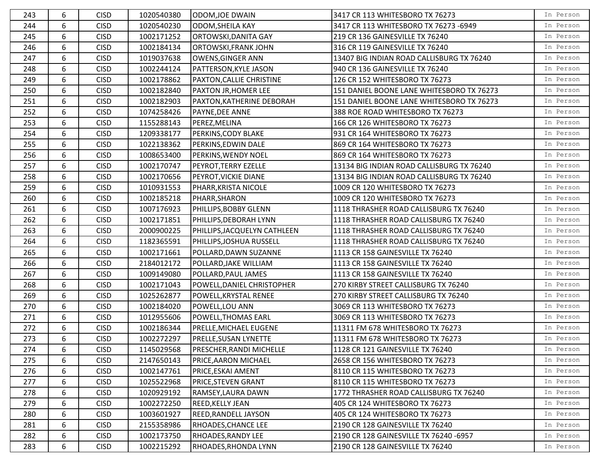| 243 | 6 | <b>CISD</b> | 1020540380 | ODOM, JOE DWAIN              | 3417 CR 113 WHITESBORO TX 76273           | In Person |
|-----|---|-------------|------------|------------------------------|-------------------------------------------|-----------|
| 244 | 6 | <b>CISD</b> | 1020540230 | <b>ODOM, SHEILA KAY</b>      | 3417 CR 113 WHITESBORO TX 76273 -6949     | In Person |
| 245 | 6 | <b>CISD</b> | 1002171252 | ORTOWSKI, DANITA GAY         | 219 CR 136 GAINESVILLE TX 76240           | In Person |
| 246 | 6 | <b>CISD</b> | 1002184134 | <b>ORTOWSKI, FRANK JOHN</b>  | 316 CR 119 GAINESVILLE TX 76240           | In Person |
| 247 | 6 | <b>CISD</b> | 1019037638 | OWENS, GINGER ANN            | 13407 BIG INDIAN ROAD CALLISBURG TX 76240 | In Person |
| 248 | 6 | <b>CISD</b> | 1002244124 | PATTERSON, KYLE JASON        | 940 CR 136 GAINESVILLE TX 76240           | In Person |
| 249 | 6 | <b>CISD</b> | 1002178862 | PAXTON, CALLIE CHRISTINE     | 126 CR 152 WHITESBORO TX 76273            | In Person |
| 250 | 6 | <b>CISD</b> | 1002182840 | <b>PAXTON JR, HOMER LEE</b>  | 151 DANIEL BOONE LANE WHITESBORO TX 76273 | In Person |
| 251 | 6 | <b>CISD</b> | 1002182903 | PAXTON, KATHERINE DEBORAH    | 151 DANIEL BOONE LANE WHITESBORO TX 76273 | In Person |
| 252 | 6 | <b>CISD</b> | 1074258426 | PAYNE, DEE ANNE              | 388 ROE ROAD WHITESBORO TX 76273          | In Person |
| 253 | 6 | <b>CISD</b> | 1155288143 | PEREZ, MELINA                | 166 CR 126 WHITESBORO TX 76273            | In Person |
| 254 | 6 | <b>CISD</b> | 1209338177 | PERKINS, CODY BLAKE          | 931 CR 164 WHITESBORO TX 76273            | In Person |
| 255 | 6 | <b>CISD</b> | 1022138362 | PERKINS, EDWIN DALE          | 869 CR 164 WHITESBORO TX 76273            | In Person |
| 256 | 6 | <b>CISD</b> | 1008653400 | PERKINS, WENDY NOEL          | 869 CR 164 WHITESBORO TX 76273            | In Person |
| 257 | 6 | <b>CISD</b> | 1002170747 | PEYROT, TERRY EZELLE         | 13134 BIG INDIAN ROAD CALLISBURG TX 76240 | In Person |
| 258 | 6 | <b>CISD</b> | 1002170656 | PEYROT, VICKIE DIANE         | 13134 BIG INDIAN ROAD CALLISBURG TX 76240 | In Person |
| 259 | 6 | <b>CISD</b> | 1010931553 | PHARR, KRISTA NICOLE         | 1009 CR 120 WHITESBORO TX 76273           | In Person |
| 260 | 6 | <b>CISD</b> | 1002185218 | PHARR, SHARON                | 1009 CR 120 WHITESBORO TX 76273           | In Person |
| 261 | 6 | <b>CISD</b> | 1007176923 | PHILLIPS, BOBBY GLENN        | 1118 THRASHER ROAD CALLISBURG TX 76240    | In Person |
| 262 | 6 | <b>CISD</b> | 1002171851 | PHILLIPS, DEBORAH LYNN       | 1118 THRASHER ROAD CALLISBURG TX 76240    | In Person |
| 263 | 6 | <b>CISD</b> | 2000900225 | PHILLIPS, JACQUELYN CATHLEEN | 1118 THRASHER ROAD CALLISBURG TX 76240    | In Person |
| 264 | 6 | <b>CISD</b> | 1182365591 | PHILLIPS, JOSHUA RUSSELL     | 1118 THRASHER ROAD CALLISBURG TX 76240    | In Person |
| 265 | 6 | <b>CISD</b> | 1002171661 | POLLARD, DAWN SUZANNE        | 1113 CR 158 GAINESVILLE TX 76240          | In Person |
| 266 | 6 | <b>CISD</b> | 2184012172 | POLLARD, JAKE WILLIAM        | 1113 CR 158 GAINESVILLE TX 76240          | In Person |
| 267 | 6 | <b>CISD</b> | 1009149080 | POLLARD, PAUL JAMES          | 1113 CR 158 GAINESVILLE TX 76240          | In Person |
| 268 | 6 | <b>CISD</b> | 1002171043 | POWELL, DANIEL CHRISTOPHER   | 270 KIRBY STREET CALLISBURG TX 76240      | In Person |
| 269 | 6 | <b>CISD</b> | 1025262877 | POWELL, KRYSTAL RENEE        | 270 KIRBY STREET CALLISBURG TX 76240      | In Person |
| 270 | 6 | <b>CISD</b> | 1002184020 | POWELL, LOU ANN              | 3069 CR 113 WHITESBORO TX 76273           | In Person |
| 271 | 6 | <b>CISD</b> | 1012955606 | POWELL, THOMAS EARL          | 3069 CR 113 WHITESBORO TX 76273           | In Person |
| 272 | 6 | <b>CISD</b> | 1002186344 | PRELLE, MICHAEL EUGENE       | 11311 FM 678 WHITESBORO TX 76273          | In Person |
| 273 | 6 | <b>CISD</b> | 1002272297 | PRELLE, SUSAN LYNETTE        | 11311 FM 678 WHITESBORO TX 76273          | In Person |
| 274 | 6 | <b>CISD</b> | 1145029568 | PRESCHER, RANDI MICHELLE     | 1128 CR 121 GAINESVILLE TX 76240          | In Person |
| 275 | 6 | <b>CISD</b> | 2147650143 | PRICE, AARON MICHAEL         | 2658 CR 156 WHITESBORO TX 76273           | In Person |
| 276 | 6 | <b>CISD</b> | 1002147761 | PRICE, ESKAI AMENT           | 8110 CR 115 WHITESBORO TX 76273           | In Person |
| 277 | 6 | <b>CISD</b> | 1025522968 | <b>PRICE, STEVEN GRANT</b>   | 8110 CR 115 WHITESBORO TX 76273           | In Person |
| 278 | 6 | <b>CISD</b> | 1020929192 | RAMSEY, LAURA DAWN           | 1772 THRASHER ROAD CALLISBURG TX 76240    | In Person |
| 279 | 6 | <b>CISD</b> | 1002272250 | <b>REED, KELLY JEAN</b>      | 405 CR 124 WHITESBORO TX 76273            | In Person |
| 280 | 6 | <b>CISD</b> | 1003601927 | <b>REED, RANDELL JAYSON</b>  | 405 CR 124 WHITESBORO TX 76273            | In Person |
| 281 | 6 | <b>CISD</b> | 2155358986 | RHOADES, CHANCE LEE          | 2190 CR 128 GAINESVILLE TX 76240          | In Person |
| 282 | 6 | <b>CISD</b> | 1002173750 | RHOADES, RANDY LEE           | 2190 CR 128 GAINESVILLE TX 76240 -6957    | In Person |
| 283 | 6 | <b>CISD</b> | 1002215292 | RHOADES, RHONDA LYNN         | 2190 CR 128 GAINESVILLE TX 76240          | In Person |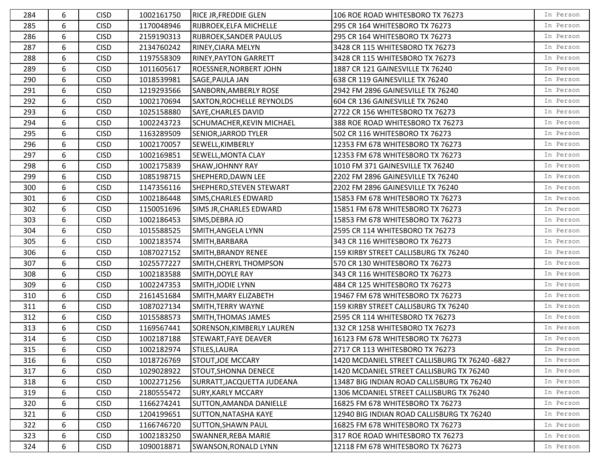| 284 | 6 | <b>CISD</b> | 1002161750 | <b>RICE JR, FREDDIE GLEN</b>   | 106 ROE ROAD WHITESBORO TX 76273               | In Person |
|-----|---|-------------|------------|--------------------------------|------------------------------------------------|-----------|
| 285 | 6 | <b>CISD</b> | 1170048946 | RIJBROEK, ELFA MICHELLE        | 295 CR 164 WHITESBORO TX 76273                 | In Person |
| 286 | 6 | <b>CISD</b> | 2159190313 | <b>RIJBROEK, SANDER PAULUS</b> | 295 CR 164 WHITESBORO TX 76273                 | In Person |
| 287 | 6 | <b>CISD</b> | 2134760242 | RINEY, CIARA MELYN             | 3428 CR 115 WHITESBORO TX 76273                | In Person |
| 288 | 6 | <b>CISD</b> | 1197558309 | <b>RINEY, PAYTON GARRETT</b>   | 3428 CR 115 WHITESBORO TX 76273                | In Person |
| 289 | 6 | <b>CISD</b> | 1011605617 | ROESSNER, NORBERT JOHN         | 1887 CR 121 GAINESVILLE TX 76240               | In Person |
| 290 | 6 | <b>CISD</b> | 1018539981 | SAGE, PAULA JAN                | 638 CR 119 GAINESVILLE TX 76240                | In Person |
| 291 | 6 | <b>CISD</b> | 1219293566 | SANBORN, AMBERLY ROSE          | 2942 FM 2896 GAINESVILLE TX 76240              | In Person |
| 292 | 6 | <b>CISD</b> | 1002170694 | SAXTON, ROCHELLE REYNOLDS      | 604 CR 136 GAINESVILLE TX 76240                | In Person |
| 293 | 6 | <b>CISD</b> | 1025158880 | <b>SAYE, CHARLES DAVID</b>     | 2722 CR 156 WHITESBORO TX 76273                | In Person |
| 294 | 6 | <b>CISD</b> | 1002243723 | SCHUMACHER, KEVIN MICHAEL      | 388 ROE ROAD WHITESBORO TX 76273               | In Person |
| 295 | 6 | <b>CISD</b> | 1163289509 | <b>SENIOR, JARROD TYLER</b>    | 502 CR 116 WHITESBORO TX 76273                 | In Person |
| 296 | 6 | <b>CISD</b> | 1002170057 | SEWELL, KIMBERLY               | 12353 FM 678 WHITESBORO TX 76273               | In Person |
| 297 | 6 | <b>CISD</b> | 1002169851 | SEWELL, MONTA CLAY             | 12353 FM 678 WHITESBORO TX 76273               | In Person |
| 298 | 6 | <b>CISD</b> | 1002175839 | <b>SHAW, JOHNNY RAY</b>        | 1010 FM 371 GAINESVILLE TX 76240               | In Person |
| 299 | 6 | <b>CISD</b> | 1085198715 | SHEPHERD, DAWN LEE             | 2202 FM 2896 GAINESVILLE TX 76240              | In Person |
| 300 | 6 | <b>CISD</b> | 1147356116 | SHEPHERD, STEVEN STEWART       | 2202 FM 2896 GAINESVILLE TX 76240              | In Person |
| 301 | 6 | <b>CISD</b> | 1002186448 | SIMS, CHARLES EDWARD           | 15853 FM 678 WHITESBORO TX 76273               | In Person |
| 302 | 6 | <b>CISD</b> | 1150051696 | SIMS JR, CHARLES EDWARD        | 15851 FM 678 WHITESBORO TX 76273               | In Person |
| 303 | 6 | <b>CISD</b> | 1002186453 | SIMS, DEBRA JO                 | 15853 FM 678 WHITESBORO TX 76273               | In Person |
| 304 | 6 | <b>CISD</b> | 1015588525 | SMITH, ANGELA LYNN             | 2595 CR 114 WHITESBORO TX 76273                | In Person |
| 305 | 6 | <b>CISD</b> | 1002183574 | SMITH, BARBARA                 | 343 CR 116 WHITESBORO TX 76273                 | In Person |
| 306 | 6 | <b>CISD</b> | 1087027152 | SMITH, BRANDY RENEE            | 159 KIRBY STREET CALLISBURG TX 76240           | In Person |
| 307 | 6 | <b>CISD</b> | 1025577227 | SMITH, CHERYL THOMPSON         | 570 CR 130 WHITESBORO TX 76273                 | In Person |
| 308 | 6 | <b>CISD</b> | 1002183588 | SMITH, DOYLE RAY               | 343 CR 116 WHITESBORO TX 76273                 | In Person |
| 309 | 6 | <b>CISD</b> | 1002247353 | SMITH, JODIE LYNN              | 484 CR 125 WHITESBORO TX 76273                 | In Person |
| 310 | 6 | <b>CISD</b> | 2161451684 | SMITH, MARY ELIZABETH          | 19467 FM 678 WHITESBORO TX 76273               | In Person |
| 311 | 6 | <b>CISD</b> | 1087027134 | SMITH, TERRY WAYNE             | 159 KIRBY STREET CALLISBURG TX 76240           | In Person |
| 312 | 6 | <b>CISD</b> | 1015588573 | SMITH, THOMAS JAMES            | 2595 CR 114 WHITESBORO TX 76273                | In Person |
| 313 | 6 | <b>CISD</b> | 1169567441 | SORENSON, KIMBERLY LAUREN      | 132 CR 1258 WHITESBORO TX 76273                | In Person |
| 314 | 6 | <b>CISD</b> | 1002187188 | STEWART, FAYE DEAVER           | 16123 FM 678 WHITESBORO TX 76273               | In Person |
| 315 | 6 | <b>CISD</b> | 1002182974 | STILES, LAURA                  | 2717 CR 113 WHITESBORO TX 76273                | In Person |
| 316 | 6 | <b>CISD</b> | 1018726769 | <b>STOUT, JOE MCCARY</b>       | 1420 MCDANIEL STREET CALLISBURG TX 76240 -6827 | In Person |
| 317 | 6 | <b>CISD</b> | 1029028922 | STOUT,SHONNA DENECE            | 1420 MCDANIEL STREET CALLISBURG TX 76240       | In Person |
| 318 | 6 | <b>CISD</b> | 1002271256 | SURRATT, JACQUETTA JUDEANA     | 13487 BIG INDIAN ROAD CALLISBURG TX 76240      | In Person |
| 319 | 6 | <b>CISD</b> | 2180555472 | <b>SURY, KARLY MCCARY</b>      | 1306 MCDANIEL STREET CALLISBURG TX 76240       | In Person |
| 320 | 6 | <b>CISD</b> | 1166274241 | SUTTON, AMANDA DANIELLE        | 16825 FM 678 WHITESBORO TX 76273               | In Person |
| 321 | 6 | <b>CISD</b> | 1204199651 | <b>SUTTON, NATASHA KAYE</b>    | 12940 BIG INDIAN ROAD CALLISBURG TX 76240      | In Person |
| 322 | 6 | <b>CISD</b> | 1166746720 | <b>SUTTON, SHAWN PAUL</b>      | 16825 FM 678 WHITESBORO TX 76273               | In Person |
| 323 | 6 | <b>CISD</b> | 1002183250 | SWANNER, REBA MARIE            | 317 ROE ROAD WHITESBORO TX 76273               | In Person |
| 324 | 6 | <b>CISD</b> | 1090018871 | <b>SWANSON, RONALD LYNN</b>    | 12118 FM 678 WHITESBORO TX 76273               | In Person |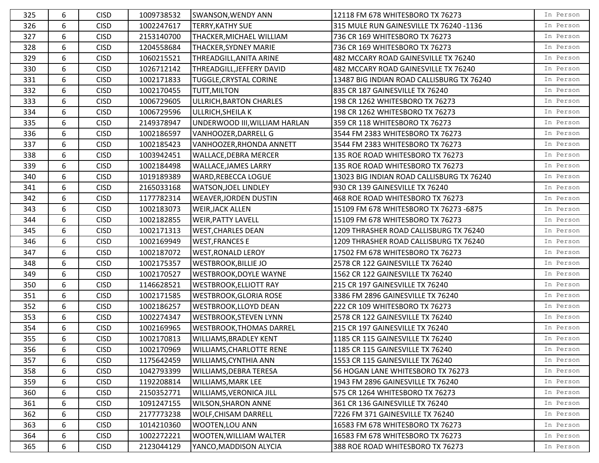| 325 | 6 | <b>CISD</b> | 1009738532 | <b>SWANSON, WENDY ANN</b>       | 12118 FM 678 WHITESBORO TX 76273          | In Person |
|-----|---|-------------|------------|---------------------------------|-------------------------------------------|-----------|
| 326 | 6 | <b>CISD</b> | 1002247617 | TERRY, KATHY SUE                | 315 MULE RUN GAINESVILLE TX 76240 -1136   | In Person |
| 327 | 6 | <b>CISD</b> | 2153140700 | THACKER, MICHAEL WILLIAM        | 736 CR 169 WHITESBORO TX 76273            | In Person |
| 328 | 6 | <b>CISD</b> | 1204558684 | THACKER, SYDNEY MARIE           | 736 CR 169 WHITESBORO TX 76273            | In Person |
| 329 | 6 | <b>CISD</b> | 1060215521 | THREADGILL, ANITA ARINE         | 482 MCCARY ROAD GAINESVILLE TX 76240      | In Person |
| 330 | 6 | <b>CISD</b> | 1026712142 | THREADGILL,JEFFERY DAVID        | 482 MCCARY ROAD GAINESVILLE TX 76240      | In Person |
| 331 | 6 | <b>CISD</b> | 1002171833 | TUGGLE, CRYSTAL CORINE          | 13487 BIG INDIAN ROAD CALLISBURG TX 76240 | In Person |
| 332 | 6 | <b>CISD</b> | 1002170455 | TUTT, MILTON                    | 835 CR 187 GAINESVILLE TX 76240           | In Person |
| 333 | 6 | <b>CISD</b> | 1006729605 | ULLRICH, BARTON CHARLES         | 198 CR 1262 WHITESBORO TX 76273           | In Person |
| 334 | 6 | <b>CISD</b> | 1006729596 | ULLRICH, SHEILA K               | 198 CR 1262 WHITESBORO TX 76273           | In Person |
| 335 | 6 | <b>CISD</b> | 2149378947 | UNDERWOOD III, WILLIAM HARLAN   | 359 CR 118 WHITESBORO TX 76273            | In Person |
| 336 | 6 | <b>CISD</b> | 1002186597 | VANHOOZER, DARRELL G            | 3544 FM 2383 WHITESBORO TX 76273          | In Person |
| 337 | 6 | <b>CISD</b> | 1002185423 | VANHOOZER, RHONDA ANNETT        | 3544 FM 2383 WHITESBORO TX 76273          | In Person |
| 338 | 6 | <b>CISD</b> | 1003942451 | <b>WALLACE, DEBRA MERCER</b>    | 135 ROE ROAD WHITESBORO TX 76273          | In Person |
| 339 | 6 | <b>CISD</b> | 1002184498 | <b>WALLACE, JAMES LARRY</b>     | 135 ROE ROAD WHITESBORO TX 76273          | In Person |
| 340 | 6 | <b>CISD</b> | 1019189389 | <b>WARD, REBECCA LOGUE</b>      | 13023 BIG INDIAN ROAD CALLISBURG TX 76240 | In Person |
| 341 | 6 | <b>CISD</b> | 2165033168 | <b>WATSON, JOEL LINDLEY</b>     | 930 CR 139 GAINESVILLE TX 76240           | In Person |
| 342 | 6 | <b>CISD</b> | 1177782314 | <b>WEAVER, JORDEN DUSTIN</b>    | 468 ROE ROAD WHITESBORO TX 76273          | In Person |
| 343 | 6 | <b>CISD</b> | 1002183073 | <b>WEIR, JACK ALLEN</b>         | 15109 FM 678 WHITESBORO TX 76273 -6875    | In Person |
| 344 | 6 | <b>CISD</b> | 1002182855 | <b>WEIR, PATTY LAVELL</b>       | 15109 FM 678 WHITESBORO TX 76273          | In Person |
| 345 | 6 | <b>CISD</b> | 1002171313 | <b>WEST, CHARLES DEAN</b>       | 1209 THRASHER ROAD CALLISBURG TX 76240    | In Person |
| 346 | 6 | <b>CISD</b> | 1002169949 | <b>WEST, FRANCES E</b>          | 1209 THRASHER ROAD CALLISBURG TX 76240    | In Person |
| 347 | 6 | <b>CISD</b> | 1002187072 | <b>WEST, RONALD LEROY</b>       | 17502 FM 678 WHITESBORO TX 76273          | In Person |
| 348 | 6 | <b>CISD</b> | 1002175357 | <b>WESTBROOK, BILLIE JO</b>     | 2578 CR 122 GAINESVILLE TX 76240          | In Person |
| 349 | 6 | <b>CISD</b> | 1002170527 | <b>WESTBROOK, DOYLE WAYNE</b>   | 1562 CR 122 GAINESVILLE TX 76240          | In Person |
| 350 | 6 | <b>CISD</b> | 1146628521 | <b>WESTBROOK, ELLIOTT RAY</b>   | 215 CR 197 GAINESVILLE TX 76240           | In Person |
| 351 | 6 | <b>CISD</b> | 1002171585 | <b>WESTBROOK, GLORIA ROSE</b>   | 3386 FM 2896 GAINESVILLE TX 76240         | In Person |
| 352 | 6 | <b>CISD</b> | 1002186257 | <b>WESTBROOK, LLOYD DEAN</b>    | 222 CR 109 WHITESBORO TX 76273            | In Person |
| 353 | 6 | <b>CISD</b> | 1002274347 | <b>WESTBROOK, STEVEN LYNN</b>   | 2578 CR 122 GAINESVILLE TX 76240          | In Person |
| 354 | 6 | <b>CISD</b> | 1002169965 | <b>WESTBROOK, THOMAS DARREL</b> | 215 CR 197 GAINESVILLE TX 76240           | In Person |
| 355 | 6 | <b>CISD</b> | 1002170813 | <b>WILLIAMS, BRADLEY KENT</b>   | 1185 CR 115 GAINESVILLE TX 76240          | In Person |
| 356 | 6 | <b>CISD</b> | 1002170969 | WILLIAMS, CHARLOTTE RENE        | 1185 CR 115 GAINESVILLE TX 76240          | In Person |
| 357 | 6 | <b>CISD</b> | 1175642459 | WILLIAMS, CYNTHIA ANN           | 1553 CR 115 GAINESVILLE TX 76240          | In Person |
| 358 | 6 | <b>CISD</b> | 1042793399 | <b>WILLIAMS, DEBRA TERESA</b>   | 56 HOGAN LANE WHITESBORO TX 76273         | In Person |
| 359 | 6 | <b>CISD</b> | 1192208814 | <b>WILLIAMS, MARK LEE</b>       | 1943 FM 2896 GAINESVILLE TX 76240         | In Person |
| 360 | 6 | <b>CISD</b> | 2150352771 | WILLIAMS, VERONICA JILL         | 575 CR 1264 WHITESBORO TX 76273           | In Person |
| 361 | 6 | <b>CISD</b> | 1091247155 | <b>WILSON, SHARON ANNE</b>      | 361 CR 136 GAINESVILLE TX 76240           | In Person |
| 362 | 6 | <b>CISD</b> | 2177773238 | <b>WOLF, CHISAM DARRELL</b>     | 7226 FM 371 GAINESVILLE TX 76240          | In Person |
| 363 | 6 | <b>CISD</b> | 1014210360 | <b>WOOTEN,LOU ANN</b>           | 16583 FM 678 WHITESBORO TX 76273          | In Person |
| 364 | 6 | <b>CISD</b> | 1002272221 | <b>WOOTEN, WILLIAM WALTER</b>   | 16583 FM 678 WHITESBORO TX 76273          | In Person |
| 365 | 6 | <b>CISD</b> | 2123044129 | YANCO, MADDISON ALYCIA          | 388 ROE ROAD WHITESBORO TX 76273          | In Person |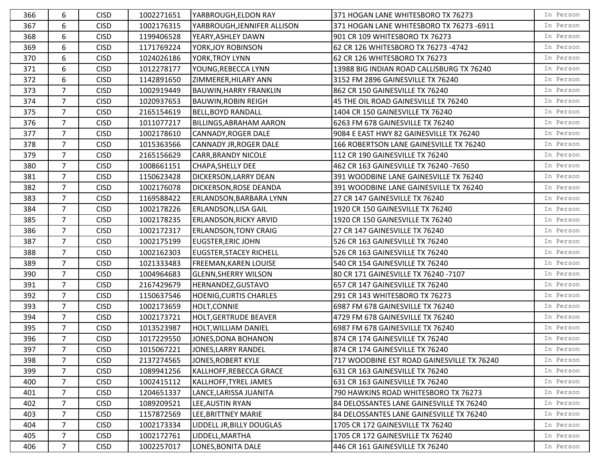| 366 | 6              | <b>CISD</b> | 1002271651 | YARBROUGH, ELDON RAY           | 371 HOGAN LANE WHITESBORO TX 76273         | In Person |
|-----|----------------|-------------|------------|--------------------------------|--------------------------------------------|-----------|
| 367 | 6              | <b>CISD</b> | 1002176315 | YARBROUGH, JENNIFER ALLISON    | 371 HOGAN LANE WHITESBORO TX 76273 -6911   | In Person |
| 368 | 6              | <b>CISD</b> | 1199406528 | YEARY, ASHLEY DAWN             | 901 CR 109 WHITESBORO TX 76273             | In Person |
| 369 | 6              | <b>CISD</b> | 1171769224 | YORK, JOY ROBINSON             | 62 CR 126 WHITESBORO TX 76273 -4742        | In Person |
| 370 | 6              | <b>CISD</b> | 1024026186 | <b>YORK, TROY LYNN</b>         | 62 CR 126 WHITESBORO TX 76273              | In Person |
| 371 | 6              | <b>CISD</b> | 1012278177 | YOUNG, REBECCA LYNN            | 13988 BIG INDIAN ROAD CALLISBURG TX 76240  | In Person |
| 372 | 6              | <b>CISD</b> | 1142891650 | ZIMMERER, HILARY ANN           | 3152 FM 2896 GAINESVILLE TX 76240          | In Person |
| 373 | 7              | <b>CISD</b> | 1002919449 | <b>BAUWIN, HARRY FRANKLIN</b>  | 862 CR 150 GAINESVILLE TX 76240            | In Person |
| 374 | $\overline{7}$ | <b>CISD</b> | 1020937653 | <b>BAUWIN, ROBIN REIGH</b>     | 45 THE OIL ROAD GAINESVILLE TX 76240       | In Person |
| 375 | 7              | <b>CISD</b> | 2165154619 | <b>BELL, BOYD RANDALL</b>      | 1404 CR 150 GAINESVILLE TX 76240           | In Person |
| 376 | 7              | <b>CISD</b> | 1011077217 | <b>BILLINGS, ABRAHAM AARON</b> | 6263 FM 678 GAINESVILLE TX 76240           | In Person |
| 377 | $\overline{7}$ | <b>CISD</b> | 1002178610 | <b>CANNADY, ROGER DALE</b>     | 9084 E EAST HWY 82 GAINESVILLE TX 76240    | In Person |
| 378 | $\overline{7}$ | <b>CISD</b> | 1015363566 | CANNADY JR, ROGER DALE         | 166 ROBERTSON LANE GAINESVILLE TX 76240    | In Person |
| 379 | $\overline{7}$ | <b>CISD</b> | 2165156629 | <b>CARR, BRANDY NICOLE</b>     | 112 CR 190 GAINESVILLE TX 76240            | In Person |
| 380 | $\overline{7}$ | <b>CISD</b> | 1008661151 | <b>CHAPA, SHELLY DEE</b>       | 462 CR 163 GAINESVILLE TX 76240 -7650      | In Person |
| 381 | $\overline{7}$ | <b>CISD</b> | 1150623428 | <b>DICKERSON, LARRY DEAN</b>   | 391 WOODBINE LANE GAINESVILLE TX 76240     | In Person |
| 382 | $\overline{7}$ | <b>CISD</b> | 1002176078 | <b>DICKERSON, ROSE DEANDA</b>  | 391 WOODBINE LANE GAINESVILLE TX 76240     | In Person |
| 383 | $\overline{7}$ | <b>CISD</b> | 1169588422 | <b>ERLANDSON, BARBARA LYNN</b> | 27 CR 147 GAINESVILLE TX 76240             | In Person |
| 384 | $\overline{7}$ | <b>CISD</b> | 1002178226 | <b>ERLANDSON, LISA GAIL</b>    | 1920 CR 150 GAINESVILLE TX 76240           | In Person |
| 385 | $\overline{7}$ | <b>CISD</b> | 1002178235 | <b>ERLANDSON, RICKY ARVID</b>  | 1920 CR 150 GAINESVILLE TX 76240           | In Person |
| 386 | $\overline{7}$ | <b>CISD</b> | 1002172317 | <b>ERLANDSON, TONY CRAIG</b>   | 27 CR 147 GAINESVILLE TX 76240             | In Person |
| 387 | $\overline{7}$ | <b>CISD</b> | 1002175199 | <b>EUGSTER, ERIC JOHN</b>      | 526 CR 163 GAINESVILLE TX 76240            | In Person |
| 388 | $\overline{7}$ | <b>CISD</b> | 1002162303 | <b>EUGSTER, STACEY RICHELL</b> | 526 CR 163 GAINESVILLE TX 76240            | In Person |
| 389 | $\overline{7}$ | <b>CISD</b> | 1021333483 | <b>FREEMAN, KAREN LOUISE</b>   | 540 CR 154 GAINESVILLE TX 76240            | In Person |
| 390 | $\overline{7}$ | <b>CISD</b> | 1004964683 | <b>GLENN, SHERRY WILSON</b>    | 80 CR 171 GAINESVILLE TX 76240 -7107       | In Person |
| 391 | $\overline{7}$ | <b>CISD</b> | 2167429679 | HERNANDEZ, GUSTAVO             | 657 CR 147 GAINESVILLE TX 76240            | In Person |
| 392 | 7              | <b>CISD</b> | 1150637546 | <b>HOENIG, CURTIS CHARLES</b>  | 291 CR 143 WHITESBORO TX 76273             | In Person |
| 393 | $\overline{7}$ | <b>CISD</b> | 1002173659 | HOLT, CONNIE                   | 6987 FM 678 GAINESVILLE TX 76240           | In Person |
| 394 | 7              | <b>CISD</b> | 1002173721 | <b>HOLT, GERTRUDE BEAVER</b>   | 4729 FM 678 GAINESVILLE TX 76240           | In Person |
| 395 | $\overline{7}$ | <b>CISD</b> | 1013523987 | HOLT, WILLIAM DANIEL           | 6987 FM 678 GAINESVILLE TX 76240           | In Person |
| 396 | $\overline{7}$ | <b>CISD</b> | 1017229550 | JONES, DONA BOHANON            | 874 CR 174 GAINESVILLE TX 76240            | In Person |
| 397 | 7 <sup>7</sup> | <b>CISD</b> | 1015067221 | JONES, LARRY RANDEL            | 874 CR 174 GAINESVILLE TX 76240            | In Person |
| 398 | $\overline{7}$ | <b>CISD</b> | 2137274565 | JONES, ROBERT KYLE             | 717 WOODBINE EST ROAD GAINESVILLE TX 76240 | In Person |
| 399 | $\overline{7}$ | <b>CISD</b> | 1089941256 | KALLHOFF,REBECCA GRACE         | 631 CR 163 GAINESVILLE TX 76240            | In Person |
| 400 | 7              | <b>CISD</b> | 1002415112 | KALLHOFF, TYREL JAMES          | 631 CR 163 GAINESVILLE TX 76240            | In Person |
| 401 | $\overline{7}$ | <b>CISD</b> | 1204651337 | LANCE, LARISSA JUANITA         | 790 HAWKINS ROAD WHITESBORO TX 76273       | In Person |
| 402 | $\overline{7}$ | <b>CISD</b> | 1089209521 | LEE, AUSTIN RYAN               | 84 DELOSSANTES LANE GAINESVILLE TX 76240   | In Person |
| 403 | $\overline{7}$ | <b>CISD</b> | 1157872569 | LEE, BRITTNEY MARIE            | 84 DELOSSANTES LANE GAINESVILLE TX 76240   | In Person |
| 404 | $\overline{7}$ | <b>CISD</b> | 1002173334 | LIDDELL JR, BILLY DOUGLAS      | 1705 CR 172 GAINESVILLE TX 76240           | In Person |
| 405 | $\overline{7}$ | <b>CISD</b> | 1002172761 | LIDDELL, MARTHA                | 1705 CR 172 GAINESVILLE TX 76240           | In Person |
| 406 | $\overline{7}$ | <b>CISD</b> | 1002257017 | LONES, BONITA DALE             | 446 CR 161 GAINESVILLE TX 76240            | In Person |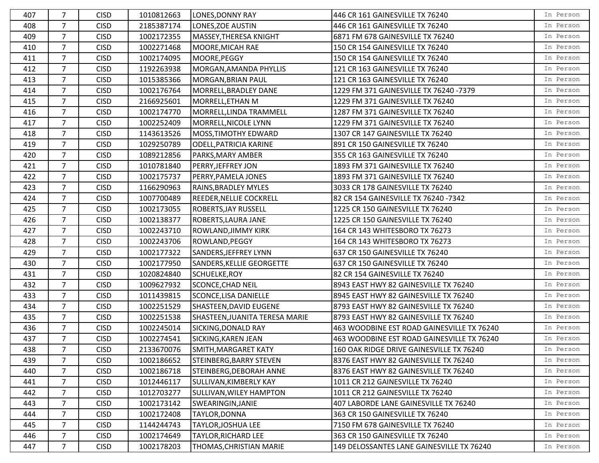| 407 | 7              | <b>CISD</b> | 1010812663 | <b>LONES, DONNY RAY</b>        | 446 CR 161 GAINESVILLE TX 76240            | In Person |
|-----|----------------|-------------|------------|--------------------------------|--------------------------------------------|-----------|
| 408 | $\overline{7}$ | <b>CISD</b> | 2185387174 | LONES, ZOE AUSTIN              | 446 CR 161 GAINESVILLE TX 76240            | In Person |
| 409 | $\overline{7}$ | <b>CISD</b> | 1002172355 | MASSEY, THERESA KNIGHT         | 6871 FM 678 GAINESVILLE TX 76240           | In Person |
| 410 | $\overline{7}$ | <b>CISD</b> | 1002271468 | MOORE, MICAH RAE               | 150 CR 154 GAINESVILLE TX 76240            | In Person |
| 411 | $\overline{7}$ | <b>CISD</b> | 1002174095 | MOORE, PEGGY                   | 150 CR 154 GAINESVILLE TX 76240            | In Person |
| 412 | $\overline{7}$ | <b>CISD</b> | 1192263938 | MORGAN, AMANDA PHYLLIS         | 121 CR 163 GAINESVILLE TX 76240            | In Person |
| 413 | $\overline{7}$ | <b>CISD</b> | 1015385366 | MORGAN, BRIAN PAUL             | 121 CR 163 GAINESVILLE TX 76240            | In Person |
| 414 | $\overline{7}$ | <b>CISD</b> | 1002176764 | MORRELL, BRADLEY DANE          | 1229 FM 371 GAINESVILLE TX 76240 -7379     | In Person |
| 415 | 7              | <b>CISD</b> | 2166925601 | MORRELL, ETHAN M               | 1229 FM 371 GAINESVILLE TX 76240           | In Person |
| 416 | $\overline{7}$ | <b>CISD</b> | 1002174770 | MORRELL, LINDA TRAMMELL        | 1287 FM 371 GAINESVILLE TX 76240           | In Person |
| 417 | $\overline{7}$ | <b>CISD</b> | 1002252409 | MORRELL, NICOLE LYNN           | 1229 FM 371 GAINESVILLE TX 76240           | In Person |
| 418 | $\overline{7}$ | <b>CISD</b> | 1143613526 | MOSS, TIMOTHY EDWARD           | 1307 CR 147 GAINESVILLE TX 76240           | In Person |
| 419 | $\overline{7}$ | <b>CISD</b> | 1029250789 | <b>ODELL, PATRICIA KARINE</b>  | 891 CR 150 GAINESVILLE TX 76240            | In Person |
| 420 | $\overline{7}$ | <b>CISD</b> | 1089212856 | PARKS, MARY AMBER              | 355 CR 163 GAINESVILLE TX 76240            | In Person |
| 421 | $\overline{7}$ | <b>CISD</b> | 1010781840 | PERRY, JEFFREY JON             | 1893 FM 371 GAINESVILLE TX 76240           | In Person |
| 422 | $\overline{7}$ | <b>CISD</b> | 1002175737 | PERRY, PAMELA JONES            | 1893 FM 371 GAINESVILLE TX 76240           | In Person |
| 423 | $\overline{7}$ | <b>CISD</b> | 1166290963 | RAINS, BRADLEY MYLES           | 3033 CR 178 GAINESVILLE TX 76240           | In Person |
| 424 | $\overline{7}$ | <b>CISD</b> | 1007700489 | <b>REEDER, NELLIE COCKRELL</b> | 82 CR 154 GAINESVILLE TX 76240 -7342       | In Person |
| 425 | $\overline{7}$ | <b>CISD</b> | 1002173055 | <b>ROBERTS, JAY RUSSELL</b>    | 1225 CR 150 GAINESVILLE TX 76240           | In Person |
| 426 | $\overline{7}$ | <b>CISD</b> | 1002138377 | <b>ROBERTS, LAURA JANE</b>     | 1225 CR 150 GAINESVILLE TX 76240           | In Person |
| 427 | 7              | <b>CISD</b> | 1002243710 | <b>ROWLAND, JIMMY KIRK</b>     | 164 CR 143 WHITESBORO TX 76273             | In Person |
| 428 | 7              | <b>CISD</b> | 1002243706 | ROWLAND, PEGGY                 | 164 CR 143 WHITESBORO TX 76273             | In Person |
| 429 | $\overline{7}$ | <b>CISD</b> | 1002177322 | SANDERS, JEFFREY LYNN          | 637 CR 150 GAINESVILLE TX 76240            | In Person |
| 430 | $\overline{7}$ | <b>CISD</b> | 1002177950 | SANDERS, KELLIE GEORGETTE      | 637 CR 150 GAINESVILLE TX 76240            | In Person |
| 431 | $\overline{7}$ | <b>CISD</b> | 1020824840 | SCHUELKE, ROY                  | 82 CR 154 GAINESVILLE TX 76240             | In Person |
| 432 | $\overline{7}$ | <b>CISD</b> | 1009627932 | SCONCE, CHAD NEIL              | 8943 EAST HWY 82 GAINESVILLE TX 76240      | In Person |
| 433 | $\overline{7}$ | <b>CISD</b> | 1011439815 | SCONCE, LISA DANIELLE          | 8945 EAST HWY 82 GAINESVILLE TX 76240      | In Person |
| 434 | $\overline{7}$ | <b>CISD</b> | 1002251529 | SHASTEEN, DAVID EUGENE         | 8793 EAST HWY 82 GAINESVILLE TX 76240      | In Person |
| 435 | $\overline{7}$ | <b>CISD</b> | 1002251538 | SHASTEEN, JUANITA TERESA MARIE | 8793 EAST HWY 82 GAINESVILLE TX 76240      | In Person |
| 436 | $\overline{7}$ | <b>CISD</b> | 1002245014 | SICKING, DONALD RAY            | 463 WOODBINE EST ROAD GAINESVILLE TX 76240 | In Person |
| 437 | $\overline{7}$ | <b>CISD</b> | 1002274541 | SICKING, KAREN JEAN            | 463 WOODBINE EST ROAD GAINESVILLE TX 76240 | In Person |
| 438 | $\overline{7}$ | <b>CISD</b> | 2133670076 | SMITH, MARGARET KATY           | 160 OAK RIDGE DRIVE GAINESVILLE TX 76240   | In Person |
| 439 | $\overline{7}$ | <b>CISD</b> | 1002186652 | STEINBERG, BARRY STEVEN        | 8376 EAST HWY 82 GAINESVILLE TX 76240      | In Person |
| 440 | $\overline{7}$ | <b>CISD</b> | 1002186718 | STEINBERG, DEBORAH ANNE        | 8376 EAST HWY 82 GAINESVILLE TX 76240      | In Person |
| 441 | 7              | <b>CISD</b> | 1012446117 | SULLIVAN, KIMBERLY KAY         | 1011 CR 212 GAINESVILLE TX 76240           | In Person |
| 442 | $\overline{7}$ | <b>CISD</b> | 1012703277 | SULLIVAN, WILEY HAMPTON        | 1011 CR 212 GAINESVILLE TX 76240           | In Person |
| 443 | $\overline{7}$ | <b>CISD</b> | 1002173142 | SWEARINGIN, JANIE              | 407 LABORDE LANE GAINESVILLE TX 76240      | In Person |
| 444 | $\overline{7}$ | <b>CISD</b> | 1002172408 | TAYLOR, DONNA                  | 363 CR 150 GAINESVILLE TX 76240            | In Person |
| 445 | $\overline{7}$ | <b>CISD</b> | 1144244743 | TAYLOR, JOSHUA LEE             | 7150 FM 678 GAINESVILLE TX 76240           | In Person |
| 446 | 7              | <b>CISD</b> | 1002174649 | TAYLOR, RICHARD LEE            | 363 CR 150 GAINESVILLE TX 76240            | In Person |
| 447 | $\overline{7}$ | <b>CISD</b> | 1002178203 | THOMAS, CHRISTIAN MARIE        | 149 DELOSSANTES LANE GAINESVILLE TX 76240  | In Person |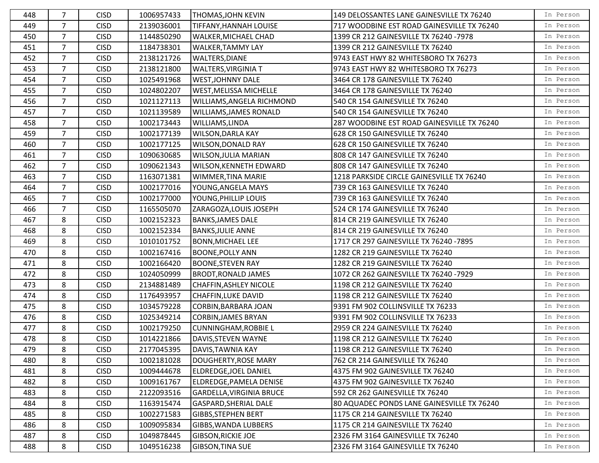| 448 | 7              | <b>CISD</b> | 1006957433 | THOMAS, JOHN KEVIN            | 149 DELOSSANTES LANE GAINESVILLE TX 76240  | In Person |
|-----|----------------|-------------|------------|-------------------------------|--------------------------------------------|-----------|
| 449 | $\overline{7}$ | <b>CISD</b> | 2139036001 | <b>TIFFANY, HANNAH LOUISE</b> | 717 WOODBINE EST ROAD GAINESVILLE TX 76240 | In Person |
| 450 | $\overline{7}$ | <b>CISD</b> | 1144850290 | <b>WALKER, MICHAEL CHAD</b>   | 1399 CR 212 GAINESVILLE TX 76240 -7978     | In Person |
| 451 | $\overline{7}$ | <b>CISD</b> | 1184738301 | <b>WALKER, TAMMY LAY</b>      | 1399 CR 212 GAINESVILLE TX 76240           | In Person |
| 452 | $\overline{7}$ | <b>CISD</b> | 2138121726 | <b>WALTERS, DIANE</b>         | 9743 EAST HWY 82 WHITESBORO TX 76273       | In Person |
| 453 | $\overline{7}$ | <b>CISD</b> | 2138121800 | <b>WALTERS, VIRGINIA T</b>    | 9743 EAST HWY 82 WHITESBORO TX 76273       | In Person |
| 454 | $\overline{7}$ | <b>CISD</b> | 1025491968 | <b>WEST, JOHNNY DALE</b>      | 3464 CR 178 GAINESVILLE TX 76240           | In Person |
| 455 | 7              | <b>CISD</b> | 1024802207 | <b>WEST, MELISSA MICHELLE</b> | 3464 CR 178 GAINESVILLE TX 76240           | In Person |
| 456 | 7              | <b>CISD</b> | 1021127113 | WILLIAMS, ANGELA RICHMOND     | 540 CR 154 GAINESVILLE TX 76240            | In Person |
| 457 | $\overline{7}$ | <b>CISD</b> | 1021139589 | WILLIAMS, JAMES RONALD        | 540 CR 154 GAINESVILLE TX 76240            | In Person |
| 458 | 7              | <b>CISD</b> | 1002173443 | WILLIAMS, LINDA               | 287 WOODBINE EST ROAD GAINESVILLE TX 76240 | In Person |
| 459 | $\overline{7}$ | <b>CISD</b> | 1002177139 | <b>WILSON, DARLA KAY</b>      | 628 CR 150 GAINESVILLE TX 76240            | In Person |
| 460 | $\overline{7}$ | <b>CISD</b> | 1002177125 | <b>WILSON, DONALD RAY</b>     | 628 CR 150 GAINESVILLE TX 76240            | In Person |
| 461 | $\overline{7}$ | <b>CISD</b> | 1090630685 | WILSON, JULIA MARIAN          | 808 CR 147 GAINESVILLE TX 76240            | In Person |
| 462 | $\overline{7}$ | <b>CISD</b> | 1090621343 | <b>WILSON, KENNETH EDWARD</b> | 808 CR 147 GAINESVILLE TX 76240            | In Person |
| 463 | $\overline{7}$ | <b>CISD</b> | 1163071381 | <b>WIMMER, TINA MARIE</b>     | 1218 PARKSIDE CIRCLE GAINESVILLE TX 76240  | In Person |
| 464 | 7              | <b>CISD</b> | 1002177016 | YOUNG, ANGELA MAYS            | 739 CR 163 GAINESVILLE TX 76240            | In Person |
| 465 | $\overline{7}$ | <b>CISD</b> | 1002177000 | YOUNG, PHILLIP LOUIS          | 739 CR 163 GAINESVILLE TX 76240            | In Person |
| 466 | $\overline{7}$ | <b>CISD</b> | 1165505070 | ZARAGOZA, LOUIS JOSEPH        | 524 CR 174 GAINESVILLE TX 76240            | In Person |
| 467 | 8              | <b>CISD</b> | 1002152323 | <b>BANKS, JAMES DALE</b>      | 814 CR 219 GAINESVILLE TX 76240            | In Person |
| 468 | 8              | <b>CISD</b> | 1002152334 | <b>BANKS, JULIE ANNE</b>      | 814 CR 219 GAINESVILLE TX 76240            | In Person |
| 469 | 8              | <b>CISD</b> | 1010101752 | <b>BONN, MICHAEL LEE</b>      | 1717 CR 297 GAINESVILLE TX 76240 -7895     | In Person |
| 470 | 8              | <b>CISD</b> | 1002167416 | <b>BOONE, POLLY ANN</b>       | 1282 CR 219 GAINESVILLE TX 76240           | In Person |
| 471 | 8              | <b>CISD</b> | 1002166420 | <b>BOONE, STEVEN RAY</b>      | 1282 CR 219 GAINESVILLE TX 76240           | In Person |
| 472 | 8              | <b>CISD</b> | 1024050999 | <b>BRODT, RONALD JAMES</b>    | 1072 CR 262 GAINESVILLE TX 76240 -7929     | In Person |
| 473 | 8              | <b>CISD</b> | 2134881489 | <b>CHAFFIN, ASHLEY NICOLE</b> | 1198 CR 212 GAINESVILLE TX 76240           | In Person |
| 474 | 8              | <b>CISD</b> | 1176493957 | CHAFFIN, LUKE DAVID           | 1198 CR 212 GAINESVILLE TX 76240           | In Person |
| 475 | 8              | <b>CISD</b> | 1034579228 | CORBIN, BARBARA JOAN          | 9391 FM 902 COLLINSVILLE TX 76233          | In Person |
| 476 | 8              | <b>CISD</b> | 1025349214 | <b>CORBIN, JAMES BRYAN</b>    | 9391 FM 902 COLLINSVILLE TX 76233          | In Person |
| 477 | 8              | <b>CISD</b> | 1002179250 | <b>CUNNINGHAM, ROBBIE L</b>   | 2959 CR 224 GAINESVILLE TX 76240           | In Person |
| 478 | 8              | <b>CISD</b> | 1014221866 | DAVIS, STEVEN WAYNE           | 1198 CR 212 GAINESVILLE TX 76240           | In Person |
| 479 | 8              | <b>CISD</b> | 2177045395 | DAVIS, TAWNIA KAY             | 1198 CR 212 GAINESVILLE TX 76240           | In Person |
| 480 | 8              | <b>CISD</b> | 1002181028 | DOUGHERTY, ROSE MARY          | 762 CR 214 GAINESVILLE TX 76240            | In Person |
| 481 | 8              | <b>CISD</b> | 1009444678 | ELDREDGE,JOEL DANIEL          | 4375 FM 902 GAINESVILLE TX 76240           | In Person |
| 482 | 8              | <b>CISD</b> | 1009161767 | ELDREDGE, PAMELA DENISE       | 4375 FM 902 GAINESVILLE TX 76240           | In Person |
| 483 | 8              | <b>CISD</b> | 2122093516 | GARDELLA, VIRGINIA BRUCE      | 592 CR 262 GAINESVILLE TX 76240            | In Person |
| 484 | 8              | <b>CISD</b> | 1163915474 | <b>GASPARD, SHERIAL DALE</b>  | 80 AQUADEC PONDS LANE GAINESVILLE TX 76240 | In Person |
| 485 | 8              | <b>CISD</b> | 1002271583 | GIBBS, STEPHEN BERT           | 1175 CR 214 GAINESVILLE TX 76240           | In Person |
| 486 | 8              | <b>CISD</b> | 1009095834 | GIBBS, WANDA LUBBERS          | 1175 CR 214 GAINESVILLE TX 76240           | In Person |
| 487 | 8              | <b>CISD</b> | 1049878445 | <b>GIBSON, RICKIE JOE</b>     | 2326 FM 3164 GAINESVILLE TX 76240          | In Person |
| 488 | 8              | <b>CISD</b> | 1049516238 | <b>GIBSON, TINA SUE</b>       | 2326 FM 3164 GAINESVILLE TX 76240          | In Person |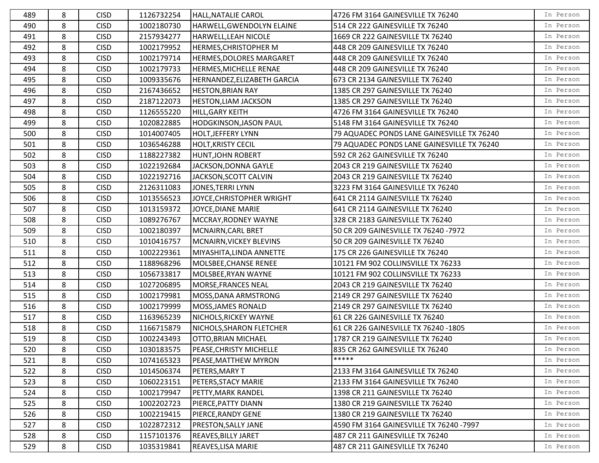| 489 | 8 | <b>CISD</b> | 1126732254 | <b>HALL, NATALIE CAROL</b>      | 4726 FM 3164 GAINESVILLE TX 76240          | In Person |
|-----|---|-------------|------------|---------------------------------|--------------------------------------------|-----------|
| 490 | 8 | <b>CISD</b> | 1002180730 | HARWELL, GWENDOLYN ELAINE       | 514 CR 222 GAINESVILLE TX 76240            | In Person |
| 491 | 8 | <b>CISD</b> | 2157934277 | <b>HARWELL, LEAH NICOLE</b>     | 1669 CR 222 GAINESVILLE TX 76240           | In Person |
| 492 | 8 | <b>CISD</b> | 1002179952 | HERMES, CHRISTOPHER M           | 448 CR 209 GAINESVILLE TX 76240            | In Person |
| 493 | 8 | <b>CISD</b> | 1002179714 | <b>HERMES, DOLORES MARGARET</b> | 448 CR 209 GAINESVILLE TX 76240            | In Person |
| 494 | 8 | <b>CISD</b> | 1002179733 | HERMES, MICHELLE RENAE          | 448 CR 209 GAINESVILLE TX 76240            | In Person |
| 495 | 8 | <b>CISD</b> | 1009335676 | HERNANDEZ, ELIZABETH GARCIA     | 673 CR 2134 GAINESVILLE TX 76240           | In Person |
| 496 | 8 | <b>CISD</b> | 2167436652 | <b>HESTON, BRIAN RAY</b>        | 1385 CR 297 GAINESVILLE TX 76240           | In Person |
| 497 | 8 | <b>CISD</b> | 2187122073 | <b>HESTON, LIAM JACKSON</b>     | 1385 CR 297 GAINESVILLE TX 76240           | In Person |
| 498 | 8 | <b>CISD</b> | 1126555220 | HILL, GARY KEITH                | 4726 FM 3164 GAINESVILLE TX 76240          | In Person |
| 499 | 8 | <b>CISD</b> | 1020822885 | <b>HODGKINSON, JASON PAUL</b>   | 5148 FM 3164 GAINESVILLE TX 76240          | In Person |
| 500 | 8 | <b>CISD</b> | 1014007405 | <b>HOLT, JEFFERY LYNN</b>       | 79 AQUADEC PONDS LANE GAINESVILLE TX 76240 | In Person |
| 501 | 8 | <b>CISD</b> | 1036546288 | <b>HOLT, KRISTY CECIL</b>       | 79 AQUADEC PONDS LANE GAINESVILLE TX 76240 | In Person |
| 502 | 8 | <b>CISD</b> | 1188227382 | <b>HUNT, JOHN ROBERT</b>        | 592 CR 262 GAINESVILLE TX 76240            | In Person |
| 503 | 8 | <b>CISD</b> | 1022192684 | JACKSON, DONNA GAYLE            | 2043 CR 219 GAINESVILLE TX 76240           | In Person |
| 504 | 8 | <b>CISD</b> | 1022192716 | JACKSON, SCOTT CALVIN           | 2043 CR 219 GAINESVILLE TX 76240           | In Person |
| 505 | 8 | <b>CISD</b> | 2126311083 | <b>JONES, TERRI LYNN</b>        | 3223 FM 3164 GAINESVILLE TX 76240          | In Person |
| 506 | 8 | <b>CISD</b> | 1013556523 | JOYCE, CHRISTOPHER WRIGHT       | 641 CR 2114 GAINESVILLE TX 76240           | In Person |
| 507 | 8 | <b>CISD</b> | 1013159372 | JOYCE, DIANE MARIE              | 641 CR 2114 GAINESVILLE TX 76240           | In Person |
| 508 | 8 | <b>CISD</b> | 1089276767 | MCCRAY, RODNEY WAYNE            | 328 CR 2183 GAINESVILLE TX 76240           | In Person |
| 509 | 8 | <b>CISD</b> | 1002180397 | MCNAIRN, CARL BRET              | 50 CR 209 GAINESVILLE TX 76240 -7972       | In Person |
| 510 | 8 | <b>CISD</b> | 1010416757 | MCNAIRN, VICKEY BLEVINS         | 50 CR 209 GAINESVILLE TX 76240             | In Person |
| 511 | 8 | <b>CISD</b> | 1002229361 | MIYASHITA, LINDA ANNETTE        | 175 CR 226 GAINESVILLE TX 76240            | In Person |
| 512 | 8 | <b>CISD</b> | 1188968296 | MOLSBEE, CHANSE RENEE           | 10121 FM 902 COLLINSVILLE TX 76233         | In Person |
| 513 | 8 | <b>CISD</b> | 1056733817 | MOLSBEE, RYAN WAYNE             | 10121 FM 902 COLLINSVILLE TX 76233         | In Person |
| 514 | 8 | <b>CISD</b> | 1027206895 | MORSE, FRANCES NEAL             | 2043 CR 219 GAINESVILLE TX 76240           | In Person |
| 515 | 8 | <b>CISD</b> | 1002179981 | MOSS, DANA ARMSTRONG            | 2149 CR 297 GAINESVILLE TX 76240           | In Person |
| 516 | 8 | <b>CISD</b> | 1002179999 | MOSS, JAMES RONALD              | 2149 CR 297 GAINESVILLE TX 76240           | In Person |
| 517 | 8 | <b>CISD</b> | 1163965239 | NICHOLS, RICKEY WAYNE           | 61 CR 226 GAINESVILLE TX 76240             | In Person |
| 518 | 8 | <b>CISD</b> | 1166715879 | NICHOLS, SHARON FLETCHER        | 61 CR 226 GAINESVILLE TX 76240 -1805       | In Person |
| 519 | 8 | <b>CISD</b> | 1002243493 | <b>OTTO, BRIAN MICHAEL</b>      | 1787 CR 219 GAINESVILLE TX 76240           | In Person |
| 520 | 8 | <b>CISD</b> | 1030183575 | PEASE, CHRISTY MICHELLE         | 835 CR 262 GAINESVILLE TX 76240            | In Person |
| 521 | 8 | <b>CISD</b> | 1074165323 | PEASE, MATTHEW MYRON            | *****                                      | In Person |
| 522 | 8 | <b>CISD</b> | 1014506374 | PETERS,MARY T                   | 2133 FM 3164 GAINESVILLE TX 76240          | In Person |
| 523 | 8 | <b>CISD</b> | 1060223151 | PETERS, STACY MARIE             | 2133 FM 3164 GAINESVILLE TX 76240          | In Person |
| 524 | 8 | <b>CISD</b> | 1002179947 | PETTY, MARK RANDEL              | 1398 CR 211 GAINESVILLE TX 76240           | In Person |
| 525 | 8 | <b>CISD</b> | 1002202723 | PIERCE, PATTY DIANN             | 1380 CR 219 GAINESVILLE TX 76240           | In Person |
| 526 | 8 | <b>CISD</b> | 1002219415 | PIERCE, RANDY GENE              | 1380 CR 219 GAINESVILLE TX 76240           | In Person |
| 527 | 8 | <b>CISD</b> | 1022872312 | <b>PRESTON, SALLY JANE</b>      | 4590 FM 3164 GAINESVILLE TX 76240 -7997    | In Person |
| 528 | 8 | <b>CISD</b> | 1157101376 | <b>REAVES, BILLY JARET</b>      | 487 CR 211 GAINESVILLE TX 76240            | In Person |
| 529 | 8 | <b>CISD</b> | 1035319841 | <b>REAVES, LISA MARIE</b>       | 487 CR 211 GAINESVILLE TX 76240            | In Person |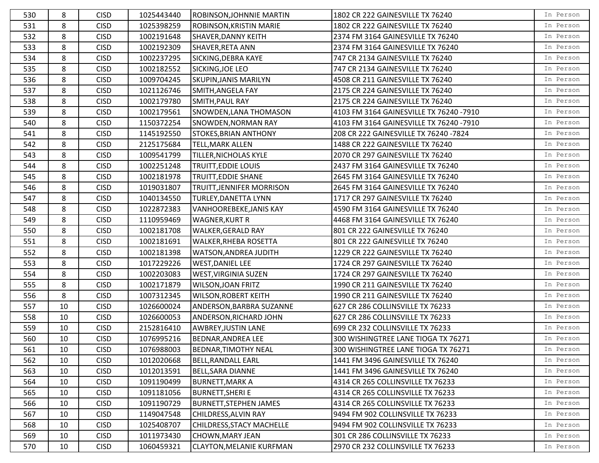| 530 | 8      | <b>CISD</b> | 1025443440 | ROBINSON, JOHNNIE MARTIN         | 1802 CR 222 GAINESVILLE TX 76240        | In Person |
|-----|--------|-------------|------------|----------------------------------|-----------------------------------------|-----------|
| 531 | 8      | <b>CISD</b> | 1025398259 | ROBINSON, KRISTIN MARIE          | 1802 CR 222 GAINESVILLE TX 76240        | In Person |
| 532 | 8      | <b>CISD</b> | 1002191648 | <b>SHAVER, DANNY KEITH</b>       | 2374 FM 3164 GAINESVILLE TX 76240       | In Person |
| 533 | 8      | <b>CISD</b> | 1002192309 | SHAVER, RETA ANN                 | 2374 FM 3164 GAINESVILLE TX 76240       | In Person |
| 534 | 8      | <b>CISD</b> | 1002237295 | SICKING, DEBRA KAYE              | 747 CR 2134 GAINESVILLE TX 76240        | In Person |
| 535 | 8      | <b>CISD</b> | 1002182552 | SICKING, JOE LEO                 | 747 CR 2134 GAINESVILLE TX 76240        | In Person |
| 536 | 8      | <b>CISD</b> | 1009704245 | <b>SKUPIN, JANIS MARILYN</b>     | 4508 CR 211 GAINESVILLE TX 76240        | In Person |
| 537 | 8      | <b>CISD</b> | 1021126746 | SMITH, ANGELA FAY                | 2175 CR 224 GAINESVILLE TX 76240        | In Person |
| 538 | 8      | <b>CISD</b> | 1002179780 | <b>SMITH, PAUL RAY</b>           | 2175 CR 224 GAINESVILLE TX 76240        | In Person |
| 539 | 8      | <b>CISD</b> | 1002179561 | <b>SNOWDEN, LANA THOMASON</b>    | 4103 FM 3164 GAINESVILLE TX 76240 -7910 | In Person |
| 540 | 8      | <b>CISD</b> | 1150372254 | <b>SNOWDEN, NORMAN RAY</b>       | 4103 FM 3164 GAINESVILLE TX 76240 -7910 | In Person |
| 541 | 8      | <b>CISD</b> | 1145192550 | <b>STOKES, BRIAN ANTHONY</b>     | 208 CR 222 GAINESVILLE TX 76240 -7824   | In Person |
| 542 | 8      | <b>CISD</b> | 2125175684 | <b>TELL, MARK ALLEN</b>          | 1488 CR 222 GAINESVILLE TX 76240        | In Person |
| 543 | 8      | <b>CISD</b> | 1009541799 | TILLER, NICHOLAS KYLE            | 2070 CR 297 GAINESVILLE TX 76240        | In Person |
| 544 | 8      | <b>CISD</b> | 1002251248 | <b>TRUITT, EDDIE LOUIS</b>       | 2437 FM 3164 GAINESVILLE TX 76240       | In Person |
| 545 | 8      | <b>CISD</b> | 1002181978 | <b>TRUITT, EDDIE SHANE</b>       | 2645 FM 3164 GAINESVILLE TX 76240       | In Person |
| 546 | 8      | <b>CISD</b> | 1019031807 | TRUITT, JENNIFER MORRISON        | 2645 FM 3164 GAINESVILLE TX 76240       | In Person |
| 547 | 8      | <b>CISD</b> | 1040134550 | <b>TURLEY, DANETTA LYNN</b>      | 1717 CR 297 GAINESVILLE TX 76240        | In Person |
| 548 | 8      | <b>CISD</b> | 1022872383 | <b>VANHOOREBEKE, JANIS KAY</b>   | 4590 FM 3164 GAINESVILLE TX 76240       | In Person |
| 549 | 8      | <b>CISD</b> | 1110959469 | <b>WAGNER, KURT R</b>            | 4468 FM 3164 GAINESVILLE TX 76240       | In Person |
| 550 | 8      | <b>CISD</b> | 1002181708 | <b>WALKER, GERALD RAY</b>        | 801 CR 222 GAINESVILLE TX 76240         | In Person |
| 551 | 8      | <b>CISD</b> | 1002181691 | <b>WALKER, RHEBA ROSETTA</b>     | 801 CR 222 GAINESVILLE TX 76240         | In Person |
| 552 | 8      | <b>CISD</b> | 1002181398 | <b>WATSON, ANDREA JUDITH</b>     | 1229 CR 222 GAINESVILLE TX 76240        | In Person |
| 553 | 8      | <b>CISD</b> | 1017229226 | <b>WEST, DANIEL LEE</b>          | 1724 CR 297 GAINESVILLE TX 76240        | In Person |
| 554 | 8      | <b>CISD</b> | 1002203083 | <b>WEST, VIRGINIA SUZEN</b>      | 1724 CR 297 GAINESVILLE TX 76240        | In Person |
| 555 | 8      | <b>CISD</b> | 1002171879 | <b>WILSON, JOAN FRITZ</b>        | 1990 CR 211 GAINESVILLE TX 76240        | In Person |
| 556 | 8      | <b>CISD</b> | 1007312345 | <b>WILSON, ROBERT KEITH</b>      | 1990 CR 211 GAINESVILLE TX 76240        | In Person |
| 557 | 10     | <b>CISD</b> | 1026600024 | ANDERSON, BARBRA SUZANNE         | 627 CR 286 COLLINSVILLE TX 76233        | In Person |
| 558 | 10     | <b>CISD</b> | 1026600053 | <b>ANDERSON, RICHARD JOHN</b>    | 627 CR 286 COLLINSVILLE TX 76233        | In Person |
| 559 | 10     | <b>CISD</b> | 2152816410 | <b>AWBREY, JUSTIN LANE</b>       | 699 CR 232 COLLINSVILLE TX 76233        | In Person |
| 560 | 10     | <b>CISD</b> | 1076995216 | <b>BEDNAR, ANDREA LEE</b>        | 300 WISHINGTREE LANE TIOGA TX 76271     | In Person |
| 561 | $10\,$ | <b>CISD</b> | 1076988003 | <b>BEDNAR, TIMOTHY NEAL</b>      | 300 WISHINGTREE LANE TIOGA TX 76271     | In Person |
| 562 | 10     | <b>CISD</b> | 1012020668 | <b>BELL, RANDALL EARL</b>        | 1441 FM 3496 GAINESVILLE TX 76240       | In Person |
| 563 | 10     | <b>CISD</b> | 1012013591 | <b>BELL, SARA DIANNE</b>         | 1441 FM 3496 GAINESVILLE TX 76240       | In Person |
| 564 | 10     | <b>CISD</b> | 1091190499 | BURNETT,MARK A                   | 4314 CR 265 COLLINSVILLE TX 76233       | In Person |
| 565 | 10     | <b>CISD</b> | 1091181056 | <b>BURNETT, SHERI E</b>          | 4314 CR 265 COLLINSVILLE TX 76233       | In Person |
| 566 | 10     | <b>CISD</b> | 1091190729 | <b>BURNETT, STEPHEN JAMES</b>    | 4314 CR 265 COLLINSVILLE TX 76233       | In Person |
| 567 | 10     | <b>CISD</b> | 1149047548 | CHILDRESS, ALVIN RAY             | 9494 FM 902 COLLINSVILLE TX 76233       | In Person |
| 568 | 10     | <b>CISD</b> | 1025408707 | <b>CHILDRESS, STACY MACHELLE</b> | 9494 FM 902 COLLINSVILLE TX 76233       | In Person |
| 569 | 10     | <b>CISD</b> | 1011973430 | <b>CHOWN, MARY JEAN</b>          | 301 CR 286 COLLINSVILLE TX 76233        | In Person |
| 570 | 10     | <b>CISD</b> | 1060459321 | <b>CLAYTON, MELANIE KURFMAN</b>  | 2970 CR 232 COLLINSVILLE TX 76233       | In Person |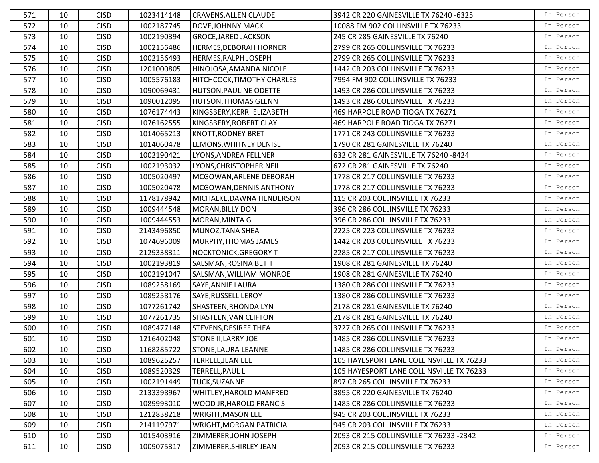| 571 | 10     | <b>CISD</b> | 1023414148 | <b>CRAVENS, ALLEN CLAUDE</b>   | 3942 CR 220 GAINESVILLE TX 76240 -6325   | In Person |
|-----|--------|-------------|------------|--------------------------------|------------------------------------------|-----------|
| 572 | 10     | <b>CISD</b> | 1002187745 | <b>DOVE, JOHNNY MACK</b>       | 10088 FM 902 COLLINSVILLE TX 76233       | In Person |
| 573 | 10     | <b>CISD</b> | 1002190394 | <b>GROCE, JARED JACKSON</b>    | 245 CR 285 GAINESVILLE TX 76240          | In Person |
| 574 | 10     | <b>CISD</b> | 1002156486 | <b>HERMES, DEBORAH HORNER</b>  | 2799 CR 265 COLLINSVILLE TX 76233        | In Person |
| 575 | 10     | <b>CISD</b> | 1002156493 | <b>HERMES, RALPH JOSEPH</b>    | 2799 CR 265 COLLINSVILLE TX 76233        | In Person |
| 576 | 10     | <b>CISD</b> | 1201000805 | HINOJOSA, AMANDA NICOLE        | 1442 CR 203 COLLINSVILLE TX 76233        | In Person |
| 577 | 10     | <b>CISD</b> | 1005576183 | HITCHCOCK, TIMOTHY CHARLES     | 7994 FM 902 COLLINSVILLE TX 76233        | In Person |
| 578 | 10     | <b>CISD</b> | 1090069431 | <b>HUTSON, PAULINE ODETTE</b>  | 1493 CR 286 COLLINSVILLE TX 76233        | In Person |
| 579 | 10     | <b>CISD</b> | 1090012095 | <b>HUTSON, THOMAS GLENN</b>    | 1493 CR 286 COLLINSVILLE TX 76233        | In Person |
| 580 | 10     | <b>CISD</b> | 1076174443 | KINGSBERY, KERRI ELIZABETH     | 469 HARPOLE ROAD TIOGA TX 76271          | In Person |
| 581 | 10     | <b>CISD</b> | 1076162555 | KINGSBERY, ROBERT CLAY         | 469 HARPOLE ROAD TIOGA TX 76271          | In Person |
| 582 | 10     | <b>CISD</b> | 1014065213 | <b>KNOTT, RODNEY BRET</b>      | 1771 CR 243 COLLINSVILLE TX 76233        | In Person |
| 583 | 10     | <b>CISD</b> | 1014060478 | LEMONS, WHITNEY DENISE         | 1790 CR 281 GAINESVILLE TX 76240         | In Person |
| 584 | 10     | <b>CISD</b> | 1002190421 | LYONS, ANDREA FELLNER          | 632 CR 281 GAINESVILLE TX 76240 -8424    | In Person |
| 585 | 10     | <b>CISD</b> | 1002193032 | LYONS, CHRISTOPHER NEIL        | 672 CR 281 GAINESVILLE TX 76240          | In Person |
| 586 | 10     | <b>CISD</b> | 1005020497 | MCGOWAN, ARLENE DEBORAH        | 1778 CR 217 COLLINSVILLE TX 76233        | In Person |
| 587 | 10     | <b>CISD</b> | 1005020478 | MCGOWAN, DENNIS ANTHONY        | 1778 CR 217 COLLINSVILLE TX 76233        | In Person |
| 588 | 10     | <b>CISD</b> | 1178178942 | MICHALKE, DAWNA HENDERSON      | 115 CR 203 COLLINSVILLE TX 76233         | In Person |
| 589 | 10     | <b>CISD</b> | 1009444548 | <b>MORAN, BILLY DON</b>        | 396 CR 286 COLLINSVILLE TX 76233         | In Person |
| 590 | 10     | <b>CISD</b> | 1009444553 | MORAN, MINTA G                 | 396 CR 286 COLLINSVILLE TX 76233         | In Person |
| 591 | 10     | <b>CISD</b> | 2143496850 | MUNOZ, TANA SHEA               | 2225 CR 223 COLLINSVILLE TX 76233        | In Person |
| 592 | 10     | <b>CISD</b> | 1074696009 | MURPHY, THOMAS JAMES           | 1442 CR 203 COLLINSVILLE TX 76233        | In Person |
| 593 | 10     | <b>CISD</b> | 2129338311 | <b>NOCKTONICK, GREGORY T</b>   | 2285 CR 217 COLLINSVILLE TX 76233        | In Person |
| 594 | 10     | <b>CISD</b> | 1002193819 | SALSMAN, ROSINA BETH           | 1908 CR 281 GAINESVILLE TX 76240         | In Person |
| 595 | 10     | <b>CISD</b> | 1002191047 | SALSMAN, WILLIAM MONROE        | 1908 CR 281 GAINESVILLE TX 76240         | In Person |
| 596 | 10     | <b>CISD</b> | 1089258169 | SAYE, ANNIE LAURA              | 1380 CR 286 COLLINSVILLE TX 76233        | In Person |
| 597 | 10     | <b>CISD</b> | 1089258176 | <b>SAYE, RUSSELL LEROY</b>     | 1380 CR 286 COLLINSVILLE TX 76233        | In Person |
| 598 | 10     | <b>CISD</b> | 1077261742 | SHASTEEN, RHONDA LYN           | 2178 CR 281 GAINESVILLE TX 76240         | In Person |
| 599 | 10     | <b>CISD</b> | 1077261735 | SHASTEEN, VAN CLIFTON          | 2178 CR 281 GAINESVILLE TX 76240         | In Person |
| 600 | 10     | <b>CISD</b> | 1089477148 | <b>STEVENS, DESIREE THEA</b>   | 3727 CR 265 COLLINSVILLE TX 76233        | In Person |
| 601 | 10     | <b>CISD</b> | 1216402048 | <b>STONE II, LARRY JOE</b>     | 1485 CR 286 COLLINSVILLE TX 76233        | In Person |
| 602 | $10\,$ | <b>CISD</b> | 1168285722 | STONE, LAURA LEANNE            | 1485 CR 286 COLLINSVILLE TX 76233        | In Person |
| 603 | 10     | <b>CISD</b> | 1089625257 | TERRELL, JEAN LEE              | 105 HAYESPORT LANE COLLINSVILLE TX 76233 | In Person |
| 604 | 10     | <b>CISD</b> | 1089520329 | <b>TERRELL, PAUL L</b>         | 105 HAYESPORT LANE COLLINSVILLE TX 76233 | In Person |
| 605 | 10     | <b>CISD</b> | 1002191449 | TUCK, SUZANNE                  | 897 CR 265 COLLINSVILLE TX 76233         | In Person |
| 606 | 10     | <b>CISD</b> | 2133398967 | WHITLEY, HAROLD MANFRED        | 3895 CR 220 GAINESVILLE TX 76240         | In Person |
| 607 | 10     | <b>CISD</b> | 1089993010 | <b>WOOD JR, HAROLD FRANCIS</b> | 1485 CR 286 COLLINSVILLE TX 76233        | In Person |
| 608 | 10     | <b>CISD</b> | 1212838218 | <b>WRIGHT, MASON LEE</b>       | 945 CR 203 COLLINSVILLE TX 76233         | In Person |
| 609 | 10     | <b>CISD</b> | 2141197971 | <b>WRIGHT, MORGAN PATRICIA</b> | 945 CR 203 COLLINSVILLE TX 76233         | In Person |
| 610 | 10     | <b>CISD</b> | 1015403916 | ZIMMERER, JOHN JOSEPH          | 2093 CR 215 COLLINSVILLE TX 76233 -2342  | In Person |
| 611 | 10     | <b>CISD</b> | 1009075317 | ZIMMERER, SHIRLEY JEAN         | 2093 CR 215 COLLINSVILLE TX 76233        | In Person |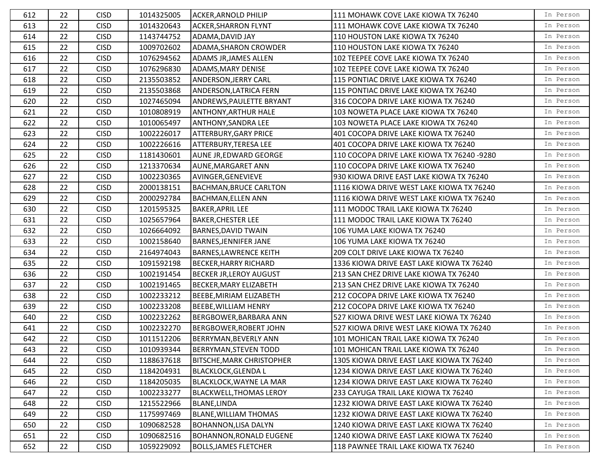| 612 | 22 | <b>CISD</b> | 1014325005 | <b>ACKER, ARNOLD PHILIP</b>      | 111 MOHAWK COVE LAKE KIOWA TX 76240        | In Person |
|-----|----|-------------|------------|----------------------------------|--------------------------------------------|-----------|
| 613 | 22 | <b>CISD</b> | 1014320643 | <b>ACKER, SHARRON FLYNT</b>      | 111 MOHAWK COVE LAKE KIOWA TX 76240        | In Person |
| 614 | 22 | <b>CISD</b> | 1143744752 | ADAMA, DAVID JAY                 | 110 HOUSTON LAKE KIOWA TX 76240            | In Person |
| 615 | 22 | <b>CISD</b> | 1009702602 | ADAMA, SHARON CROWDER            | 110 HOUSTON LAKE KIOWA TX 76240            | In Person |
| 616 | 22 | <b>CISD</b> | 1076294562 | <b>ADAMS JR, JAMES ALLEN</b>     | 102 TEEPEE COVE LAKE KIOWA TX 76240        | In Person |
| 617 | 22 | <b>CISD</b> | 1076296830 | ADAMS, MARY DENISE               | 102 TEEPEE COVE LAKE KIOWA TX 76240        | In Person |
| 618 | 22 | <b>CISD</b> | 2135503852 | <b>ANDERSON, JERRY CARL</b>      | 115 PONTIAC DRIVE LAKE KIOWA TX 76240      | In Person |
| 619 | 22 | <b>CISD</b> | 2135503868 | ANDERSON, LATRICA FERN           | 115 PONTIAC DRIVE LAKE KIOWA TX 76240      | In Person |
| 620 | 22 | <b>CISD</b> | 1027465094 | ANDREWS, PAULETTE BRYANT         | 316 COCOPA DRIVE LAKE KIOWA TX 76240       | In Person |
| 621 | 22 | <b>CISD</b> | 1010808919 | <b>ANTHONY, ARTHUR HALE</b>      | 103 NOWETA PLACE LAKE KIOWA TX 76240       | In Person |
| 622 | 22 | <b>CISD</b> | 1010065497 | ANTHONY, SANDRA LEE              | 103 NOWETA PLACE LAKE KIOWA TX 76240       | In Person |
| 623 | 22 | <b>CISD</b> | 1002226017 | <b>ATTERBURY, GARY PRICE</b>     | 401 COCOPA DRIVE LAKE KIOWA TX 76240       | In Person |
| 624 | 22 | <b>CISD</b> | 1002226616 | <b>ATTERBURY, TERESA LEE</b>     | 401 COCOPA DRIVE LAKE KIOWA TX 76240       | In Person |
| 625 | 22 | <b>CISD</b> | 1181430601 | AUNE JR, EDWARD GEORGE           | 110 COCOPA DRIVE LAKE KIOWA TX 76240 -9280 | In Person |
| 626 | 22 | <b>CISD</b> | 1213370634 | <b>AUNE, MARGARET ANN</b>        | 110 COCOPA DRIVE LAKE KIOWA TX 76240       | In Person |
| 627 | 22 | <b>CISD</b> | 1002230365 | AVINGER, GENEVIEVE               | 930 KIOWA DRIVE EAST LAKE KIOWA TX 76240   | In Person |
| 628 | 22 | <b>CISD</b> | 2000138151 | <b>BACHMAN, BRUCE CARLTON</b>    | 1116 KIOWA DRIVE WEST LAKE KIOWA TX 76240  | In Person |
| 629 | 22 | <b>CISD</b> | 2000292784 | <b>BACHMAN, ELLEN ANN</b>        | 1116 KIOWA DRIVE WEST LAKE KIOWA TX 76240  | In Person |
| 630 | 22 | <b>CISD</b> | 1201595325 | <b>BAKER, APRIL LEE</b>          | 111 MODOC TRAIL LAKE KIOWA TX 76240        | In Person |
| 631 | 22 | <b>CISD</b> | 1025657964 | <b>BAKER, CHESTER LEE</b>        | 111 MODOC TRAIL LAKE KIOWA TX 76240        | In Person |
| 632 | 22 | <b>CISD</b> | 1026664092 | <b>BARNES, DAVID TWAIN</b>       | 106 YUMA LAKE KIOWA TX 76240               | In Person |
| 633 | 22 | <b>CISD</b> | 1002158640 | <b>BARNES, JENNIFER JANE</b>     | 106 YUMA LAKE KIOWA TX 76240               | In Person |
| 634 | 22 | <b>CISD</b> | 2164974043 | <b>BARNES, LAWRENCE KEITH</b>    | 209 COLT DRIVE LAKE KIOWA TX 76240         | In Person |
| 635 | 22 | <b>CISD</b> | 1091592198 | <b>BECKER, HARRY RICHARD</b>     | 1336 KIOWA DRIVE EAST LAKE KIOWA TX 76240  | In Person |
| 636 | 22 | <b>CISD</b> | 1002191454 | <b>BECKER JR, LEROY AUGUST</b>   | 213 SAN CHEZ DRIVE LAKE KIOWA TX 76240     | In Person |
| 637 | 22 | <b>CISD</b> | 1002191465 | <b>BECKER, MARY ELIZABETH</b>    | 213 SAN CHEZ DRIVE LAKE KIOWA TX 76240     | In Person |
| 638 | 22 | <b>CISD</b> | 1002233212 | BEEBE, MIRIAM ELIZABETH          | 212 COCOPA DRIVE LAKE KIOWA TX 76240       | In Person |
| 639 | 22 | <b>CISD</b> | 1002233208 | <b>BEEBE, WILLIAM HENRY</b>      | 212 COCOPA DRIVE LAKE KIOWA TX 76240       | In Person |
| 640 | 22 | <b>CISD</b> | 1002232262 | <b>BERGBOWER, BARBARA ANN</b>    | 527 KIOWA DRIVE WEST LAKE KIOWA TX 76240   | In Person |
| 641 | 22 | <b>CISD</b> | 1002232270 | <b>BERGBOWER, ROBERT JOHN</b>    | 527 KIOWA DRIVE WEST LAKE KIOWA TX 76240   | In Person |
| 642 | 22 | <b>CISD</b> | 1011512206 | BERRYMAN, BEVERLY ANN            | 101 MOHICAN TRAIL LAKE KIOWA TX 76240      | In Person |
| 643 | 22 | <b>CISD</b> | 1010939344 | BERRYMAN, STEVEN TODD            | 101 MOHICAN TRAIL LAKE KIOWA TX 76240      | In Person |
| 644 | 22 | <b>CISD</b> | 1188637618 | <b>BITSCHE, MARK CHRISTOPHER</b> | 1305 KIOWA DRIVE EAST LAKE KIOWA TX 76240  | In Person |
| 645 | 22 | <b>CISD</b> | 1184204931 | <b>BLACKLOCK, GLENDA L</b>       | 1234 KIOWA DRIVE EAST LAKE KIOWA TX 76240  | In Person |
| 646 | 22 | <b>CISD</b> | 1184205035 | <b>BLACKLOCK, WAYNE LA MAR</b>   | 1234 KIOWA DRIVE EAST LAKE KIOWA TX 76240  | In Person |
| 647 | 22 | <b>CISD</b> | 1002233277 | <b>BLACKWELL, THOMAS LEROY</b>   | 233 CAYUGA TRAIL LAKE KIOWA TX 76240       | In Person |
| 648 | 22 | <b>CISD</b> | 1215522966 | <b>BLANE, LINDA</b>              | 1232 KIOWA DRIVE EAST LAKE KIOWA TX 76240  | In Person |
| 649 | 22 | <b>CISD</b> | 1175997469 | <b>BLANE, WILLIAM THOMAS</b>     | 1232 KIOWA DRIVE EAST LAKE KIOWA TX 76240  | In Person |
| 650 | 22 | <b>CISD</b> | 1090682528 | <b>BOHANNON, LISA DALYN</b>      | 1240 KIOWA DRIVE EAST LAKE KIOWA TX 76240  | In Person |
| 651 | 22 | <b>CISD</b> | 1090682516 | <b>BOHANNON, RONALD EUGENE</b>   | 1240 KIOWA DRIVE EAST LAKE KIOWA TX 76240  | In Person |
| 652 | 22 | <b>CISD</b> | 1059229092 | <b>BOLLS, JAMES FLETCHER</b>     | 118 PAWNEE TRAIL LAKE KIOWA TX 76240       | In Person |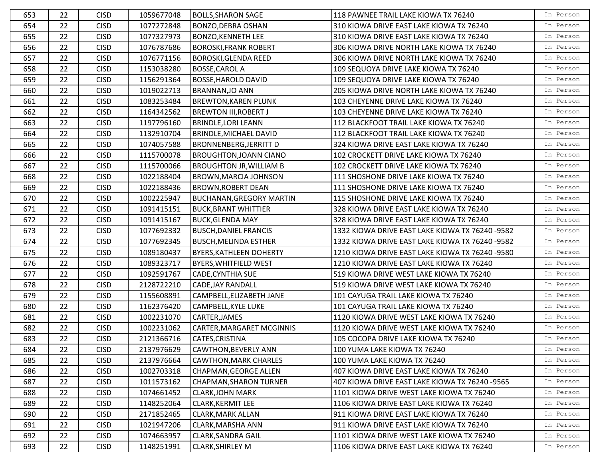| 653 | 22 | <b>CISD</b> | 1059677048 | <b>BOLLS, SHARON SAGE</b>       | 118 PAWNEE TRAIL LAKE KIOWA TX 76240            | In Person |
|-----|----|-------------|------------|---------------------------------|-------------------------------------------------|-----------|
| 654 | 22 | <b>CISD</b> | 1077272848 | <b>BONZO, DEBRA OSHAN</b>       | 310 KIOWA DRIVE EAST LAKE KIOWA TX 76240        | In Person |
| 655 | 22 | <b>CISD</b> | 1077327973 | <b>BONZO, KENNETH LEE</b>       | 310 KIOWA DRIVE EAST LAKE KIOWA TX 76240        | In Person |
| 656 | 22 | <b>CISD</b> | 1076787686 | <b>BOROSKI, FRANK ROBERT</b>    | 306 KIOWA DRIVE NORTH LAKE KIOWA TX 76240       | In Person |
| 657 | 22 | <b>CISD</b> | 1076771156 | <b>BOROSKI, GLENDA REED</b>     | 306 KIOWA DRIVE NORTH LAKE KIOWA TX 76240       | In Person |
| 658 | 22 | <b>CISD</b> | 1153038280 | <b>BOSSE, CAROL A</b>           | 109 SEQUOYA DRIVE LAKE KIOWA TX 76240           | In Person |
| 659 | 22 | <b>CISD</b> | 1156291364 | <b>BOSSE, HAROLD DAVID</b>      | 109 SEQUOYA DRIVE LAKE KIOWA TX 76240           | In Person |
| 660 | 22 | <b>CISD</b> | 1019022713 | <b>BRANNAN,JO ANN</b>           | 205 KIOWA DRIVE NORTH LAKE KIOWA TX 76240       | In Person |
| 661 | 22 | <b>CISD</b> | 1083253484 | <b>BREWTON, KAREN PLUNK</b>     | 103 CHEYENNE DRIVE LAKE KIOWA TX 76240          | In Person |
| 662 | 22 | <b>CISD</b> | 1164342562 | <b>BREWTON III, ROBERT J</b>    | 103 CHEYENNE DRIVE LAKE KIOWA TX 76240          | In Person |
| 663 | 22 | <b>CISD</b> | 1197796160 | <b>BRINDLE, LORI LEANN</b>      | 112 BLACKFOOT TRAIL LAKE KIOWA TX 76240         | In Person |
| 664 | 22 | <b>CISD</b> | 1132910704 | <b>BRINDLE, MICHAEL DAVID</b>   | 112 BLACKFOOT TRAIL LAKE KIOWA TX 76240         | In Person |
| 665 | 22 | <b>CISD</b> | 1074057588 | <b>BRONNENBERG, JERRITT D</b>   | 324 KIOWA DRIVE EAST LAKE KIOWA TX 76240        | In Person |
| 666 | 22 | <b>CISD</b> | 1115700078 | <b>BROUGHTON, JOANN CIANO</b>   | 102 CROCKETT DRIVE LAKE KIOWA TX 76240          | In Person |
| 667 | 22 | <b>CISD</b> | 1115700066 | <b>BROUGHTON JR, WILLIAM B</b>  | 102 CROCKETT DRIVE LAKE KIOWA TX 76240          | In Person |
| 668 | 22 | <b>CISD</b> | 1022188404 | <b>BROWN, MARCIA JOHNSON</b>    | 111 SHOSHONE DRIVE LAKE KIOWA TX 76240          | In Person |
| 669 | 22 | <b>CISD</b> | 1022188436 | <b>BROWN, ROBERT DEAN</b>       | 111 SHOSHONE DRIVE LAKE KIOWA TX 76240          | In Person |
| 670 | 22 | <b>CISD</b> | 1002225947 | <b>BUCHANAN, GREGORY MARTIN</b> | 115 SHOSHONE DRIVE LAKE KIOWA TX 76240          | In Person |
| 671 | 22 | <b>CISD</b> | 1091415151 | <b>BUCK, BRANT WHITTIER</b>     | 328 KIOWA DRIVE EAST LAKE KIOWA TX 76240        | In Person |
| 672 | 22 | <b>CISD</b> | 1091415167 | <b>BUCK, GLENDA MAY</b>         | 328 KIOWA DRIVE EAST LAKE KIOWA TX 76240        | In Person |
| 673 | 22 | <b>CISD</b> | 1077692332 | <b>BUSCH, DANIEL FRANCIS</b>    | 1332 KIOWA DRIVE EAST LAKE KIOWA TX 76240 -9582 | In Person |
| 674 | 22 | <b>CISD</b> | 1077692345 | <b>BUSCH, MELINDA ESTHER</b>    | 1332 KIOWA DRIVE EAST LAKE KIOWA TX 76240 -9582 | In Person |
| 675 | 22 | <b>CISD</b> | 1089180437 | <b>BYERS, KATHLEEN DOHERTY</b>  | 1210 KIOWA DRIVE EAST LAKE KIOWA TX 76240 -9580 | In Person |
| 676 | 22 | <b>CISD</b> | 1089323717 | <b>BYERS, WHITFIELD WEST</b>    | 1210 KIOWA DRIVE EAST LAKE KIOWA TX 76240       | In Person |
| 677 | 22 | <b>CISD</b> | 1092591767 | <b>CADE, CYNTHIA SUE</b>        | 519 KIOWA DRIVE WEST LAKE KIOWA TX 76240        | In Person |
| 678 | 22 | <b>CISD</b> | 2128722210 | CADE, JAY RANDALL               | 519 KIOWA DRIVE WEST LAKE KIOWA TX 76240        | In Person |
| 679 | 22 | <b>CISD</b> | 1155608891 | CAMPBELL, ELIZABETH JANE        | 101 CAYUGA TRAIL LAKE KIOWA TX 76240            | In Person |
| 680 | 22 | <b>CISD</b> | 1162376420 | <b>CAMPBELL, KYLE LUKE</b>      | 101 CAYUGA TRAIL LAKE KIOWA TX 76240            | In Person |
| 681 | 22 | <b>CISD</b> | 1002231070 | CARTER, JAMES                   | 1120 KIOWA DRIVE WEST LAKE KIOWA TX 76240       | In Person |
| 682 | 22 | <b>CISD</b> | 1002231062 | CARTER, MARGARET MCGINNIS       | 1120 KIOWA DRIVE WEST LAKE KIOWA TX 76240       | In Person |
| 683 | 22 | <b>CISD</b> | 2121366716 | CATES, CRISTINA                 | 105 COCOPA DRIVE LAKE KIOWA TX 76240            | In Person |
| 684 | 22 | <b>CISD</b> | 2137976629 | CAWTHON, BEVERLY ANN            | 100 YUMA LAKE KIOWA TX 76240                    | In Person |
| 685 | 22 | <b>CISD</b> | 2137976664 | CAWTHON, MARK CHARLES           | 100 YUMA LAKE KIOWA TX 76240                    | In Person |
| 686 | 22 | <b>CISD</b> | 1002703318 | <b>CHAPMAN, GEORGE ALLEN</b>    | 407 KIOWA DRIVE EAST LAKE KIOWA TX 76240        | In Person |
| 687 | 22 | <b>CISD</b> | 1011573162 | <b>CHAPMAN, SHARON TURNER</b>   | 407 KIOWA DRIVE EAST LAKE KIOWA TX 76240 -9565  | In Person |
| 688 | 22 | <b>CISD</b> | 1074661452 | <b>CLARK, JOHN MARK</b>         | 1101 KIOWA DRIVE WEST LAKE KIOWA TX 76240       | In Person |
| 689 | 22 | <b>CISD</b> | 1148252064 | <b>CLARK, KERMIT LEE</b>        | 1106 KIOWA DRIVE EAST LAKE KIOWA TX 76240       | In Person |
| 690 | 22 | <b>CISD</b> | 2171852465 | <b>CLARK, MARK ALLAN</b>        | 911 KIOWA DRIVE EAST LAKE KIOWA TX 76240        | In Person |
| 691 | 22 | <b>CISD</b> | 1021947206 | <b>CLARK, MARSHA ANN</b>        | 911 KIOWA DRIVE EAST LAKE KIOWA TX 76240        | In Person |
| 692 | 22 | <b>CISD</b> | 1074663957 | <b>CLARK, SANDRA GAIL</b>       | 1101 KIOWA DRIVE WEST LAKE KIOWA TX 76240       | In Person |
| 693 | 22 | <b>CISD</b> | 1148251991 | <b>CLARK, SHIRLEY M</b>         | 1106 KIOWA DRIVE EAST LAKE KIOWA TX 76240       | In Person |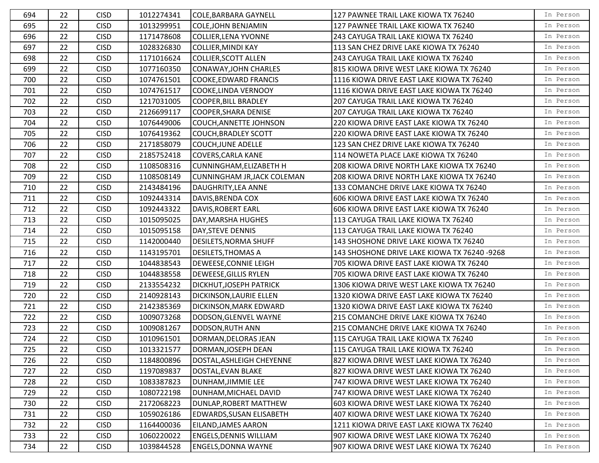| 694 | 22 | <b>CISD</b> | 1012274341 | <b>COLE, BARBARA GAYNELL</b>       | 127 PAWNEE TRAIL LAKE KIOWA TX 76240         | In Person |
|-----|----|-------------|------------|------------------------------------|----------------------------------------------|-----------|
| 695 | 22 | <b>CISD</b> | 1013299951 | <b>COLE, JOHN BENJAMIN</b>         | 127 PAWNEE TRAIL LAKE KIOWA TX 76240         | In Person |
| 696 | 22 | <b>CISD</b> | 1171478608 | <b>COLLIER, LENA YVONNE</b>        | 243 CAYUGA TRAIL LAKE KIOWA TX 76240         | In Person |
| 697 | 22 | <b>CISD</b> | 1028326830 | <b>COLLIER, MINDI KAY</b>          | 113 SAN CHEZ DRIVE LAKE KIOWA TX 76240       | In Person |
| 698 | 22 | <b>CISD</b> | 1171016624 | <b>COLLIER, SCOTT ALLEN</b>        | 243 CAYUGA TRAIL LAKE KIOWA TX 76240         | In Person |
| 699 | 22 | <b>CISD</b> | 1077160350 | <b>CONAWAY, JOHN CHARLES</b>       | 815 KIOWA DRIVE WEST LAKE KIOWA TX 76240     | In Person |
| 700 | 22 | <b>CISD</b> | 1074761501 | <b>COOKE, EDWARD FRANCIS</b>       | 1116 KIOWA DRIVE EAST LAKE KIOWA TX 76240    | In Person |
| 701 | 22 | <b>CISD</b> | 1074761517 | COOKE, LINDA VERNOOY               | 1116 KIOWA DRIVE EAST LAKE KIOWA TX 76240    | In Person |
| 702 | 22 | <b>CISD</b> | 1217031005 | <b>COOPER, BILL BRADLEY</b>        | 207 CAYUGA TRAIL LAKE KIOWA TX 76240         | In Person |
| 703 | 22 | <b>CISD</b> | 2126699117 | <b>COOPER, SHARA DENISE</b>        | 207 CAYUGA TRAIL LAKE KIOWA TX 76240         | In Person |
| 704 | 22 | <b>CISD</b> | 1076449006 | COUCH, ANNETTE JOHNSON             | 220 KIOWA DRIVE EAST LAKE KIOWA TX 76240     | In Person |
| 705 | 22 | <b>CISD</b> | 1076419362 | <b>COUCH, BRADLEY SCOTT</b>        | 220 KIOWA DRIVE EAST LAKE KIOWA TX 76240     | In Person |
| 706 | 22 | <b>CISD</b> | 2171858079 | <b>COUCH, JUNE ADELLE</b>          | 123 SAN CHEZ DRIVE LAKE KIOWA TX 76240       | In Person |
| 707 | 22 | <b>CISD</b> | 2185752418 | <b>COVERS, CARLA KANE</b>          | 114 NOWETA PLACE LAKE KIOWA TX 76240         | In Person |
| 708 | 22 | <b>CISD</b> | 1108508316 | <b>CUNNINGHAM, ELIZABETH H</b>     | 208 KIOWA DRIVE NORTH LAKE KIOWA TX 76240    | In Person |
| 709 | 22 | <b>CISD</b> | 1108508149 | <b>CUNNINGHAM JR, JACK COLEMAN</b> | 208 KIOWA DRIVE NORTH LAKE KIOWA TX 76240    | In Person |
| 710 | 22 | <b>CISD</b> | 2143484196 | DAUGHRITY, LEA ANNE                | 133 COMANCHE DRIVE LAKE KIOWA TX 76240       | In Person |
| 711 | 22 | <b>CISD</b> | 1092443314 | DAVIS, BRENDA COX                  | 606 KIOWA DRIVE EAST LAKE KIOWA TX 76240     | In Person |
| 712 | 22 | <b>CISD</b> | 1092443322 | DAVIS, ROBERT EARL                 | 606 KIOWA DRIVE EAST LAKE KIOWA TX 76240     | In Person |
| 713 | 22 | <b>CISD</b> | 1015095025 | DAY, MARSHA HUGHES                 | 113 CAYUGA TRAIL LAKE KIOWA TX 76240         | In Person |
| 714 | 22 | <b>CISD</b> | 1015095158 | DAY, STEVE DENNIS                  | 113 CAYUGA TRAIL LAKE KIOWA TX 76240         | In Person |
| 715 | 22 | <b>CISD</b> | 1142000440 | <b>DESILETS, NORMA SHUFF</b>       | 143 SHOSHONE DRIVE LAKE KIOWA TX 76240       | In Person |
| 716 | 22 | <b>CISD</b> | 1143195701 | <b>DESILETS, THOMAS A</b>          | 143 SHOSHONE DRIVE LAKE KIOWA TX 76240 -9268 | In Person |
| 717 | 22 | <b>CISD</b> | 1044838543 | DEWEESE, CONNIE LEIGH              | 705 KIOWA DRIVE EAST LAKE KIOWA TX 76240     | In Person |
| 718 | 22 | <b>CISD</b> | 1044838558 | <b>DEWEESE, GILLIS RYLEN</b>       | 705 KIOWA DRIVE EAST LAKE KIOWA TX 76240     | In Person |
| 719 | 22 | <b>CISD</b> | 2133554232 | <b>DICKHUT, JOSEPH PATRICK</b>     | 1306 KIOWA DRIVE WEST LAKE KIOWA TX 76240    | In Person |
| 720 | 22 | <b>CISD</b> | 2140928143 | DICKINSON, LAURIE ELLEN            | 1320 KIOWA DRIVE EAST LAKE KIOWA TX 76240    | In Person |
| 721 | 22 | <b>CISD</b> | 2142385369 | DICKINSON, MARK EDWARD             | 1320 KIOWA DRIVE EAST LAKE KIOWA TX 76240    | In Person |
| 722 | 22 | <b>CISD</b> | 1009073268 | DODSON, GLENVEL WAYNE              | 215 COMANCHE DRIVE LAKE KIOWA TX 76240       | In Person |
| 723 | 22 | <b>CISD</b> | 1009081267 | DODSON, RUTH ANN                   | 215 COMANCHE DRIVE LAKE KIOWA TX 76240       | In Person |
| 724 | 22 | <b>CISD</b> | 1010961501 | DORMAN, DELORAS JEAN               | 115 CAYUGA TRAIL LAKE KIOWA TX 76240         | In Person |
| 725 | 22 | <b>CISD</b> | 1013321577 | DORMAN, JOSEPH DEAN                | 115 CAYUGA TRAIL LAKE KIOWA TX 76240         | In Person |
| 726 | 22 | <b>CISD</b> | 1184800896 | DOSTAL, ASHLEIGH CHEYENNE          | 827 KIOWA DRIVE WEST LAKE KIOWA TX 76240     | In Person |
| 727 | 22 | <b>CISD</b> | 1197089837 | DOSTAL, EVAN BLAKE                 | 827 KIOWA DRIVE WEST LAKE KIOWA TX 76240     | In Person |
| 728 | 22 | <b>CISD</b> | 1083387823 | DUNHAM, JIMMIE LEE                 | 747 KIOWA DRIVE WEST LAKE KIOWA TX 76240     | In Person |
| 729 | 22 | <b>CISD</b> | 1080722198 | DUNHAM, MICHAEL DAVID              | 747 KIOWA DRIVE WEST LAKE KIOWA TX 76240     | In Person |
| 730 | 22 | <b>CISD</b> | 2172068223 | DUNLAP, ROBERT MATTHEW             | 603 KIOWA DRIVE WEST LAKE KIOWA TX 76240     | In Person |
| 731 | 22 | <b>CISD</b> | 1059026186 | EDWARDS, SUSAN ELISABETH           | 407 KIOWA DRIVE WEST LAKE KIOWA TX 76240     | In Person |
| 732 | 22 | <b>CISD</b> | 1164400036 | EILAND, JAMES AARON                | 1211 KIOWA DRIVE EAST LAKE KIOWA TX 76240    | In Person |
| 733 | 22 | <b>CISD</b> | 1060220022 | <b>ENGELS, DENNIS WILLIAM</b>      | 907 KIOWA DRIVE WEST LAKE KIOWA TX 76240     | In Person |
| 734 | 22 | <b>CISD</b> | 1039844528 | <b>ENGELS, DONNA WAYNE</b>         | 907 KIOWA DRIVE WEST LAKE KIOWA TX 76240     | In Person |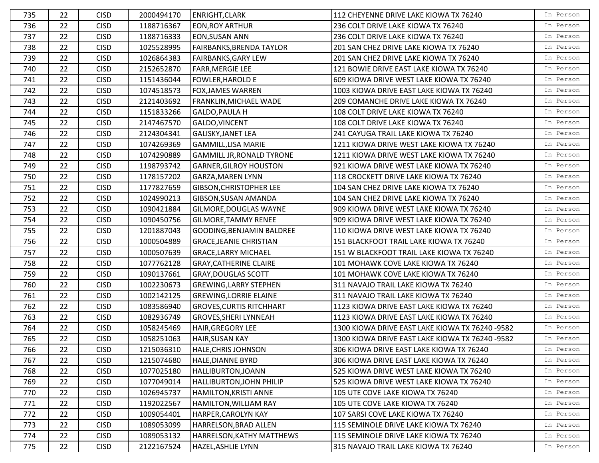| 735 | 22 | <b>CISD</b> | 2000494170 | <b>ENRIGHT, CLARK</b>            | 112 CHEYENNE DRIVE LAKE KIOWA TX 76240          | In Person |
|-----|----|-------------|------------|----------------------------------|-------------------------------------------------|-----------|
| 736 | 22 | <b>CISD</b> | 1188716367 | <b>EON, ROY ARTHUR</b>           | 236 COLT DRIVE LAKE KIOWA TX 76240              | In Person |
| 737 | 22 | <b>CISD</b> | 1188716333 | <b>EON, SUSAN ANN</b>            | 236 COLT DRIVE LAKE KIOWA TX 76240              | In Person |
| 738 | 22 | <b>CISD</b> | 1025528995 | FAIRBANKS, BRENDA TAYLOR         | 201 SAN CHEZ DRIVE LAKE KIOWA TX 76240          | In Person |
| 739 | 22 | <b>CISD</b> | 1026864383 | <b>FAIRBANKS, GARY LEW</b>       | 201 SAN CHEZ DRIVE LAKE KIOWA TX 76240          | In Person |
| 740 | 22 | <b>CISD</b> | 2152652870 | <b>FARR, MERGIE LEE</b>          | 121 BOWIE DRIVE EAST LAKE KIOWA TX 76240        | In Person |
| 741 | 22 | <b>CISD</b> | 1151436044 | <b>FOWLER, HAROLD E</b>          | 609 KIOWA DRIVE WEST LAKE KIOWA TX 76240        | In Person |
| 742 | 22 | <b>CISD</b> | 1074518573 | <b>FOX, JAMES WARREN</b>         | 1003 KIOWA DRIVE EAST LAKE KIOWA TX 76240       | In Person |
| 743 | 22 | <b>CISD</b> | 2121403692 | <b>FRANKLIN, MICHAEL WADE</b>    | 209 COMANCHE DRIVE LAKE KIOWA TX 76240          | In Person |
| 744 | 22 | <b>CISD</b> | 1151833266 | <b>GALDO, PAULA H</b>            | 108 COLT DRIVE LAKE KIOWA TX 76240              | In Person |
| 745 | 22 | <b>CISD</b> | 2147467570 | GALDO, VINCENT                   | 108 COLT DRIVE LAKE KIOWA TX 76240              | In Person |
| 746 | 22 | <b>CISD</b> | 2124304341 | <b>GALISKY, JANET LEA</b>        | 241 CAYUGA TRAIL LAKE KIOWA TX 76240            | In Person |
| 747 | 22 | <b>CISD</b> | 1074269369 | <b>GAMMILL, LISA MARIE</b>       | 1211 KIOWA DRIVE WEST LAKE KIOWA TX 76240       | In Person |
| 748 | 22 | <b>CISD</b> | 1074290889 | <b>GAMMILL JR, RONALD TYRONE</b> | 1211 KIOWA DRIVE WEST LAKE KIOWA TX 76240       | In Person |
| 749 | 22 | <b>CISD</b> | 1198793742 | <b>GARNER, GILROY HOUSTON</b>    | 921 KIOWA DRIVE WEST LAKE KIOWA TX 76240        | In Person |
| 750 | 22 | <b>CISD</b> | 1178157202 | <b>GARZA, MAREN LYNN</b>         | 118 CROCKETT DRIVE LAKE KIOWA TX 76240          | In Person |
| 751 | 22 | <b>CISD</b> | 1177827659 | GIBSON, CHRISTOPHER LEE          | 104 SAN CHEZ DRIVE LAKE KIOWA TX 76240          | In Person |
| 752 | 22 | <b>CISD</b> | 1024990213 | GIBSON, SUSAN AMANDA             | 104 SAN CHEZ DRIVE LAKE KIOWA TX 76240          | In Person |
| 753 | 22 | <b>CISD</b> | 1090421884 | GILMORE, DOUGLAS WAYNE           | 909 KIOWA DRIVE WEST LAKE KIOWA TX 76240        | In Person |
| 754 | 22 | <b>CISD</b> | 1090450756 | <b>GILMORE, TAMMY RENEE</b>      | 909 KIOWA DRIVE WEST LAKE KIOWA TX 76240        | In Person |
| 755 | 22 | <b>CISD</b> | 1201887043 | <b>GOODING, BENJAMIN BALDREE</b> | 110 KIOWA DRIVE WEST LAKE KIOWA TX 76240        | In Person |
| 756 | 22 | <b>CISD</b> | 1000504889 | <b>GRACE, JEANIE CHRISTIAN</b>   | 151 BLACKFOOT TRAIL LAKE KIOWA TX 76240         | In Person |
| 757 | 22 | <b>CISD</b> | 1000507639 | <b>GRACE, LARRY MICHAEL</b>      | 151 W BLACKFOOT TRAIL LAKE KIOWA TX 76240       | In Person |
| 758 | 22 | <b>CISD</b> | 1077762128 | <b>GRAY, CATHERINE CLAIRE</b>    | 101 MOHAWK COVE LAKE KIOWA TX 76240             | In Person |
| 759 | 22 | <b>CISD</b> | 1090137661 | <b>GRAY, DOUGLAS SCOTT</b>       | 101 MOHAWK COVE LAKE KIOWA TX 76240             | In Person |
| 760 | 22 | <b>CISD</b> | 1002230673 | <b>GREWING, LARRY STEPHEN</b>    | 311 NAVAJO TRAIL LAKE KIOWA TX 76240            | In Person |
| 761 | 22 | <b>CISD</b> | 1002142125 | <b>GREWING, LORRIE ELAINE</b>    | 311 NAVAJO TRAIL LAKE KIOWA TX 76240            | In Person |
| 762 | 22 | <b>CISD</b> | 1083586940 | <b>GROVES, CURTIS RITCHHART</b>  | 1123 KIOWA DRIVE EAST LAKE KIOWA TX 76240       | In Person |
| 763 | 22 | <b>CISD</b> | 1082936749 | <b>GROVES, SHERI LYNNEAH</b>     | 1123 KIOWA DRIVE EAST LAKE KIOWA TX 76240       | In Person |
| 764 | 22 | <b>CISD</b> | 1058245469 | <b>HAIR, GREGORY LEE</b>         | 1300 KIOWA DRIVE EAST LAKE KIOWA TX 76240 -9582 | In Person |
| 765 | 22 | <b>CISD</b> | 1058251063 | <b>HAIR, SUSAN KAY</b>           | 1300 KIOWA DRIVE EAST LAKE KIOWA TX 76240 -9582 | In Person |
| 766 | 22 | <b>CISD</b> | 1215036310 | HALE, CHRIS JOHNSON              | 306 KIOWA DRIVE EAST LAKE KIOWA TX 76240        | In Person |
| 767 | 22 | <b>CISD</b> | 1215074680 | <b>HALE, DIANNE BYRD</b>         | 306 KIOWA DRIVE EAST LAKE KIOWA TX 76240        | In Person |
| 768 | 22 | <b>CISD</b> | 1077025180 | <b>HALLIBURTON, JOANN</b>        | 525 KIOWA DRIVE WEST LAKE KIOWA TX 76240        | In Person |
| 769 | 22 | <b>CISD</b> | 1077049014 | HALLIBURTON, JOHN PHILIP         | 525 KIOWA DRIVE WEST LAKE KIOWA TX 76240        | In Person |
| 770 | 22 | <b>CISD</b> | 1026945737 | HAMILTON, KRISTI ANNE            | 105 UTE COVE LAKE KIOWA TX 76240                | In Person |
| 771 | 22 | <b>CISD</b> | 1192022567 | HAMILTON, WILLIAM RAY            | 105 UTE COVE LAKE KIOWA TX 76240                | In Person |
| 772 | 22 | <b>CISD</b> | 1009054401 | HARPER, CAROLYN KAY              | 107 SARSI COVE LAKE KIOWA TX 76240              | In Person |
| 773 | 22 | <b>CISD</b> | 1089053099 | HARRELSON, BRAD ALLEN            | 115 SEMINOLE DRIVE LAKE KIOWA TX 76240          | In Person |
| 774 | 22 | <b>CISD</b> | 1089053132 | HARRELSON, KATHY MATTHEWS        | 115 SEMINOLE DRIVE LAKE KIOWA TX 76240          | In Person |
| 775 | 22 | <b>CISD</b> | 2122167524 | HAZEL, ASHLIE LYNN               | 315 NAVAJO TRAIL LAKE KIOWA TX 76240            | In Person |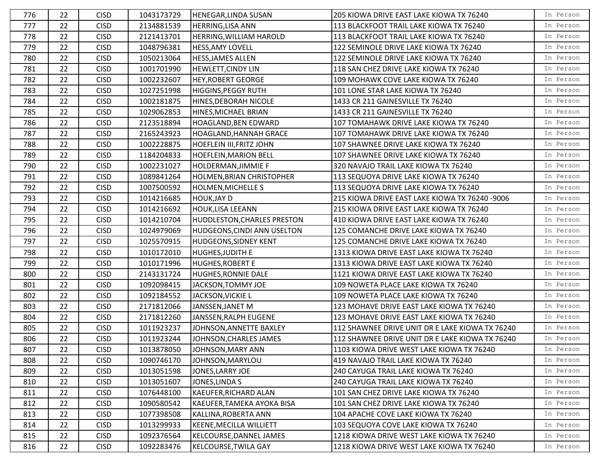| 776 | 22 | <b>CISD</b> | 1043173729 | <b>HENEGAR, LINDA SUSAN</b>        | 205 KIOWA DRIVE EAST LAKE KIOWA TX 76240        | In Person |
|-----|----|-------------|------------|------------------------------------|-------------------------------------------------|-----------|
| 777 | 22 | <b>CISD</b> | 2134881539 | <b>HERRING, LISA ANN</b>           | 113 BLACKFOOT TRAIL LAKE KIOWA TX 76240         | In Person |
| 778 | 22 | <b>CISD</b> | 2121413701 | HERRING, WILLIAM HAROLD            | 113 BLACKFOOT TRAIL LAKE KIOWA TX 76240         | In Person |
| 779 | 22 | <b>CISD</b> | 1048796381 | HESS, AMY LOVELL                   | 122 SEMINOLE DRIVE LAKE KIOWA TX 76240          | In Person |
| 780 | 22 | <b>CISD</b> | 1050213064 | <b>HESS, JAMES ALLEN</b>           | 122 SEMINOLE DRIVE LAKE KIOWA TX 76240          | In Person |
| 781 | 22 | <b>CISD</b> | 1001701990 | HEWLETT, CINDY LIN                 | 118 SAN CHEZ DRIVE LAKE KIOWA TX 76240          | In Person |
| 782 | 22 | <b>CISD</b> | 1002232607 | <b>HEY, ROBERT GEORGE</b>          | 109 MOHAWK COVE LAKE KIOWA TX 76240             | In Person |
| 783 | 22 | <b>CISD</b> | 1027251998 | <b>HIGGINS, PEGGY RUTH</b>         | 101 LONE STAR LAKE KIOWA TX 76240               | In Person |
| 784 | 22 | <b>CISD</b> | 1002181875 | HINES, DEBORAH NICOLE              | 1433 CR 211 GAINESVILLE TX 76240                | In Person |
| 785 | 22 | <b>CISD</b> | 1029062853 | HINES, MICHAEL BRIAN               | 1433 CR 211 GAINESVILLE TX 76240                | In Person |
| 786 | 22 | <b>CISD</b> | 2123518894 | HOAGLAND, BEN EDWARD               | 107 TOMAHAWK DRIVE LAKE KIOWA TX 76240          | In Person |
| 787 | 22 | <b>CISD</b> | 2165243923 | HOAGLAND, HANNAH GRACE             | 107 TOMAHAWK DRIVE LAKE KIOWA TX 76240          | In Person |
| 788 | 22 | <b>CISD</b> | 1002228875 | <b>HOEFLEIN III, FRITZ JOHN</b>    | 107 SHAWNEE DRIVE LAKE KIOWA TX 76240           | In Person |
| 789 | 22 | <b>CISD</b> | 1184204833 | <b>HOEFLEIN, MARION BELL</b>       | 107 SHAWNEE DRIVE LAKE KIOWA TX 76240           | In Person |
| 790 | 22 | <b>CISD</b> | 1002231027 | HOLDERMAN, JIMMIE F                | 320 NAVAJO TRAIL LAKE KIOWA TX 76240            | In Person |
| 791 | 22 | <b>CISD</b> | 1089841264 | <b>HOLMEN, BRIAN CHRISTOPHER</b>   | 113 SEQUOYA DRIVE LAKE KIOWA TX 76240           | In Person |
| 792 | 22 | <b>CISD</b> | 1007500592 | <b>HOLMEN, MICHELLE S</b>          | 113 SEQUOYA DRIVE LAKE KIOWA TX 76240           | In Person |
| 793 | 22 | <b>CISD</b> | 1014216685 | <b>HOUK, JAY D</b>                 | 215 KIOWA DRIVE EAST LAKE KIOWA TX 76240 -9006  | In Person |
| 794 | 22 | <b>CISD</b> | 1014216692 | HOUK, LISA LEEANN                  | 215 KIOWA DRIVE EAST LAKE KIOWA TX 76240        | In Person |
| 795 | 22 | <b>CISD</b> | 1014210704 | <b>HUDDLESTON, CHARLES PRESTON</b> | 410 KIOWA DRIVE EAST LAKE KIOWA TX 76240        | In Person |
| 796 | 22 | <b>CISD</b> | 1024979069 | <b>HUDGEONS, CINDI ANN USELTON</b> | 125 COMANCHE DRIVE LAKE KIOWA TX 76240          | In Person |
| 797 | 22 | <b>CISD</b> | 1025570915 | <b>HUDGEONS, SIDNEY KENT</b>       | 125 COMANCHE DRIVE LAKE KIOWA TX 76240          | In Person |
| 798 | 22 | <b>CISD</b> | 1010172010 | HUGHES, JUDITH E                   | 1313 KIOWA DRIVE EAST LAKE KIOWA TX 76240       | In Person |
| 799 | 22 | <b>CISD</b> | 1010171996 | <b>HUGHES, ROBERT E</b>            | 1313 KIOWA DRIVE EAST LAKE KIOWA TX 76240       | In Person |
| 800 | 22 | <b>CISD</b> | 2143131724 | <b>HUGHES, RONNIE DALE</b>         | 1121 KIOWA DRIVE EAST LAKE KIOWA TX 76240       | In Person |
| 801 | 22 | <b>CISD</b> | 1092098415 | JACKSON, TOMMY JOE                 | 109 NOWETA PLACE LAKE KIOWA TX 76240            | In Person |
| 802 | 22 | <b>CISD</b> | 1092184552 | JACKSON, VICKIE L                  | 109 NOWETA PLACE LAKE KIOWA TX 76240            | In Person |
| 803 | 22 | <b>CISD</b> | 2171812066 | JANSSEN, JANET M                   | 123 MOHAVE DRIVE EAST LAKE KIOWA TX 76240       | In Person |
| 804 | 22 | <b>CISD</b> | 2171812260 | JANSSEN, RALPH EUGENE              | 123 MOHAVE DRIVE EAST LAKE KIOWA TX 76240       | In Person |
| 805 | 22 | <b>CISD</b> | 1011923237 | JOHNSON, ANNETTE BAXLEY            | 112 SHAWNEE DRIVE UNIT DR E LAKE KIOWA TX 76240 | In Person |
| 806 | 22 | <b>CISD</b> | 1011923244 | JOHNSON, CHARLES JAMES             | 112 SHAWNEE DRIVE UNIT DR E LAKE KIOWA TX 76240 | In Person |
| 807 | 22 | <b>CISD</b> | 1013878050 | JOHNSON, MARY ANN                  | 1103 KIOWA DRIVE WEST LAKE KIOWA TX 76240       | In Person |
| 808 | 22 | <b>CISD</b> | 1090746170 | JOHNSON, MARYLOU                   | 419 NAVAJO TRAIL LAKE KIOWA TX 76240            | In Person |
| 809 | 22 | <b>CISD</b> | 1013051598 | JONES, LARRY JOE                   | 240 CAYUGA TRAIL LAKE KIOWA TX 76240            | In Person |
| 810 | 22 | <b>CISD</b> | 1013051607 | JONES,LINDA S                      | 240 CAYUGA TRAIL LAKE KIOWA TX 76240            | In Person |
| 811 | 22 | <b>CISD</b> | 1076448100 | <b>KAEUFER, RICHARD ALAN</b>       | 101 SAN CHEZ DRIVE LAKE KIOWA TX 76240          | In Person |
| 812 | 22 | <b>CISD</b> | 1090580542 | KAEUFER, TAMEKA AYOKA BISA         | 101 SAN CHEZ DRIVE LAKE KIOWA TX 76240          | In Person |
| 813 | 22 | <b>CISD</b> | 1077398508 | KALLINA, ROBERTA ANN               | 104 APACHE COVE LAKE KIOWA TX 76240             | In Person |
| 814 | 22 | <b>CISD</b> | 1013299933 | <b>KEENE, MECILLA WILLIETT</b>     | 103 SEQUOYA COVE LAKE KIOWA TX 76240            | In Person |
| 815 | 22 | <b>CISD</b> | 1092376564 | KELCOURSE, DANNEL JAMES            | 1218 KIOWA DRIVE WEST LAKE KIOWA TX 76240       | In Person |
| 816 | 22 | <b>CISD</b> | 1092283476 | <b>KELCOURSE, TWILA GAY</b>        | 1218 KIOWA DRIVE WEST LAKE KIOWA TX 76240       | In Person |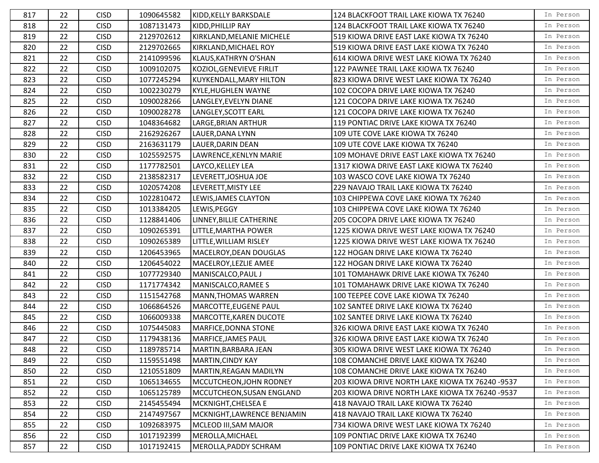| 817 | 22 | <b>CISD</b> | 1090645582 | KIDD, KELLY BARKSDALE         | 124 BLACKFOOT TRAIL LAKE KIOWA TX 76240         | In Person |
|-----|----|-------------|------------|-------------------------------|-------------------------------------------------|-----------|
| 818 | 22 | <b>CISD</b> | 1087131473 | KIDD, PHILLIP RAY             | 124 BLACKFOOT TRAIL LAKE KIOWA TX 76240         | In Person |
| 819 | 22 | <b>CISD</b> | 2129702612 | KIRKLAND, MELANIE MICHELE     | 519 KIOWA DRIVE EAST LAKE KIOWA TX 76240        | In Person |
| 820 | 22 | <b>CISD</b> | 2129702665 | KIRKLAND, MICHAEL ROY         | 519 KIOWA DRIVE EAST LAKE KIOWA TX 76240        | In Person |
| 821 | 22 | <b>CISD</b> | 2141099596 | KLAUS, KATHRYN O'SHAN         | 614 KIOWA DRIVE WEST LAKE KIOWA TX 76240        | In Person |
| 822 | 22 | <b>CISD</b> | 1009102075 | KOZIOL, GENEVIEVE FIRLIT      | 122 PAWNEE TRAIL LAKE KIOWA TX 76240            | In Person |
| 823 | 22 | <b>CISD</b> | 1077245294 | KUYKENDALL, MARY HILTON       | 823 KIOWA DRIVE WEST LAKE KIOWA TX 76240        | In Person |
| 824 | 22 | <b>CISD</b> | 1002230279 | <b>KYLE, HUGHLEN WAYNE</b>    | 102 COCOPA DRIVE LAKE KIOWA TX 76240            | In Person |
| 825 | 22 | <b>CISD</b> | 1090028266 | LANGLEY, EVELYN DIANE         | 121 COCOPA DRIVE LAKE KIOWA TX 76240            | In Person |
| 826 | 22 | <b>CISD</b> | 1090028278 | LANGLEY, SCOTT EARL           | 121 COCOPA DRIVE LAKE KIOWA TX 76240            | In Person |
| 827 | 22 | <b>CISD</b> | 1048364682 | LARGE, BRIAN ARTHUR           | 119 PONTIAC DRIVE LAKE KIOWA TX 76240           | In Person |
| 828 | 22 | <b>CISD</b> | 2162926267 | LAUER, DANA LYNN              | 109 UTE COVE LAKE KIOWA TX 76240                | In Person |
| 829 | 22 | <b>CISD</b> | 2163631179 | LAUER, DARIN DEAN             | 109 UTE COVE LAKE KIOWA TX 76240                | In Person |
| 830 | 22 | <b>CISD</b> | 1025592575 | LAWRENCE, KENLYN MARIE        | 109 MOHAVE DRIVE EAST LAKE KIOWA TX 76240       | In Person |
| 831 | 22 | <b>CISD</b> | 1177782501 | LAYCO, KELLEY LEA             | 1317 KIOWA DRIVE EAST LAKE KIOWA TX 76240       | In Person |
| 832 | 22 | <b>CISD</b> | 2138582317 | LEVERETT, JOSHUA JOE          | 103 WASCO COVE LAKE KIOWA TX 76240              | In Person |
| 833 | 22 | <b>CISD</b> | 1020574208 | LEVERETT, MISTY LEE           | 229 NAVAJO TRAIL LAKE KIOWA TX 76240            | In Person |
| 834 | 22 | <b>CISD</b> | 1022810472 | LEWIS, JAMES CLAYTON          | 103 CHIPPEWA COVE LAKE KIOWA TX 76240           | In Person |
| 835 | 22 | <b>CISD</b> | 1013384205 | LEWIS, PEGGY                  | 103 CHIPPEWA COVE LAKE KIOWA TX 76240           | In Person |
| 836 | 22 | <b>CISD</b> | 1128841406 | LINNEY, BILLIE CATHERINE      | 205 COCOPA DRIVE LAKE KIOWA TX 76240            | In Person |
| 837 | 22 | <b>CISD</b> | 1090265391 | LITTLE, MARTHA POWER          | 1225 KIOWA DRIVE WEST LAKE KIOWA TX 76240       | In Person |
| 838 | 22 | <b>CISD</b> | 1090265389 | LITTLE, WILLIAM RISLEY        | 1225 KIOWA DRIVE WEST LAKE KIOWA TX 76240       | In Person |
| 839 | 22 | <b>CISD</b> | 1206453965 | MACELROY, DEAN DOUGLAS        | 122 HOGAN DRIVE LAKE KIOWA TX 76240             | In Person |
| 840 | 22 | <b>CISD</b> | 1206454022 | MACELROY, LEZLIE AMEE         | 122 HOGAN DRIVE LAKE KIOWA TX 76240             | In Person |
| 841 | 22 | <b>CISD</b> | 1077729340 | MANISCALCO, PAUL J            | 101 TOMAHAWK DRIVE LAKE KIOWA TX 76240          | In Person |
| 842 | 22 | <b>CISD</b> | 1171774342 | MANISCALCO, RAMEE S           | 101 TOMAHAWK DRIVE LAKE KIOWA TX 76240          | In Person |
| 843 | 22 | <b>CISD</b> | 1151542768 | <b>MANN, THOMAS WARREN</b>    | 100 TEEPEE COVE LAKE KIOWA TX 76240             | In Person |
| 844 | 22 | <b>CISD</b> | 1066864526 | MARCOTTE, EUGENE PAUL         | 102 SANTEE DRIVE LAKE KIOWA TX 76240            | In Person |
| 845 | 22 | <b>CISD</b> | 1066009338 | <b>MARCOTTE, KAREN DUCOTE</b> | 102 SANTEE DRIVE LAKE KIOWA TX 76240            | In Person |
| 846 | 22 | <b>CISD</b> | 1075445083 | MARFICE, DONNA STONE          | 326 KIOWA DRIVE EAST LAKE KIOWA TX 76240        | In Person |
| 847 | 22 | <b>CISD</b> | 1179438136 | MARFICE, JAMES PAUL           | 326 KIOWA DRIVE EAST LAKE KIOWA TX 76240        | In Person |
| 848 | 22 | <b>CISD</b> | 1189785714 | MARTIN, BARBARA JEAN          | 305 KIOWA DRIVE WEST LAKE KIOWA TX 76240        | In Person |
| 849 | 22 | <b>CISD</b> | 1159551498 | <b>MARTIN, CINDY KAY</b>      | 108 COMANCHE DRIVE LAKE KIOWA TX 76240          | In Person |
| 850 | 22 | <b>CISD</b> | 1210551809 | MARTIN, REAGAN MADILYN        | 108 COMANCHE DRIVE LAKE KIOWA TX 76240          | In Person |
| 851 | 22 | <b>CISD</b> | 1065134655 | MCCUTCHEON, JOHN RODNEY       | 203 KIOWA DRIVE NORTH LAKE KIOWA TX 76240 -9537 | In Person |
| 852 | 22 | <b>CISD</b> | 1065125789 | MCCUTCHEON, SUSAN ENGLAND     | 203 KIOWA DRIVE NORTH LAKE KIOWA TX 76240 -9537 | In Person |
| 853 | 22 | <b>CISD</b> | 2145455494 | MCKNIGHT, CHELSEA E           | 418 NAVAJO TRAIL LAKE KIOWA TX 76240            | In Person |
| 854 | 22 | <b>CISD</b> | 2147497567 | MCKNIGHT, LAWRENCE BENJAMIN   | 418 NAVAJO TRAIL LAKE KIOWA TX 76240            | In Person |
| 855 | 22 | <b>CISD</b> | 1092683975 | MCLEOD III, SAM MAJOR         | 734 KIOWA DRIVE WEST LAKE KIOWA TX 76240        | In Person |
| 856 | 22 | <b>CISD</b> | 1017192399 | MEROLLA, MICHAEL              | 109 PONTIAC DRIVE LAKE KIOWA TX 76240           | In Person |
| 857 | 22 | <b>CISD</b> | 1017192415 | MEROLLA, PADDY SCHRAM         | 109 PONTIAC DRIVE LAKE KIOWA TX 76240           | In Person |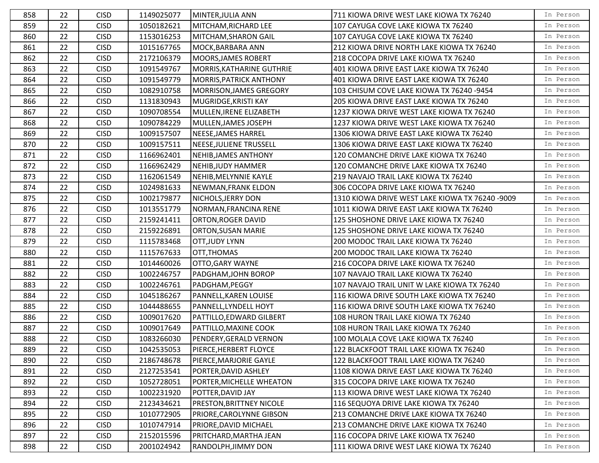| 858 | 22 | <b>CISD</b> | 1149025077 | MINTER,JULIA ANN                 | 711 KIOWA DRIVE WEST LAKE KIOWA TX 76240        | In Person |
|-----|----|-------------|------------|----------------------------------|-------------------------------------------------|-----------|
| 859 | 22 | <b>CISD</b> | 1050182621 | MITCHAM, RICHARD LEE             | 107 CAYUGA COVE LAKE KIOWA TX 76240             | In Person |
| 860 | 22 | <b>CISD</b> | 1153016253 | MITCHAM, SHARON GAIL             | 107 CAYUGA COVE LAKE KIOWA TX 76240             | In Person |
| 861 | 22 | <b>CISD</b> | 1015167765 | MOCK, BARBARA ANN                | 212 KIOWA DRIVE NORTH LAKE KIOWA TX 76240       | In Person |
| 862 | 22 | <b>CISD</b> | 2172106379 | MOORS, JAMES ROBERT              | 218 COCOPA DRIVE LAKE KIOWA TX 76240            | In Person |
| 863 | 22 | <b>CISD</b> | 1091549767 | <b>MORRIS, KATHARINE GUTHRIE</b> | 401 KIOWA DRIVE EAST LAKE KIOWA TX 76240        | In Person |
| 864 | 22 | <b>CISD</b> | 1091549779 | <b>MORRIS, PATRICK ANTHONY</b>   | 401 KIOWA DRIVE EAST LAKE KIOWA TX 76240        | In Person |
| 865 | 22 | <b>CISD</b> | 1082910758 | MORRISON, JAMES GREGORY          | 103 CHISUM COVE LAKE KIOWA TX 76240 -9454       | In Person |
| 866 | 22 | <b>CISD</b> | 1131830943 | MUGRIDGE, KRISTI KAY             | 205 KIOWA DRIVE EAST LAKE KIOWA TX 76240        | In Person |
| 867 | 22 | <b>CISD</b> | 1090708554 | MULLEN, IRENE ELIZABETH          | 1237 KIOWA DRIVE WEST LAKE KIOWA TX 76240       | In Person |
| 868 | 22 | <b>CISD</b> | 1090784229 | MULLEN, JAMES JOSEPH             | 1237 KIOWA DRIVE WEST LAKE KIOWA TX 76240       | In Person |
| 869 | 22 | <b>CISD</b> | 1009157507 | NEESE, JAMES HARREL              | 1306 KIOWA DRIVE EAST LAKE KIOWA TX 76240       | In Person |
| 870 | 22 | <b>CISD</b> | 1009157511 | NEESE, JULIENE TRUSSELL          | 1306 KIOWA DRIVE EAST LAKE KIOWA TX 76240       | In Person |
| 871 | 22 | <b>CISD</b> | 1166962401 | NEHIB, JAMES ANTHONY             | 120 COMANCHE DRIVE LAKE KIOWA TX 76240          | In Person |
| 872 | 22 | <b>CISD</b> | 1166962429 | NEHIB, JUDY HAMMER               | 120 COMANCHE DRIVE LAKE KIOWA TX 76240          | In Person |
| 873 | 22 | <b>CISD</b> | 1162061549 | NEHIB, MELYNNIE KAYLE            | 219 NAVAJO TRAIL LAKE KIOWA TX 76240            | In Person |
| 874 | 22 | <b>CISD</b> | 1024981633 | NEWMAN, FRANK ELDON              | 306 COCOPA DRIVE LAKE KIOWA TX 76240            | In Person |
| 875 | 22 | <b>CISD</b> | 1002179877 | NICHOLS, JERRY DON               | 1310 KIOWA DRIVE WEST LAKE KIOWA TX 76240 -9009 | In Person |
| 876 | 22 | <b>CISD</b> | 1013551779 | NORMAN, FRANCINA RENE            | 1011 KIOWA DRIVE EAST LAKE KIOWA TX 76240       | In Person |
| 877 | 22 | <b>CISD</b> | 2159241411 | <b>ORTON, ROGER DAVID</b>        | 125 SHOSHONE DRIVE LAKE KIOWA TX 76240          | In Person |
| 878 | 22 | <b>CISD</b> | 2159226891 | <b>ORTON, SUSAN MARIE</b>        | 125 SHOSHONE DRIVE LAKE KIOWA TX 76240          | In Person |
| 879 | 22 | <b>CISD</b> | 1115783468 | OTT, JUDY LYNN                   | 200 MODOC TRAIL LAKE KIOWA TX 76240             | In Person |
| 880 | 22 | <b>CISD</b> | 1115767633 | OTT, THOMAS                      | 200 MODOC TRAIL LAKE KIOWA TX 76240             | In Person |
| 881 | 22 | <b>CISD</b> | 1014460026 | OTTO, GARY WAYNE                 | 216 COCOPA DRIVE LAKE KIOWA TX 76240            | In Person |
| 882 | 22 | <b>CISD</b> | 1002246757 | PADGHAM, JOHN BOROP              | 107 NAVAJO TRAIL LAKE KIOWA TX 76240            | In Person |
| 883 | 22 | <b>CISD</b> | 1002246761 | PADGHAM, PEGGY                   | 107 NAVAJO TRAIL UNIT W LAKE KIOWA TX 76240     | In Person |
| 884 | 22 | <b>CISD</b> | 1045186267 | <b>PANNELL, KAREN LOUISE</b>     | 116 KIOWA DRIVE SOUTH LAKE KIOWA TX 76240       | In Person |
| 885 | 22 | <b>CISD</b> | 1044488655 | PANNELL, LYNDELL HOYT            | 116 KIOWA DRIVE SOUTH LAKE KIOWA TX 76240       | In Person |
| 886 | 22 | <b>CISD</b> | 1009017620 | PATTILLO, EDWARD GILBERT         | 108 HURON TRAIL LAKE KIOWA TX 76240             | In Person |
| 887 | 22 | <b>CISD</b> | 1009017649 | PATTILLO, MAXINE COOK            | 108 HURON TRAIL LAKE KIOWA TX 76240             | In Person |
| 888 | 22 | <b>CISD</b> | 1083266030 | PENDERY, GERALD VERNON           | 100 MOLALA COVE LAKE KIOWA TX 76240             | In Person |
| 889 | 22 | <b>CISD</b> | 1042535053 | PIERCE, HERBERT FLOYCE           | 122 BLACKFOOT TRAIL LAKE KIOWA TX 76240         | In Person |
| 890 | 22 | <b>CISD</b> | 2186748678 | PIERCE, MARJORIE GAYLE           | 122 BLACKFOOT TRAIL LAKE KIOWA TX 76240         | In Person |
| 891 | 22 | <b>CISD</b> | 2127253541 | PORTER,DAVID ASHLEY              | 1108 KIOWA DRIVE EAST LAKE KIOWA TX 76240       | In Person |
| 892 | 22 | <b>CISD</b> | 1052728051 | PORTER, MICHELLE WHEATON         | 315 COCOPA DRIVE LAKE KIOWA TX 76240            | In Person |
| 893 | 22 | <b>CISD</b> | 1002231920 | POTTER, DAVID JAY                | 113 KIOWA DRIVE WEST LAKE KIOWA TX 76240        | In Person |
| 894 | 22 | <b>CISD</b> | 2123434621 | <b>PRESTON, BRITTNEY NICOLE</b>  | 116 SEQUOYA DRIVE LAKE KIOWA TX 76240           | In Person |
| 895 | 22 | <b>CISD</b> | 1010772905 | <b>PRIORE, CAROLYNNE GIBSON</b>  | 213 COMANCHE DRIVE LAKE KIOWA TX 76240          | In Person |
| 896 | 22 | <b>CISD</b> | 1010747914 | <b>PRIORE, DAVID MICHAEL</b>     | 213 COMANCHE DRIVE LAKE KIOWA TX 76240          | In Person |
| 897 | 22 | <b>CISD</b> | 2152015596 | PRITCHARD, MARTHA JEAN           | 116 COCOPA DRIVE LAKE KIOWA TX 76240            | In Person |
| 898 | 22 | <b>CISD</b> | 2001024942 | RANDOLPH, JIMMY DON              | 111 KIOWA DRIVE WEST LAKE KIOWA TX 76240        | In Person |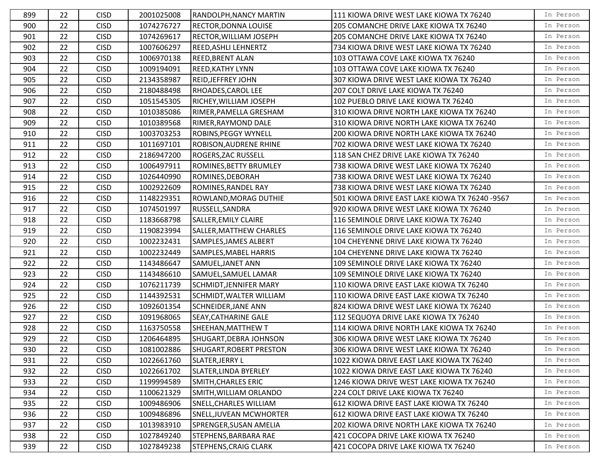| 899 | 22 | <b>CISD</b> | 2001025008 | <b>RANDOLPH, NANCY MARTIN</b> | 111 KIOWA DRIVE WEST LAKE KIOWA TX 76240       | In Person |
|-----|----|-------------|------------|-------------------------------|------------------------------------------------|-----------|
| 900 | 22 | <b>CISD</b> | 1074276727 | <b>RECTOR, DONNA LOUISE</b>   | 205 COMANCHE DRIVE LAKE KIOWA TX 76240         | In Person |
| 901 | 22 | <b>CISD</b> | 1074269617 | RECTOR, WILLIAM JOSEPH        | 205 COMANCHE DRIVE LAKE KIOWA TX 76240         | In Person |
| 902 | 22 | <b>CISD</b> | 1007606297 | REED, ASHLI LEHNERTZ          | 734 KIOWA DRIVE WEST LAKE KIOWA TX 76240       | In Person |
| 903 | 22 | <b>CISD</b> | 1006970138 | <b>REED, BRENT ALAN</b>       | 103 OTTAWA COVE LAKE KIOWA TX 76240            | In Person |
| 904 | 22 | <b>CISD</b> | 1009194091 | <b>REED, KATHY LYNN</b>       | 103 OTTAWA COVE LAKE KIOWA TX 76240            | In Person |
| 905 | 22 | <b>CISD</b> | 2134358987 | <b>REID, JEFFREY JOHN</b>     | 307 KIOWA DRIVE WEST LAKE KIOWA TX 76240       | In Person |
| 906 | 22 | <b>CISD</b> | 2180488498 | RHOADES, CAROL LEE            | 207 COLT DRIVE LAKE KIOWA TX 76240             | In Person |
| 907 | 22 | <b>CISD</b> | 1051545305 | RICHEY, WILLIAM JOSEPH        | 102 PUEBLO DRIVE LAKE KIOWA TX 76240           | In Person |
| 908 | 22 | <b>CISD</b> | 1010385086 | RIMER, PAMELLA GRESHAM        | 310 KIOWA DRIVE NORTH LAKE KIOWA TX 76240      | In Person |
| 909 | 22 | <b>CISD</b> | 1010389568 | RIMER, RAYMOND DALE           | 310 KIOWA DRIVE NORTH LAKE KIOWA TX 76240      | In Person |
| 910 | 22 | <b>CISD</b> | 1003703253 | <b>ROBINS, PEGGY WYNELL</b>   | 200 KIOWA DRIVE NORTH LAKE KIOWA TX 76240      | In Person |
| 911 | 22 | <b>CISD</b> | 1011697101 | <b>ROBISON, AUDRENE RHINE</b> | 702 KIOWA DRIVE WEST LAKE KIOWA TX 76240       | In Person |
| 912 | 22 | <b>CISD</b> | 2186947200 | ROGERS, ZAC RUSSELL           | 118 SAN CHEZ DRIVE LAKE KIOWA TX 76240         | In Person |
| 913 | 22 | <b>CISD</b> | 1006497911 | ROMINES, BETTY BRUMLEY        | 738 KIOWA DRIVE WEST LAKE KIOWA TX 76240       | In Person |
| 914 | 22 | <b>CISD</b> | 1026440990 | ROMINES, DEBORAH              | 738 KIOWA DRIVE WEST LAKE KIOWA TX 76240       | In Person |
| 915 | 22 | <b>CISD</b> | 1002922609 | ROMINES, RANDEL RAY           | 738 KIOWA DRIVE WEST LAKE KIOWA TX 76240       | In Person |
| 916 | 22 | <b>CISD</b> | 1148229351 | <b>ROWLAND, MORAG DUTHIE</b>  | 501 KIOWA DRIVE EAST LAKE KIOWA TX 76240 -9567 | In Person |
| 917 | 22 | <b>CISD</b> | 1074501997 | RUSSELL, SANDRA               | 920 KIOWA DRIVE WEST LAKE KIOWA TX 76240       | In Person |
| 918 | 22 | <b>CISD</b> | 1183668798 | SALLER, EMILY CLAIRE          | 116 SEMINOLE DRIVE LAKE KIOWA TX 76240         | In Person |
| 919 | 22 | <b>CISD</b> | 1190823994 | SALLER, MATTHEW CHARLES       | 116 SEMINOLE DRIVE LAKE KIOWA TX 76240         | In Person |
| 920 | 22 | <b>CISD</b> | 1002232431 | SAMPLES, JAMES ALBERT         | 104 CHEYENNE DRIVE LAKE KIOWA TX 76240         | In Person |
| 921 | 22 | <b>CISD</b> | 1002232449 | SAMPLES, MABEL HARRIS         | 104 CHEYENNE DRIVE LAKE KIOWA TX 76240         | In Person |
| 922 | 22 | <b>CISD</b> | 1143486647 | SAMUEL, JANET ANN             | 109 SEMINOLE DRIVE LAKE KIOWA TX 76240         | In Person |
| 923 | 22 | <b>CISD</b> | 1143486610 | SAMUEL, SAMUEL LAMAR          | 109 SEMINOLE DRIVE LAKE KIOWA TX 76240         | In Person |
| 924 | 22 | <b>CISD</b> | 1076211739 | <b>SCHMIDT, JENNIFER MARY</b> | 110 KIOWA DRIVE EAST LAKE KIOWA TX 76240       | In Person |
| 925 | 22 | <b>CISD</b> | 1144392531 | SCHMIDT, WALTER WILLIAM       | 110 KIOWA DRIVE EAST LAKE KIOWA TX 76240       | In Person |
| 926 | 22 | <b>CISD</b> | 1092601354 | <b>SCHNEIDER, JANE ANN</b>    | 824 KIOWA DRIVE WEST LAKE KIOWA TX 76240       | In Person |
| 927 | 22 | <b>CISD</b> | 1091968065 | <b>SEAY, CATHARINE GALE</b>   | 112 SEQUOYA DRIVE LAKE KIOWA TX 76240          | In Person |
| 928 | 22 | <b>CISD</b> | 1163750558 | SHEEHAN, MATTHEW T            | 114 KIOWA DRIVE NORTH LAKE KIOWA TX 76240      | In Person |
| 929 | 22 | <b>CISD</b> | 1206464895 | SHUGART, DEBRA JOHNSON        | 306 KIOWA DRIVE WEST LAKE KIOWA TX 76240       | In Person |
| 930 | 22 | <b>CISD</b> | 1081002886 | SHUGART, ROBERT PRESTON       | 306 KIOWA DRIVE WEST LAKE KIOWA TX 76240       | In Person |
| 931 | 22 | <b>CISD</b> | 1022661760 | <b>SLATER, JERRY L</b>        | 1022 KIOWA DRIVE EAST LAKE KIOWA TX 76240      | In Person |
| 932 | 22 | <b>CISD</b> | 1022661702 | SLATER, LINDA BYERLEY         | 1022 KIOWA DRIVE EAST LAKE KIOWA TX 76240      | In Person |
| 933 | 22 | <b>CISD</b> | 1199994589 | SMITH, CHARLES ERIC           | 1246 KIOWA DRIVE WEST LAKE KIOWA TX 76240      | In Person |
| 934 | 22 | <b>CISD</b> | 1100621329 | SMITH, WILLIAM ORLANDO        | 224 COLT DRIVE LAKE KIOWA TX 76240             | In Person |
| 935 | 22 | <b>CISD</b> | 1009486906 | SNELL, CHARLES WILLIAM        | 612 KIOWA DRIVE EAST LAKE KIOWA TX 76240       | In Person |
| 936 | 22 | <b>CISD</b> | 1009486896 | SNELL, JUVEAN MCWHORTER       | 612 KIOWA DRIVE EAST LAKE KIOWA TX 76240       | In Person |
| 937 | 22 | <b>CISD</b> | 1013983910 | SPRENGER, SUSAN AMELIA        | 202 KIOWA DRIVE NORTH LAKE KIOWA TX 76240      | In Person |
| 938 | 22 | <b>CISD</b> | 1027849240 | STEPHENS, BARBARA RAE         | 421 COCOPA DRIVE LAKE KIOWA TX 76240           | In Person |
| 939 | 22 | <b>CISD</b> | 1027849238 | <b>STEPHENS, CRAIG CLARK</b>  | 421 COCOPA DRIVE LAKE KIOWA TX 76240           | In Person |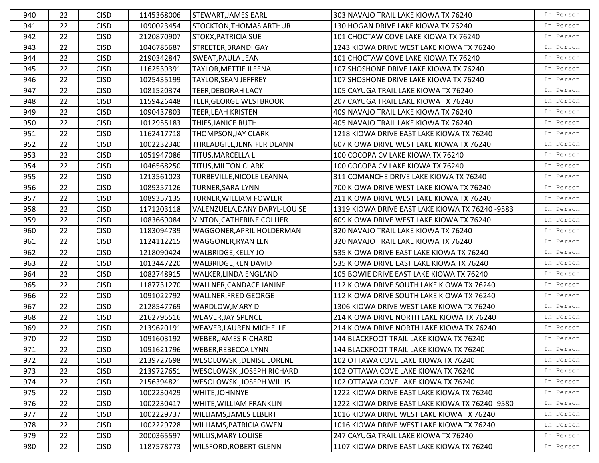| 940 | 22 | <b>CISD</b> | 1145368006 | <b>STEWART, JAMES EARL</b>       | 303 NAVAJO TRAIL LAKE KIOWA TX 76240            | In Person |
|-----|----|-------------|------------|----------------------------------|-------------------------------------------------|-----------|
| 941 | 22 | <b>CISD</b> | 1090023454 | <b>STOCKTON, THOMAS ARTHUR</b>   | 130 HOGAN DRIVE LAKE KIOWA TX 76240             | In Person |
| 942 | 22 | <b>CISD</b> | 2120870907 | <b>STOKX, PATRICIA SUE</b>       | 101 CHOCTAW COVE LAKE KIOWA TX 76240            | In Person |
| 943 | 22 | <b>CISD</b> | 1046785687 | STREETER, BRANDI GAY             | 1243 KIOWA DRIVE WEST LAKE KIOWA TX 76240       | In Person |
| 944 | 22 | <b>CISD</b> | 2190342847 | <b>SWEAT, PAULA JEAN</b>         | 101 CHOCTAW COVE LAKE KIOWA TX 76240            | In Person |
| 945 | 22 | <b>CISD</b> | 1162539391 | <b>TAYLOR, METTIE ILEENA</b>     | 107 SHOSHONE DRIVE LAKE KIOWA TX 76240          | In Person |
| 946 | 22 | <b>CISD</b> | 1025435199 | <b>TAYLOR, SEAN JEFFREY</b>      | 107 SHOSHONE DRIVE LAKE KIOWA TX 76240          | In Person |
| 947 | 22 | <b>CISD</b> | 1081520374 | <b>TEER, DEBORAH LACY</b>        | 105 CAYUGA TRAIL LAKE KIOWA TX 76240            | In Person |
| 948 | 22 | <b>CISD</b> | 1159426448 | <b>TEER, GEORGE WESTBROOK</b>    | 207 CAYUGA TRAIL LAKE KIOWA TX 76240            | In Person |
| 949 | 22 | <b>CISD</b> | 1090437803 | <b>TEER, LEAH KRISTEN</b>        | 409 NAVAJO TRAIL LAKE KIOWA TX 76240            | In Person |
| 950 | 22 | <b>CISD</b> | 1012955183 | THIES, JANICE RUTH               | 405 NAVAJO TRAIL LAKE KIOWA TX 76240            | In Person |
| 951 | 22 | <b>CISD</b> | 1162417718 | THOMPSON, JAY CLARK              | 1218 KIOWA DRIVE EAST LAKE KIOWA TX 76240       | In Person |
| 952 | 22 | <b>CISD</b> | 1002232340 | THREADGILL, JENNIFER DEANN       | 607 KIOWA DRIVE WEST LAKE KIOWA TX 76240        | In Person |
| 953 | 22 | <b>CISD</b> | 1051947086 | TITUS, MARCELLA L                | 100 COCOPA CV LAKE KIOWA TX 76240               | In Person |
| 954 | 22 | <b>CISD</b> | 1046568250 | <b>TITUS, MILTON CLARK</b>       | 100 COCOPA CV LAKE KIOWA TX 76240               | In Person |
| 955 | 22 | <b>CISD</b> | 1213561023 | TURBEVILLE, NICOLE LEANNA        | 311 COMANCHE DRIVE LAKE KIOWA TX 76240          | In Person |
| 956 | 22 | <b>CISD</b> | 1089357126 | <b>TURNER, SARA LYNN</b>         | 700 KIOWA DRIVE WEST LAKE KIOWA TX 76240        | In Person |
| 957 | 22 | <b>CISD</b> | 1089357135 | <b>TURNER, WILLIAM FOWLER</b>    | 211 KIOWA DRIVE WEST LAKE KIOWA TX 76240        | In Person |
| 958 | 22 | <b>CISD</b> | 1171203118 | VALENZUELA, DANY DARYL-LOUISE    | 1319 KIOWA DRIVE EAST LAKE KIOWA TX 76240 -9583 | In Person |
| 959 | 22 | <b>CISD</b> | 1083669084 | <b>VINTON, CATHERINE COLLIER</b> | 609 KIOWA DRIVE WEST LAKE KIOWA TX 76240        | In Person |
| 960 | 22 | <b>CISD</b> | 1183094739 | WAGGONER, APRIL HOLDERMAN        | 320 NAVAJO TRAIL LAKE KIOWA TX 76240            | In Person |
| 961 | 22 | <b>CISD</b> | 1124112215 | <b>WAGGONER, RYAN LEN</b>        | 320 NAVAJO TRAIL LAKE KIOWA TX 76240            | In Person |
| 962 | 22 | <b>CISD</b> | 1218090424 | WALBRIDGE, KELLY JO              | 535 KIOWA DRIVE EAST LAKE KIOWA TX 76240        | In Person |
| 963 | 22 | <b>CISD</b> | 1013447220 | WALBRIDGE, KEN DAVID             | 535 KIOWA DRIVE EAST LAKE KIOWA TX 76240        | In Person |
| 964 | 22 | <b>CISD</b> | 1082748915 | WALKER, LINDA ENGLAND            | 105 BOWIE DRIVE EAST LAKE KIOWA TX 76240        | In Person |
| 965 | 22 | <b>CISD</b> | 1187731270 | <b>WALLNER, CANDACE JANINE</b>   | 112 KIOWA DRIVE SOUTH LAKE KIOWA TX 76240       | In Person |
| 966 | 22 | <b>CISD</b> | 1091022792 | <b>WALLNER, FRED GEORGE</b>      | 112 KIOWA DRIVE SOUTH LAKE KIOWA TX 76240       | In Person |
| 967 | 22 | <b>CISD</b> | 2128547769 | WARDLOW, MARY D                  | 1306 KIOWA DRIVE WEST LAKE KIOWA TX 76240       | In Person |
| 968 | 22 | <b>CISD</b> | 2162795516 | <b>WEAVER, JAY SPENCE</b>        | 214 KIOWA DRIVE NORTH LAKE KIOWA TX 76240       | In Person |
| 969 | 22 | <b>CISD</b> | 2139620191 | <b>WEAVER, LAUREN MICHELLE</b>   | 214 KIOWA DRIVE NORTH LAKE KIOWA TX 76240       | In Person |
| 970 | 22 | <b>CISD</b> | 1091603192 | <b>WEBER, JAMES RICHARD</b>      | 144 BLACKFOOT TRAIL LAKE KIOWA TX 76240         | In Person |
| 971 | 22 | <b>CISD</b> | 1091621796 | WEBER, REBECCA LYNN              | 144 BLACKFOOT TRAIL LAKE KIOWA TX 76240         | In Person |
| 972 | 22 | <b>CISD</b> | 2139727698 | WESOLOWSKI, DENISE LORENE        | 102 OTTAWA COVE LAKE KIOWA TX 76240             | In Person |
| 973 | 22 | <b>CISD</b> | 2139727651 | WESOLOWSKI, JOSEPH RICHARD       | 102 OTTAWA COVE LAKE KIOWA TX 76240             | In Person |
| 974 | 22 | <b>CISD</b> | 2156394821 | WESOLOWSKI, JOSEPH WILLIS        | 102 OTTAWA COVE LAKE KIOWA TX 76240             | In Person |
| 975 | 22 | <b>CISD</b> | 1002230429 | WHITE, JOHNNYE                   | 1222 KIOWA DRIVE EAST LAKE KIOWA TX 76240       | In Person |
| 976 | 22 | <b>CISD</b> | 1002230417 | WHITE, WILLIAM FRANKLIN          | 1222 KIOWA DRIVE EAST LAKE KIOWA TX 76240 -9580 | In Person |
| 977 | 22 | <b>CISD</b> | 1002229737 | WILLIAMS, JAMES ELBERT           | 1016 KIOWA DRIVE WEST LAKE KIOWA TX 76240       | In Person |
| 978 | 22 | <b>CISD</b> | 1002229728 | <b>WILLIAMS, PATRICIA GWEN</b>   | 1016 KIOWA DRIVE WEST LAKE KIOWA TX 76240       | In Person |
| 979 | 22 | <b>CISD</b> | 2000365597 | <b>WILLIS, MARY LOUISE</b>       | 247 CAYUGA TRAIL LAKE KIOWA TX 76240            | In Person |
| 980 | 22 | <b>CISD</b> | 1187578773 | WILSFORD, ROBERT GLENN           | 1107 KIOWA DRIVE EAST LAKE KIOWA TX 76240       | In Person |